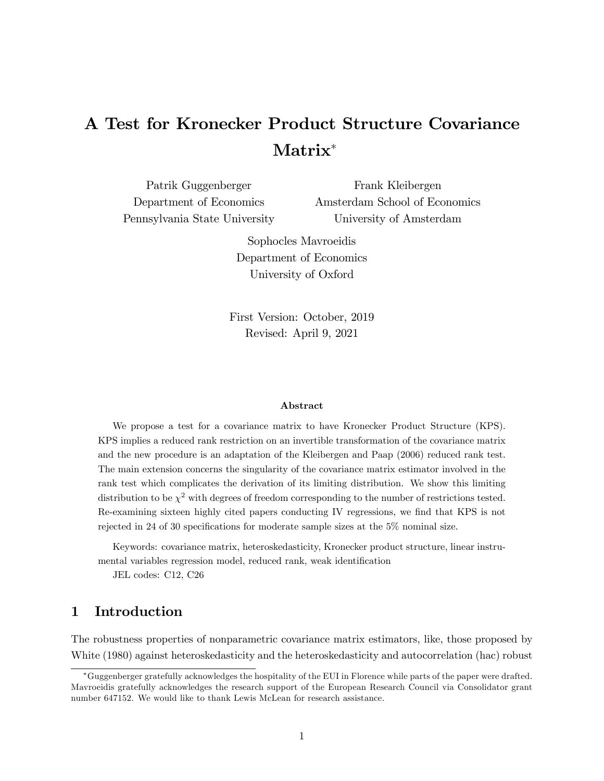# A Test for Kronecker Product Structure Covariance Matrix

Patrik Guggenberger Department of Economics Pennsylvania State University Frank Kleibergen Amsterdam School of Economics University of Amsterdam

> Sophocles Mavroeidis Department of Economics University of Oxford

First Version: October, 2019 Revised: April 9, 2021

#### Abstract

We propose a test for a covariance matrix to have Kronecker Product Structure (KPS). KPS implies a reduced rank restriction on an invertible transformation of the covariance matrix and the new procedure is an adaptation of the Kleibergen and Paap (2006) reduced rank test. The main extension concerns the singularity of the covariance matrix estimator involved in the rank test which complicates the derivation of its limiting distribution. We show this limiting distribution to be  $\chi^2$  with degrees of freedom corresponding to the number of restrictions tested. Re-examining sixteen highly cited papers conducting IV regressions, we find that KPS is not rejected in 24 of 30 specifications for moderate sample sizes at the 5% nominal size.

Keywords: covariance matrix, heteroskedasticity, Kronecker product structure, linear instrumental variables regression model, reduced rank, weak identification

JEL codes: C12, C26

## 1 Introduction

The robustness properties of nonparametric covariance matrix estimators, like, those proposed by White (1980) against heteroskedasticity and the heteroskedasticity and autocorrelation (hac) robust

Guggenberger gratefully acknowledges the hospitality of the EUI in Florence while parts of the paper were drafted. Mavroeidis gratefully acknowledges the research support of the European Research Council via Consolidator grant number 647152. We would like to thank Lewis McLean for research assistance.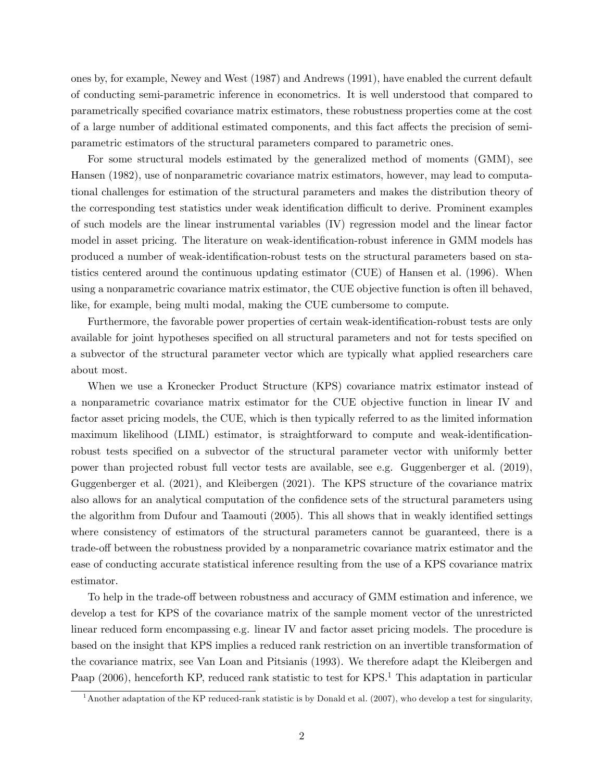ones by, for example, Newey and West (1987) and Andrews (1991), have enabled the current default of conducting semi-parametric inference in econometrics. It is well understood that compared to parametrically specified covariance matrix estimators, these robustness properties come at the cost of a large number of additional estimated components, and this fact affects the precision of semiparametric estimators of the structural parameters compared to parametric ones.

For some structural models estimated by the generalized method of moments (GMM), see Hansen (1982), use of nonparametric covariance matrix estimators, however, may lead to computational challenges for estimation of the structural parameters and makes the distribution theory of the corresponding test statistics under weak identification difficult to derive. Prominent examples of such models are the linear instrumental variables (IV) regression model and the linear factor model in asset pricing. The literature on weak-identification-robust inference in GMM models has produced a number of weak-identification-robust tests on the structural parameters based on statistics centered around the continuous updating estimator (CUE) of Hansen et al. (1996). When using a nonparametric covariance matrix estimator, the CUE objective function is often ill behaved, like, for example, being multi modal, making the CUE cumbersome to compute.

Furthermore, the favorable power properties of certain weak-identification-robust tests are only available for joint hypotheses specified on all structural parameters and not for tests specified on a subvector of the structural parameter vector which are typically what applied researchers care about most.

When we use a Kronecker Product Structure (KPS) covariance matrix estimator instead of a nonparametric covariance matrix estimator for the CUE objective function in linear IV and factor asset pricing models, the CUE, which is then typically referred to as the limited information maximum likelihood (LIML) estimator, is straightforward to compute and weak-identificationrobust tests specified on a subvector of the structural parameter vector with uniformly better power than projected robust full vector tests are available, see e.g. Guggenberger et al. (2019), Guggenberger et al. (2021), and Kleibergen (2021). The KPS structure of the covariance matrix also allows for an analytical computation of the confidence sets of the structural parameters using the algorithm from Dufour and Taamouti (2005). This all shows that in weakly identified settings where consistency of estimators of the structural parameters cannot be guaranteed, there is a trade-off between the robustness provided by a nonparametric covariance matrix estimator and the ease of conducting accurate statistical inference resulting from the use of a KPS covariance matrix estimator.

To help in the trade-off between robustness and accuracy of GMM estimation and inference, we develop a test for KPS of the covariance matrix of the sample moment vector of the unrestricted linear reduced form encompassing e.g. linear IV and factor asset pricing models. The procedure is based on the insight that KPS implies a reduced rank restriction on an invertible transformation of the covariance matrix, see Van Loan and Pitsianis (1993). We therefore adapt the Kleibergen and Paap  $(2006)$ , henceforth KP, reduced rank statistic to test for KPS.<sup>1</sup> This adaptation in particular

<sup>&</sup>lt;sup>1</sup>Another adaptation of the KP reduced-rank statistic is by Donald et al. (2007), who develop a test for singularity,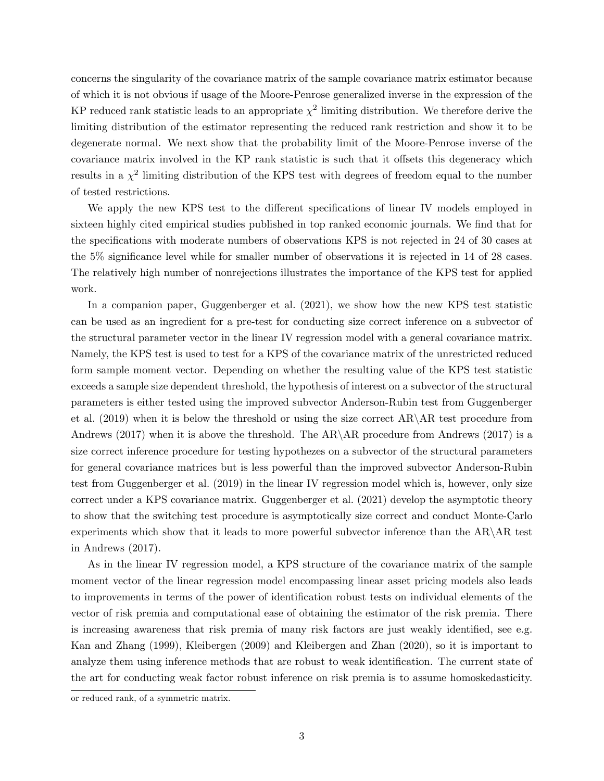concerns the singularity of the covariance matrix of the sample covariance matrix estimator because of which it is not obvious if usage of the Moore-Penrose generalized inverse in the expression of the KP reduced rank statistic leads to an appropriate  $\chi^2$  limiting distribution. We therefore derive the limiting distribution of the estimator representing the reduced rank restriction and show it to be degenerate normal. We next show that the probability limit of the Moore-Penrose inverse of the covariance matrix involved in the KP rank statistic is such that it offsets this degeneracy which results in a  $\chi^2$  limiting distribution of the KPS test with degrees of freedom equal to the number of tested restrictions.

We apply the new KPS test to the different specifications of linear IV models employed in sixteen highly cited empirical studies published in top ranked economic journals. We find that for the specifications with moderate numbers of observations KPS is not rejected in 24 of 30 cases at the 5% significance level while for smaller number of observations it is rejected in 14 of 28 cases. The relatively high number of nonrejections illustrates the importance of the KPS test for applied work.

In a companion paper, Guggenberger et al. (2021), we show how the new KPS test statistic can be used as an ingredient for a pre-test for conducting size correct inference on a subvector of the structural parameter vector in the linear IV regression model with a general covariance matrix. Namely, the KPS test is used to test for a KPS of the covariance matrix of the unrestricted reduced form sample moment vector. Depending on whether the resulting value of the KPS test statistic exceeds a sample size dependent threshold, the hypothesis of interest on a subvector of the structural parameters is either tested using the improved subvector Anderson-Rubin test from Guggenberger et al.  $(2019)$  when it is below the threshold or using the size correct AR\AR test procedure from Andrews (2017) when it is above the threshold. The AR\AR procedure from Andrews (2017) is a size correct inference procedure for testing hypothezes on a subvector of the structural parameters for general covariance matrices but is less powerful than the improved subvector Anderson-Rubin test from Guggenberger et al. (2019) in the linear IV regression model which is, however, only size correct under a KPS covariance matrix. Guggenberger et al. (2021) develop the asymptotic theory to show that the switching test procedure is asymptotically size correct and conduct Monte-Carlo experiments which show that it leads to more powerful subvector inference than the  $AR\AR$  test in Andrews (2017).

As in the linear IV regression model, a KPS structure of the covariance matrix of the sample moment vector of the linear regression model encompassing linear asset pricing models also leads to improvements in terms of the power of identification robust tests on individual elements of the vector of risk premia and computational ease of obtaining the estimator of the risk premia. There is increasing awareness that risk premia of many risk factors are just weakly identified, see e.g. Kan and Zhang (1999), Kleibergen (2009) and Kleibergen and Zhan (2020), so it is important to analyze them using inference methods that are robust to weak identification. The current state of the art for conducting weak factor robust inference on risk premia is to assume homoskedasticity.

or reduced rank, of a symmetric matrix.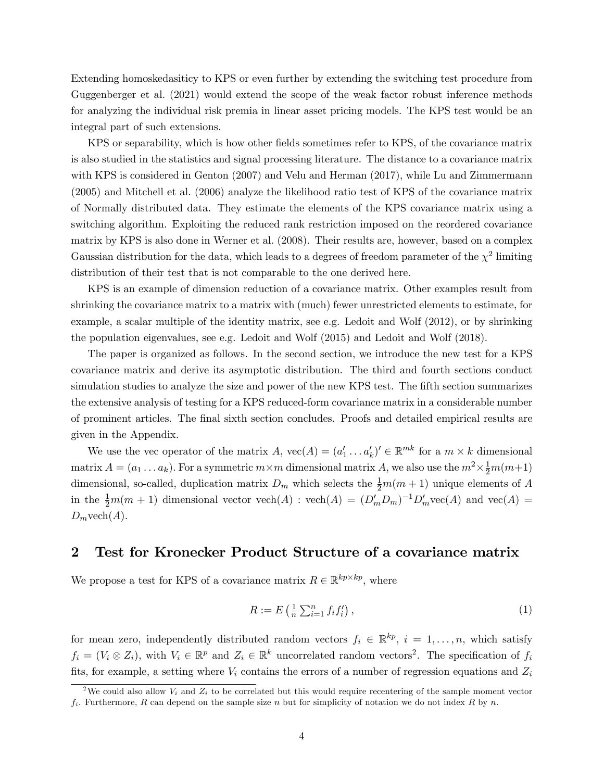Extending homoskedasiticy to KPS or even further by extending the switching test procedure from Guggenberger et al. (2021) would extend the scope of the weak factor robust inference methods for analyzing the individual risk premia in linear asset pricing models. The KPS test would be an integral part of such extensions.

KPS or separability, which is how other fields sometimes refer to KPS, of the covariance matrix is also studied in the statistics and signal processing literature. The distance to a covariance matrix with KPS is considered in Genton (2007) and Velu and Herman (2017), while Lu and Zimmermann (2005) and Mitchell et al. (2006) analyze the likelihood ratio test of KPS of the covariance matrix of Normally distributed data. They estimate the elements of the KPS covariance matrix using a switching algorithm. Exploiting the reduced rank restriction imposed on the reordered covariance matrix by KPS is also done in Werner et al. (2008). Their results are, however, based on a complex Gaussian distribution for the data, which leads to a degrees of freedom parameter of the  $\chi^2$  limiting distribution of their test that is not comparable to the one derived here.

KPS is an example of dimension reduction of a covariance matrix. Other examples result from shrinking the covariance matrix to a matrix with (much) fewer unrestricted elements to estimate, for example, a scalar multiple of the identity matrix, see e.g. Ledoit and Wolf (2012), or by shrinking the population eigenvalues, see e.g. Ledoit and Wolf (2015) and Ledoit and Wolf (2018).

The paper is organized as follows. In the second section, we introduce the new test for a KPS covariance matrix and derive its asymptotic distribution. The third and fourth sections conduct simulation studies to analyze the size and power of the new KPS test. The fifth section summarizes the extensive analysis of testing for a KPS reduced-form covariance matrix in a considerable number of prominent articles. The Önal sixth section concludes. Proofs and detailed empirical results are given in the Appendix.

We use the vec operator of the matrix  $A$ ,  $\text{vec}(A) = (a'_1 \dots a'_k)' \in \mathbb{R}^{mk}$  for a  $m \times k$  dimensional matrix  $A = (a_1 \dots a_k)$ . For a symmetric  $m \times m$  dimensional matrix A, we also use the  $m^2 \times \frac{1}{2}m(m+1)$ dimensional, so-called, duplication matrix  $D_m$  which selects the  $\frac{1}{2}m(m+1)$  unique elements of A in the  $\frac{1}{2}m(m+1)$  dimensional vector  $\text{vech}(A)$  :  $\text{vech}(A) = (D'_m D_m)^{-1} D'_m \text{vec}(A)$  and  $\text{vec}(A) =$  $D_m$  vech $(A)$ .

#### 2 Test for Kronecker Product Structure of a covariance matrix

We propose a test for KPS of a covariance matrix  $R \in \mathbb{R}^{kp \times kp}$ , where

$$
R := E\left(\frac{1}{n}\sum_{i=1}^{n} f_i f'_i\right),\tag{1}
$$

for mean zero, independently distributed random vectors  $f_i \in \mathbb{R}^{kp}$ ,  $i = 1, \ldots, n$ , which satisfy  $f_i = (V_i \otimes Z_i)$ , with  $V_i \in \mathbb{R}^p$  and  $Z_i \in \mathbb{R}^k$  uncorrelated random vectors<sup>2</sup>. The specification of  $f_i$ fits, for example, a setting where  $V_i$  contains the errors of a number of regression equations and  $Z_i$ 

<sup>&</sup>lt;sup>2</sup>We could also allow  $V_i$  and  $Z_i$  to be correlated but this would require recentering of the sample moment vector  $f_i$ . Furthermore, R can depend on the sample size n but for simplicity of notation we do not index R by n.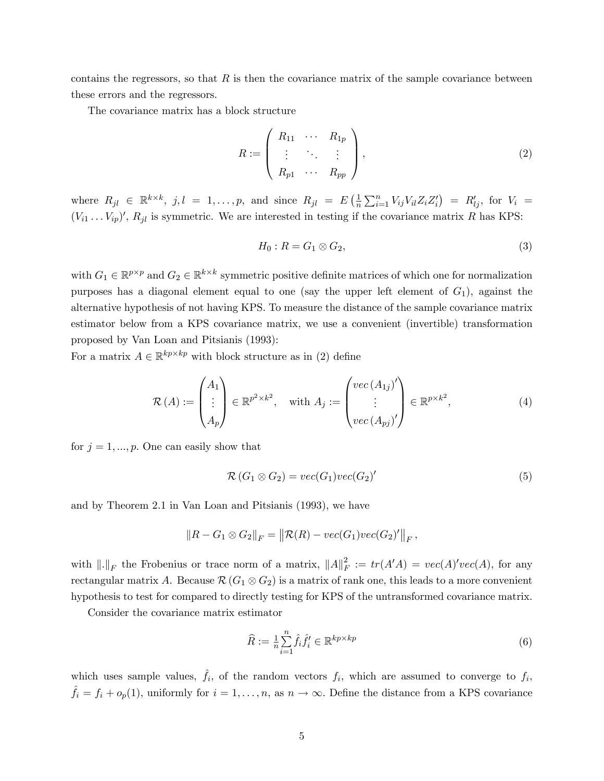contains the regressors, so that  $R$  is then the covariance matrix of the sample covariance between these errors and the regressors.

The covariance matrix has a block structure

$$
R := \left(\begin{array}{ccc} R_{11} & \cdots & R_{1p} \\ \vdots & \ddots & \vdots \\ R_{p1} & \cdots & R_{pp} \end{array}\right),\tag{2}
$$

where  $R_{jl} \in \mathbb{R}^{k \times k}$ ,  $j, l = 1, ..., p$ , and since  $R_{jl} = E\left(\frac{1}{n}\right)$  $\frac{1}{n} \sum_{i=1}^{n} V_{ij} V_{il} Z_i Z_i'$  =  $R'_{lj}$ , for  $V_i$  =  $(V_{i1} \ldots V_{ip})'$ ,  $R_{jl}$  is symmetric. We are interested in testing if the covariance matrix R has KPS:

$$
H_0: R = G_1 \otimes G_2,\tag{3}
$$

with  $G_1 \in \mathbb{R}^{p \times p}$  and  $G_2 \in \mathbb{R}^{k \times k}$  symmetric positive definite matrices of which one for normalization purposes has a diagonal element equal to one (say the upper left element of  $G_1$ ), against the alternative hypothesis of not having KPS. To measure the distance of the sample covariance matrix estimator below from a KPS covariance matrix, we use a convenient (invertible) transformation proposed by Van Loan and Pitsianis (1993):

For a matrix  $A \in \mathbb{R}^{kp \times kp}$  with block structure as in (2) define

$$
\mathcal{R}(A) := \begin{pmatrix} A_1 \\ \vdots \\ A_p \end{pmatrix} \in \mathbb{R}^{p^2 \times k^2}, \quad \text{with } A_j := \begin{pmatrix} vec(A_{1j})' \\ \vdots \\ vec(A_{pj})' \end{pmatrix} \in \mathbb{R}^{p \times k^2}, \tag{4}
$$

for  $j = 1, ..., p$ . One can easily show that

$$
\mathcal{R}(G_1 \otimes G_2) = vec(G_1)vec(G_2)'
$$
\n<sup>(5)</sup>

and by Theorem 2.1 in Van Loan and Pitsianis (1993), we have

$$
||R - G_1 \otimes G_2||_F = ||\mathcal{R}(R) - vec(G_1)vec(G_2)'||_F,
$$

with  $\|.\|_F$  the Frobenius or trace norm of a matrix,  $\|A\|_F^2$  $F^2$  :=  $tr(A'A)$  =  $vec(A)'vec(A)$ , for any rectangular matrix A. Because  $\mathcal{R}(G_1 \otimes G_2)$  is a matrix of rank one, this leads to a more convenient hypothesis to test for compared to directly testing for KPS of the untransformed covariance matrix.

Consider the covariance matrix estimator

$$
\widehat{R} := \frac{1}{n} \sum_{i=1}^{n} \widehat{f}_{i} \widehat{f}'_{i} \in \mathbb{R}^{kp \times kp} \tag{6}
$$

which uses sample values,  $\hat{f}_i$ , of the random vectors  $f_i$ , which are assumed to converge to  $f_i$ ,  $\hat{f}_i = f_i + o_p(1)$ , uniformly for  $i = 1, ..., n$ , as  $n \to \infty$ . Define the distance from a KPS covariance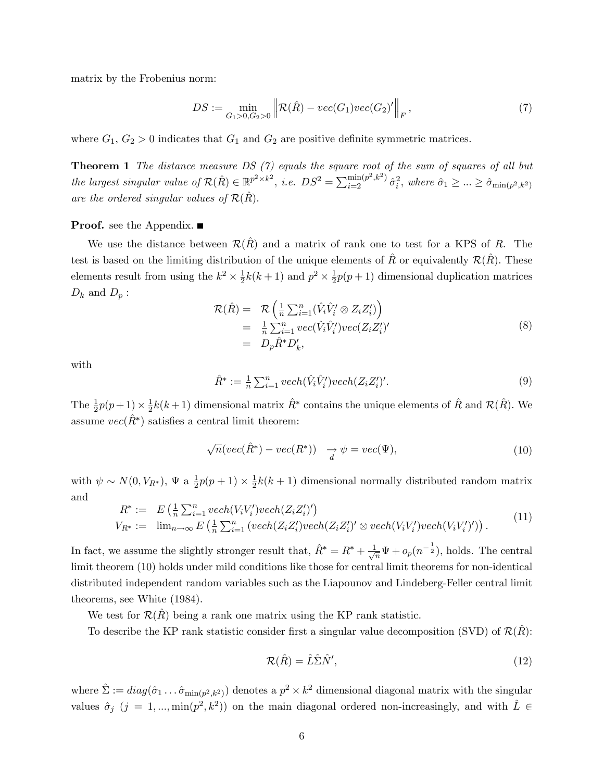matrix by the Frobenius norm:

$$
DS := \min_{G_1 > 0, G_2 > 0} \left\| \mathcal{R}(\hat{R}) - vec(G_1)vec(G_2)'\right\|_F,
$$
\n(7)

where  $G_1, G_2 > 0$  indicates that  $G_1$  and  $G_2$  are positive definite symmetric matrices.

**Theorem 1** The distance measure DS  $(7)$  equals the square root of the sum of squares of all but the largest singular value of  $\mathcal{R}(\hat{R}) \in \mathbb{R}^{p^2 \times k^2}$ , i.e.  $DS^2 = \sum_{i=2}^{\min(p^2, k^2)} \hat{\sigma}_i^2$ , where  $\hat{\sigma}_1 \geq ... \geq \hat{\sigma}_{\min(p^2, k^2)}$ are the ordered singular values of  $\mathcal{R}(\hat{R})$ .

#### **Proof.** see the Appendix. ■

We use the distance between  $\mathcal{R}(\hat{R})$  and a matrix of rank one to test for a KPS of R. The test is based on the limiting distribution of the unique elements of R or equivalently  $\mathcal{R}(R)$ . These elements result from using the  $k^2 \times \frac{1}{2}$  $\frac{1}{2}k(k+1)$  and  $p^2 \times \frac{1}{2}$  $\frac{1}{2}p(p+1)$  dimensional duplication matrices  $D_k$  and  $D_p$ :

$$
\mathcal{R}(\hat{R}) = \mathcal{R}\left(\frac{1}{n}\sum_{i=1}^{n}(\hat{V}_i\hat{V}'_i \otimes Z_iZ'_i)\right)
$$
  
\n
$$
= \frac{1}{n}\sum_{i=1}^{n}vec(\hat{V}_i\hat{V}'_i)vec(Z_iZ'_i)'
$$
  
\n
$$
= D_p\hat{R}^*D'_k,
$$
\n(8)

with

$$
\hat{R}^* := \frac{1}{n} \sum_{i=1}^n \operatorname{vech}(\hat{V}_i \hat{V}'_i) \operatorname{vech}(Z_i Z'_i)'.\tag{9}
$$

The  $\frac{1}{2}p(p+1)\times\frac{1}{2}$  $\frac{1}{2}k(k+1)$  dimensional matrix  $\hat{R}^*$  contains the unique elements of  $\hat{R}$  and  $\mathcal{R}(\hat{R})$ . We assume  $vec(\{R}^*)$  satisfies a central limit theorem:

$$
\sqrt{n}(vec(\hat{R}^*) - vec(R^*)) \quad \underset{d}{\rightarrow} \psi = vec(\Psi), \tag{10}
$$

with  $\psi \sim N(0, V_{R^*})$ ,  $\Psi$  a  $\frac{1}{2}$  $\frac{1}{2}p(p+1)\times\frac{1}{2}$  $\frac{1}{2}k(k+1)$  dimensional normally distributed random matrix and

$$
R^* := E\left(\frac{1}{n}\sum_{i=1}^n vech(V_iV_i')vech(Z_iZ_i')'\right)
$$
  
\n
$$
V_{R^*} := \lim_{n\to\infty} E\left(\frac{1}{n}\sum_{i=1}^n (vech(Z_iZ_i')vech(Z_iZ_i')' \otimes vech(V_iV_i')vech(V_iV_i'))\right).
$$
\n
$$
(11)
$$

In fact, we assume the slightly stronger result that,  $\hat{R}^* = R^* + \frac{1}{\sqrt{2}}$  $\frac{1}{n}\Psi + o_p(n^{-\frac{1}{2}})$ , holds. The central limit theorem (10) holds under mild conditions like those for central limit theorems for non-identical distributed independent random variables such as the Liapounov and Lindeberg-Feller central limit theorems, see White (1984).

We test for  $\mathcal{R}(R)$  being a rank one matrix using the KP rank statistic.

To describe the KP rank statistic consider first a singular value decomposition (SVD) of  $\mathcal{R}(\hat{R})$ :

$$
\mathcal{R}(\hat{R}) = \hat{L}\hat{\Sigma}\hat{N}',\tag{12}
$$

where  $\hat{\Sigma} := diag(\hat{\sigma}_1 \dots \hat{\sigma}_{\min(p^2, k^2)})$  denotes a  $p^2 \times k^2$  dimensional diagonal matrix with the singular values  $\hat{\sigma}_j$  ( $j = 1, ..., \min(p^2, k^2)$ ) on the main diagonal ordered non-increasingly, and with  $\hat{L} \in$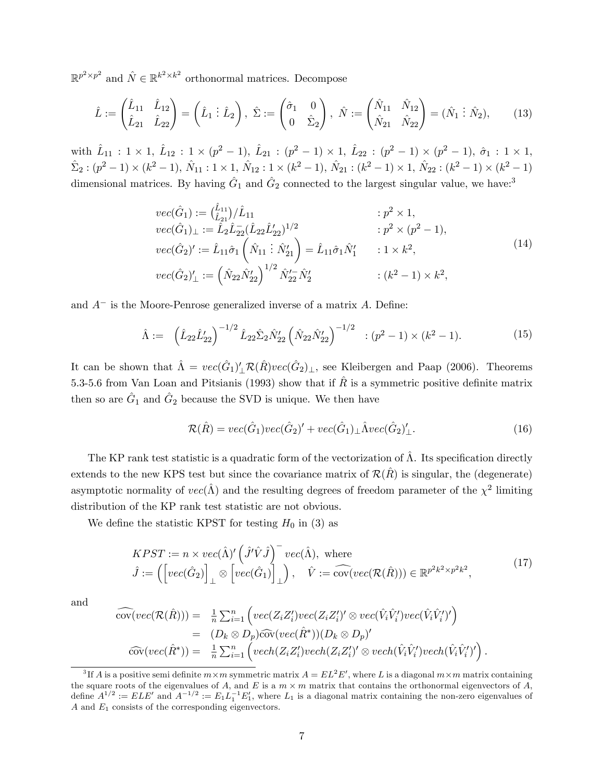$\mathbb{R}^{p^2 \times p^2}$  and  $\hat{N} \in \mathbb{R}^{k^2 \times k^2}$  orthonormal matrices. Decompose

$$
\hat{L} := \begin{pmatrix} \hat{L}_{11} & \hat{L}_{12} \\ \hat{L}_{21} & \hat{L}_{22} \end{pmatrix} = \begin{pmatrix} \hat{L}_1 \ \vdots \ \hat{L}_2 \end{pmatrix}, \ \hat{\Sigma} := \begin{pmatrix} \hat{\sigma}_1 & 0 \\ 0 & \hat{\Sigma}_2 \end{pmatrix}, \ \hat{N} := \begin{pmatrix} \hat{N}_{11} & \hat{N}_{12} \\ \hat{N}_{21} & \hat{N}_{22} \end{pmatrix} = (\hat{N}_1 \ \vdots \ \hat{N}_2), \tag{13}
$$

with  $\hat{L}_{11}$ :  $1 \times 1$ ,  $\hat{L}_{12}$ :  $1 \times (p^2 - 1)$ ,  $\hat{L}_{21}$ :  $(p^2 - 1) \times 1$ ,  $\hat{L}_{22}$ :  $(p^2 - 1) \times (p^2 - 1)$ ,  $\hat{\sigma}_1$ :  $1 \times 1$ ,  $\hat{\Sigma}_2 : (p^2 - 1) \times (k^2 - 1), \ \hat{N}_{11} : 1 \times 1, \ \hat{N}_{12} : 1 \times (k^2 - 1), \ \hat{N}_{21} : (k^2 - 1) \times 1, \ \hat{N}_{22} : (k^2 - 1) \times (k^2 - 1)$ dimensional matrices. By having  $\hat{G}_1$  and  $\hat{G}_2$  connected to the largest singular value, we have:<sup>3</sup>

$$
\begin{aligned}\nvec{G}_1 &= \left(\hat{L}_{11}\right) / \hat{L}_{11} &: p^2 \times 1, \\
vec{G}_1)_{\perp} &:= \hat{L}_2 \hat{L}_{22} (\hat{L}_{22} \hat{L}_{22}')^{1/2} &: p^2 \times (p^2 - 1), \\
vec{G}_2)' &:= \hat{L}_{11} \hat{\sigma}_1 \left(\hat{N}_{11} \cdot \hat{N}_{21}'\right) = \hat{L}_{11} \hat{\sigma}_1 \hat{N}_1' &: 1 \times k^2, \\
vec{G}_2)'_{\perp} &:= \left(\hat{N}_{22} \hat{N}_{22}'\right)^{1/2} \hat{N}_{22}' \hat{N}_2' &: (k^2 - 1) \times k^2,\n\end{aligned} \tag{14}
$$

and  $A^-$  is the Moore-Penrose generalized inverse of a matrix A. Define:

$$
\hat{\Lambda} := \left(\hat{L}_{22}\hat{L}_{22}'\right)^{-1/2} \hat{L}_{22}\hat{\Sigma}_2\hat{N}_{22}' \left(\hat{N}_{22}\hat{N}_{22}'\right)^{-1/2} \quad : (p^2 - 1) \times (k^2 - 1). \tag{15}
$$

It can be shown that  $\hat{\Lambda} = vec(\hat{G}_1)'_{\perp} \mathcal{R}(\hat{R})vec(\hat{G}_2)_{\perp}$ , see Kleibergen and Paap (2006). Theorems 5.3-5.6 from Van Loan and Pitsianis (1993) show that if R is a symmetric positive definite matrix then so are  $\hat{G}_1$  and  $\hat{G}_2$  because the SVD is unique. We then have

$$
\mathcal{R}(\hat{R}) = vec(\hat{G}_1) vec(\hat{G}_2)' + vec(\hat{G}_1)_{\perp} \hat{\Lambda} vec(\hat{G}_2)'_{\perp}.
$$
\n(16)

The KP rank test statistic is a quadratic form of the vectorization of  $\Lambda$ . Its specification directly extends to the new KPS test but since the covariance matrix of  $\mathcal{R}(\hat{R})$  is singular, the (degenerate) asymptotic normality of  $vec(\hat{\Lambda})$  and the resulting degrees of freedom parameter of the  $\chi^2$  limiting distribution of the KP rank test statistic are not obvious.

We define the statistic KPST for testing  $H_0$  in (3) as

$$
KPST := n \times vec(\hat{\Lambda})' \left(\hat{J}'\hat{V}\hat{J}\right)^{-} vec(\hat{\Lambda}), \text{ where}
$$
  

$$
\hat{J} := \left(\left[vec(\hat{G}_2)\right]_{\perp} \otimes \left[vec(\hat{G}_1)\right]_{\perp}\right), \quad \hat{V} := \widehat{cov}(vec(\mathcal{R}(\hat{R}))) \in \mathbb{R}^{p^2 k^2 \times p^2 k^2},
$$
 (17)

and

$$
\begin{array}{rcl}\n\widehat{\text{cov}}(\text{vec}(\mathcal{R}(\hat{R}))) & = & \frac{1}{n} \sum_{i=1}^{n} \left( \text{vec}(Z_i Z_i') \text{vec}(Z_i Z_i')' \otimes \text{vec}(\hat{V}_i \hat{V}_i') \text{vec}(\hat{V}_i \hat{V}_i')' \right) \\
& = & (D_k \otimes D_p) \widehat{\text{cov}}(\text{vec}(\hat{R}^*)) (D_k \otimes D_p)'\n\end{array}
$$
\n
$$
\widehat{\text{cov}}(\text{vec}(\hat{R}^*)) = \frac{1}{n} \sum_{i=1}^{n} \left( \text{vec}h(Z_i Z_i') \text{vec}h(Z_i Z_i')' \otimes \text{vec}h(\hat{V}_i \hat{V}_i') \text{vec}h(\hat{V}_i \hat{V}_i')' \right).
$$

<sup>&</sup>lt;sup>3</sup>If A is a positive semi definite  $m \times m$  symmetric matrix  $A = EL^2E'$ , where L is a diagonal  $m \times m$  matrix containing the square roots of the eigenvalues of A, and E is a  $m \times m$  matrix that contains the orthonormal eigenvectors of A, define  $A^{1/2} := ELE'$  and  $A^{-1/2} := E_1 L_1^{-1} E_1'$ , where  $L_1$  is a diagonal matrix containing the non-zero eigenvalues of A and  $E_1$  consists of the corresponding eigenvectors.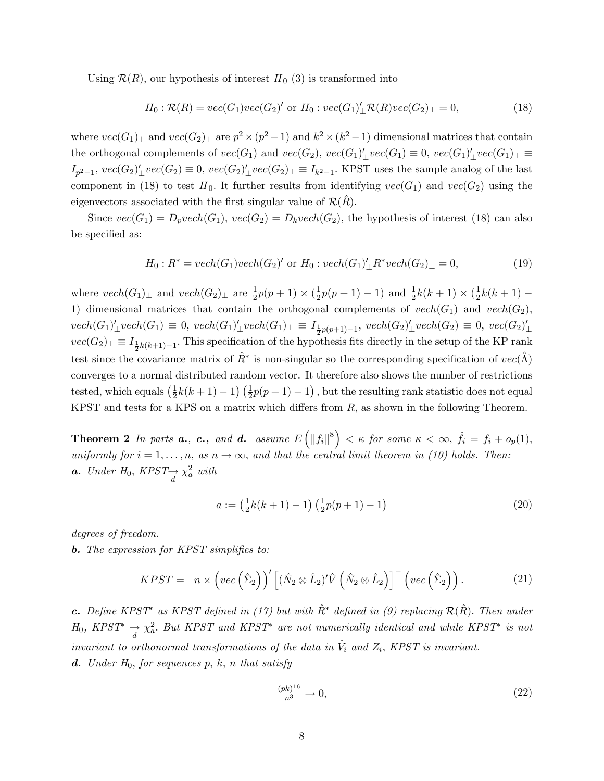Using  $\mathcal{R}(R)$ , our hypothesis of interest  $H_0$  (3) is transformed into

$$
H_0: \mathcal{R}(R) = vec(G_1)vec(G_2)' \text{ or } H_0: vec(G_1)'_{\perp} \mathcal{R}(R)vec(G_2)_{\perp} = 0,
$$
\n(18)

where  $vec(G_1)_\perp$  and  $vec(G_2)_\perp$  are  $p^2 \times (p^2 - 1)$  and  $k^2 \times (k^2 - 1)$  dimensional matrices that contain the orthogonal complements of  $vec(G_1)$  and  $vec(G_2)$ ,  $vec(G_1)'_\perp vec(G_1) \equiv 0$ ,  $vec(G_1)'_\perp vec(G_1)_\perp \equiv 0$  $I_{p^2-1}$ ,  $vec(G_2)'_ \perp vec(G_2) \equiv 0$ ,  $vec(G_2)'_ \perp vec(G_2)_ \perp \equiv I_{k^2-1}$ . KPST uses the sample analog of the last component in (18) to test  $H_0$ . It further results from identifying  $vec(G_1)$  and  $vec(G_2)$  using the eigenvectors associated with the first singular value of  $\mathcal{R}(R)$ .

Since  $vec(G_1) = D_pvech(G_1)$ ,  $vec(G_2) = D_kvech(G_2)$ , the hypothesis of interest (18) can also be specified as:

$$
H_0: R^* = vech(G_1)vech(G_2)' \text{ or } H_0: vech(G_1)' \_R^* vech(G_2) \_1 = 0,
$$
\n(19)

where  $vech(G_1)_{\perp}$  and  $vech(G_2)_{\perp}$  are  $\frac{1}{2}p(p+1) \times (\frac{1}{2})$  $\frac{1}{2}p(p+1)-1$  and  $\frac{1}{2}k(k+1) \times (\frac{1}{2})$  $\frac{1}{2}k(k+1)$  – 1) dimensional matrices that contain the orthogonal complements of  $vech(G_1)$  and  $vech(G_2)$ ,  $vech(G_1)'_ \perp vech(G_1) \equiv 0, \ vech(G_1)'_ \perp vech(G_1)_ \perp \equiv I_{\frac{1}{2}p(p+1)-1}, \ vech(G_2)'_ \perp vech(G_2) \equiv 0, \ vec(G_2)'_ \perp$  $vec(G_2)_\perp \equiv I_{\frac{1}{2}k(k+1)-1}$ . This specification of the hypothesis fits directly in the setup of the KP rank test since the covariance matrix of  $\hat{R}^*$  is non-singular so the corresponding specification of  $vec(\hat{\Lambda})$ converges to a normal distributed random vector. It therefore also shows the number of restrictions tested, which equals  $\left(\frac{1}{2}\right)$  $\frac{1}{2}k(k+1)-1$   $\left(\frac{1}{2}p(p+1)-1\right)$ , but the resulting rank statistic does not equal KPST and tests for a KPS on a matrix which differs from  $R$ , as shown in the following Theorem.

**Theorem 2** In parts **a.**, **c.**, and **d.** assume  $E\left(\Vert f_i \Vert^8\right) < \kappa$  for some  $\kappa < \infty$ ,  $\hat{f}_i = f_i + o_p(1)$ , uniformly for  $i = 1, ..., n$ , as  $n \to \infty$ , and that the central limit theorem in (10) holds. Then: **a.** Under  $H_0$ ,  $KPST \rightarrow \chi_a^2$  with

$$
a := \left(\frac{1}{2}k(k+1) - 1\right)\left(\frac{1}{2}p(p+1) - 1\right)
$$
\n(20)

degrees of freedom.

**b.** The expression for KPST simplifies to:

$$
KPST = n \times \left( vec \left( \hat{\Sigma}_2 \right) \right)' \left[ \left( \hat{N}_2 \otimes \hat{L}_2 \right)' \hat{V} \left( \hat{N}_2 \otimes \hat{L}_2 \right) \right]^{-} \left( vec \left( \hat{\Sigma}_2 \right) \right). \tag{21}
$$

c. Define KPST<sup>\*</sup> as KPST defined in (17) but with  $\hat{R}$ <sup>\*</sup> defined in (9) replacing  $\mathcal{R}(\hat{R})$ . Then under  $H_0$ , KPST<sup>\*</sup>  $\rightarrow \chi^2_a$ . But KPST and KPST<sup>\*</sup> are not numerically identical and while KPST<sup>\*</sup> is not invariant to orthonormal transformations of the data in  $\hat{V}_i$  and  $Z_i$ , KPST is invariant. **d.** Under  $H_0$ , for sequences p, k, n that satisfy

$$
\frac{(pk)^{16}}{n^3} \to 0,\tag{22}
$$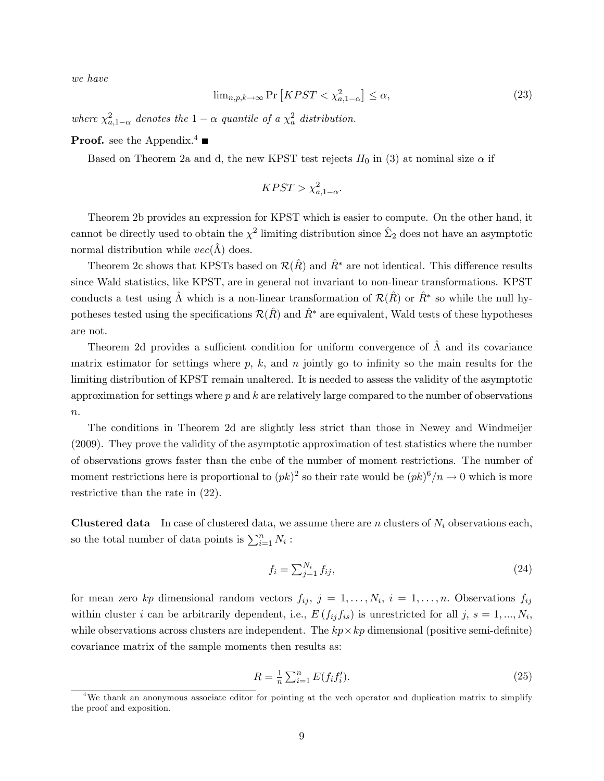we have

$$
\lim_{n,p,k\to\infty} \Pr\left[KPST < \chi^2_{a,1-\alpha}\right] \le \alpha,\tag{23}
$$

where  $\chi^2_{a,1-\alpha}$  denotes the  $1-\alpha$  quantile of a  $\chi^2_a$  distribution.

**Proof.** see the Appendix.<sup>4</sup>

Based on Theorem 2a and d, the new KPST test rejects  $H_0$  in (3) at nominal size  $\alpha$  if

$$
KPST > \chi^2_{a,1-\alpha}.
$$

Theorem 2b provides an expression for KPST which is easier to compute. On the other hand, it cannot be directly used to obtain the  $\chi^2$  limiting distribution since  $\hat{\Sigma}_2$  does not have an asymptotic normal distribution while  $vec(\hat{\Lambda})$  does.

Theorem 2c shows that KPSTs based on  $\mathcal{R}(\hat{R})$  and  $\hat{R}^*$  are not identical. This difference results since Wald statistics, like KPST, are in general not invariant to non-linear transformations. KPST conducts a test using  $\hat{\Lambda}$  which is a non-linear transformation of  $\mathcal{R}(\hat{R})$  or  $\hat{R}^*$  so while the null hypotheses tested using the specifications  $\mathcal{R}(\hat{R})$  and  $\hat{R}^*$  are equivalent, Wald tests of these hypotheses are not.

Theorem 2d provides a sufficient condition for uniform convergence of  $\hat{\Lambda}$  and its covariance matrix estimator for settings where  $p, k$ , and  $n$  jointly go to infinity so the main results for the limiting distribution of KPST remain unaltered. It is needed to assess the validity of the asymptotic approximation for settings where  $p$  and  $k$  are relatively large compared to the number of observations  $\boldsymbol{n}.$ 

The conditions in Theorem 2d are slightly less strict than those in Newey and Windmeijer (2009). They prove the validity of the asymptotic approximation of test statistics where the number of observations grows faster than the cube of the number of moment restrictions. The number of moment restrictions here is proportional to  $(pk)^2$  so their rate would be  $(pk)^6/n \rightarrow 0$  which is more restrictive than the rate in (22).

**Clustered data** In case of clustered data, we assume there are n clusters of  $N_i$  observations each, so the total number of data points is  $\sum_{i=1}^{n} N_i$ :

$$
f_i = \sum_{j=1}^{N_i} f_{ij},\tag{24}
$$

for mean zero kp dimensional random vectors  $f_{ij}, j = 1, \ldots, N_i, i = 1, \ldots, n$ . Observations  $f_{ij}$ within cluster *i* can be arbitrarily dependent, i.e.,  $E(f_{ij}f_{is})$  is unrestricted for all j,  $s = 1, ..., N_i$ , while observations across clusters are independent. The  $kp \times kp$  dimensional (positive semi-definite) covariance matrix of the sample moments then results as:

$$
R = \frac{1}{n} \sum_{i=1}^{n} E(f_i f_i').
$$
\n(25)

<sup>4</sup>We thank an anonymous associate editor for pointing at the vech operator and duplication matrix to simplify the proof and exposition.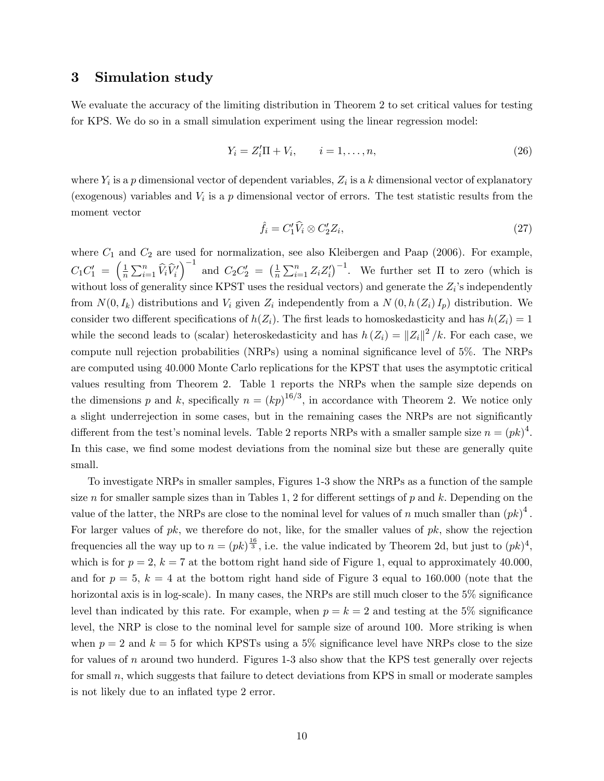#### 3 Simulation study

We evaluate the accuracy of the limiting distribution in Theorem 2 to set critical values for testing for KPS. We do so in a small simulation experiment using the linear regression model:

$$
Y_i = Z_i' \Pi + V_i, \qquad i = 1, ..., n,
$$
\n(26)

where  $Y_i$  is a p dimensional vector of dependent variables,  $Z_i$  is a k dimensional vector of explanatory (exogenous) variables and  $V_i$  is a p dimensional vector of errors. The test statistic results from the moment vector

$$
\hat{f}_i = C_1' \hat{V}_i \otimes C_2' Z_i,\tag{27}
$$

where  $C_1$  and  $C_2$  are used for normalization, see also Kleibergen and Paap (2006). For example,  $C_1C'_1 = \left(\frac{1}{n}\right)$  $\frac{1}{n} \sum_{i=1}^n \widehat{V}_i \widehat{V}'_i$  $\Big)^{-1}$  and  $C_2C_2' = \Big(\frac{1}{n}\Big)$  $\frac{1}{n}\sum_{i=1}^n Z_i Z'_i$ <sup>-1</sup>. We further set  $\Pi$  to zero (which is without loss of generality since KPST uses the residual vectors) and generate the  $Z_i$ 's independently from  $N(0, I_k)$  distributions and  $V_i$  given  $Z_i$  independently from a  $N(0, h(Z_i)I_p)$  distribution. We consider two different specifications of  $h(Z_i)$ . The first leads to homoskedasticity and has  $h(Z_i) = 1$ while the second leads to (scalar) heteroskedasticity and has  $h(Z_i) = ||Z_i||^2 / k$ . For each case, we compute null rejection probabilities (NRPs) using a nominal significance level of 5%. The NRPs are computed using 40.000 Monte Carlo replications for the KPST that uses the asymptotic critical values resulting from Theorem 2. Table 1 reports the NRPs when the sample size depends on the dimensions p and k, specifically  $n = (kp)^{16/3}$ , in accordance with Theorem 2. We notice only a slight underrejection in some cases, but in the remaining cases the NRPs are not significantly different from the test's nominal levels. Table 2 reports NRPs with a smaller sample size  $n = (pk)^4$ . In this case, we find some modest deviations from the nominal size but these are generally quite small.

To investigate NRPs in smaller samples, Figures 1-3 show the NRPs as a function of the sample size n for smaller sample sizes than in Tables 1, 2 for different settings of p and k. Depending on the value of the latter, the NRPs are close to the nominal level for values of n much smaller than  $(pk)^4$ . For larger values of  $pk$ , we therefore do not, like, for the smaller values of  $pk$ , show the rejection frequencies all the way up to  $n = (pk)^{\frac{16}{3}}$ , i.e. the value indicated by Theorem 2d, but just to  $(pk)^4$ , which is for  $p = 2$ ,  $k = 7$  at the bottom right hand side of Figure 1, equal to approximately 40.000, and for  $p = 5$ ,  $k = 4$  at the bottom right hand side of Figure 3 equal to 160.000 (note that the horizontal axis is in log-scale). In many cases, the NRPs are still much closer to the  $5\%$  significance level than indicated by this rate. For example, when  $p = k = 2$  and testing at the 5% significance level, the NRP is close to the nominal level for sample size of around 100. More striking is when when  $p = 2$  and  $k = 5$  for which KPSTs using a 5% significance level have NRPs close to the size for values of  $n$  around two hunderd. Figures 1-3 also show that the KPS test generally over rejects for small  $n$ , which suggests that failure to detect deviations from KPS in small or moderate samples is not likely due to an inflated type 2 error.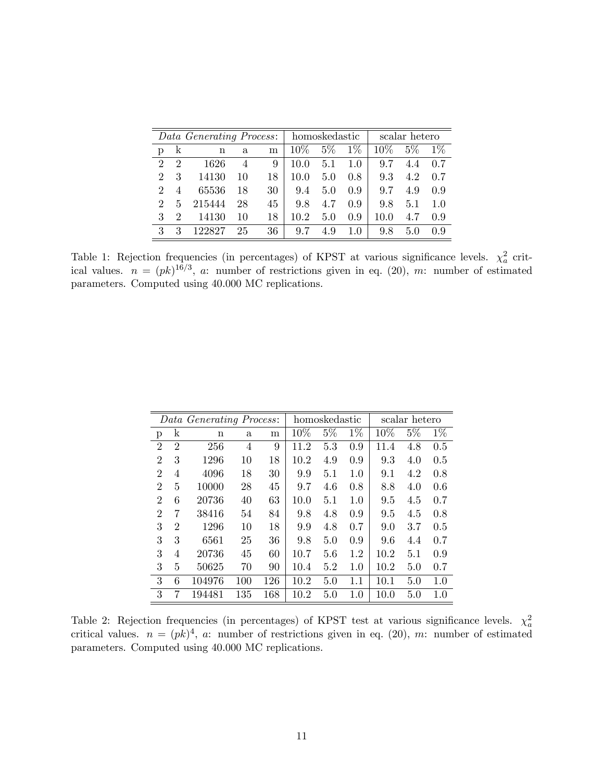| <i>Data Generating Process</i> :   homoskedastic |                             |             |              |    |        |       |         | scalar hetero |       |       |  |
|--------------------------------------------------|-----------------------------|-------------|--------------|----|--------|-------|---------|---------------|-------|-------|--|
| p                                                | k                           | $\mathbf n$ | $\mathbf{a}$ | m  | $10\%$ | $5\%$ | $1\%$   | $10\%$        | $5\%$ | $1\%$ |  |
| $\mathcal{D}$                                    | $\mathfrak{D}$              | 1626        | 4            | 9  | 10.0   | 5.1   | 1.0     | 9.7           | 4.4   | 0.7   |  |
| $\mathcal{D}_{\mathcal{L}}$                      | 3                           | 14130       | 10           | 18 | 10.0   | 5.0   | 0.8     | 9.3           | 4.2   | 0.7   |  |
| $\mathcal{D}$                                    | $\overline{4}$              | 65536       | 18           | 30 | 9.4    | 5.0   | 0.9     | 9.7           | 4.9   | 0.9   |  |
| $\mathcal{D}_{\mathcal{L}}$                      | 5                           | 215444      | 28           | 45 | 9.8    | 4.7   | 0.9     | 9.8           | 5.1   | 1.0   |  |
| 3                                                | $\mathcal{D}_{\mathcal{L}}$ | 14130       | 10           | 18 | 10.2   | 5.0   | 0.9     | 10.0          | 4.7   | 0.9   |  |
| 3                                                | 3                           | 122827      | 25           | 36 | 9.7    | 4.9   | $1.0\,$ | 9.8           | 5.0   | 0.9   |  |

Table 1: Rejection frequencies (in percentages) of KPST at various significance levels.  $\chi^2_a$  critical values.  $n = (pk)^{16/3}$ , a: number of restrictions given in eq. (20), m: number of estimated parameters. Computed using 40.000 MC replications.

|                           |                | Data Generating Process: |              |     |      | homoskedastic |       | scalar hetero |       |       |  |  |
|---------------------------|----------------|--------------------------|--------------|-----|------|---------------|-------|---------------|-------|-------|--|--|
| $\boldsymbol{\mathrm{p}}$ | k              | $\mathbf n$              | $\mathbf{a}$ | m   | 10%  | $5\%$         | $1\%$ | 10%           | $5\%$ | $1\%$ |  |  |
| $\overline{2}$            | $\overline{2}$ | 256                      | 4            | 9   | 11.2 | 5.3           | 0.9   | 11.4          | 4.8   | 0.5   |  |  |
| $\overline{2}$            | 3              | 1296                     | 10           | 18  | 10.2 | 4.9           | 0.9   | 9.3           | 4.0   | 0.5   |  |  |
| $\overline{2}$            | 4              | 4096                     | 18           | 30  | 9.9  | 5.1           | 1.0   | 9.1           | 4.2   | 0.8   |  |  |
| $\overline{2}$            | 5              | 10000                    | 28           | 45  | 9.7  | 4.6           | 0.8   | 8.8           | 4.0   | 0.6   |  |  |
| $\overline{2}$            | 6              | 20736                    | 40           | 63  | 10.0 | 5.1           | 1.0   | 9.5           | 4.5   | 0.7   |  |  |
| $\overline{2}$            | 7              | 38416                    | 54           | 84  | 9.8  | 4.8           | 0.9   | 9.5           | 4.5   | 0.8   |  |  |
| 3                         | $\overline{2}$ | 1296                     | 10           | 18  | 9.9  | 4.8           | 0.7   | 9.0           | 3.7   | 0.5   |  |  |
| 3                         | 3              | 6561                     | 25           | 36  | 9.8  | 5.0           | 0.9   | 9.6           | 4.4   | 0.7   |  |  |
| 3                         | 4              | 20736                    | 45           | 60  | 10.7 | 5.6           | 1.2   | 10.2          | 5.1   | 0.9   |  |  |
| 3                         | 5              | 50625                    | 70           | 90  | 10.4 | 5.2           | 1.0   | 10.2          | 5.0   | 0.7   |  |  |
| 3                         | 6              | 104976                   | 100          | 126 | 10.2 | 5.0           | 1.1   | 10.1          | 5.0   | 1.0   |  |  |
| 3                         |                | 194481                   | 135          | 168 | 10.2 | 5.0           | 1.0   | 10.0          | 5.0   | 1.0   |  |  |

Table 2: Rejection frequencies (in percentages) of KPST test at various significance levels.  $\chi^2_a$ critical values.  $n = (pk)^4$ , a: number of restrictions given in eq. (20), m: number of estimated parameters. Computed using 40.000 MC replications.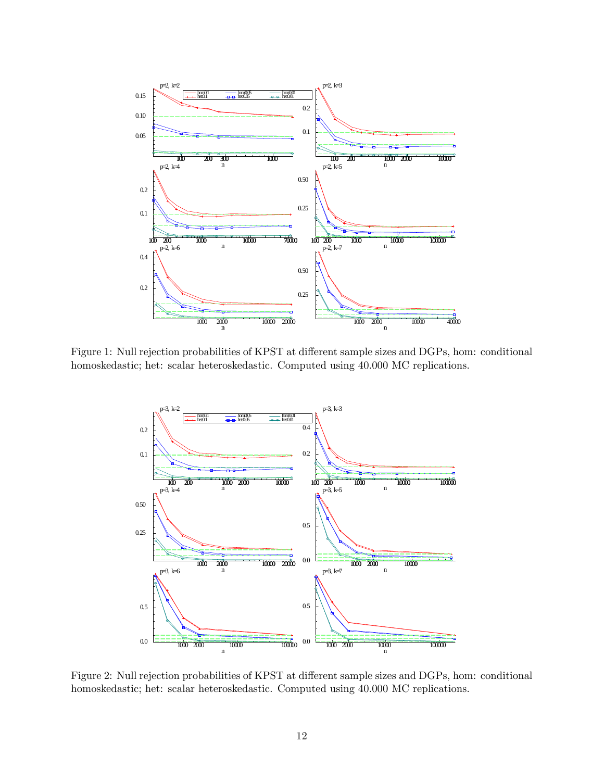

Figure 1: Null rejection probabilities of KPST at different sample sizes and DGPs, hom: conditional homoskedastic; het: scalar heteroskedastic. Computed using 40.000 MC replications.



Figure 2: Null rejection probabilities of KPST at different sample sizes and DGPs, hom: conditional homoskedastic; het: scalar heteroskedastic. Computed using 40.000 MC replications.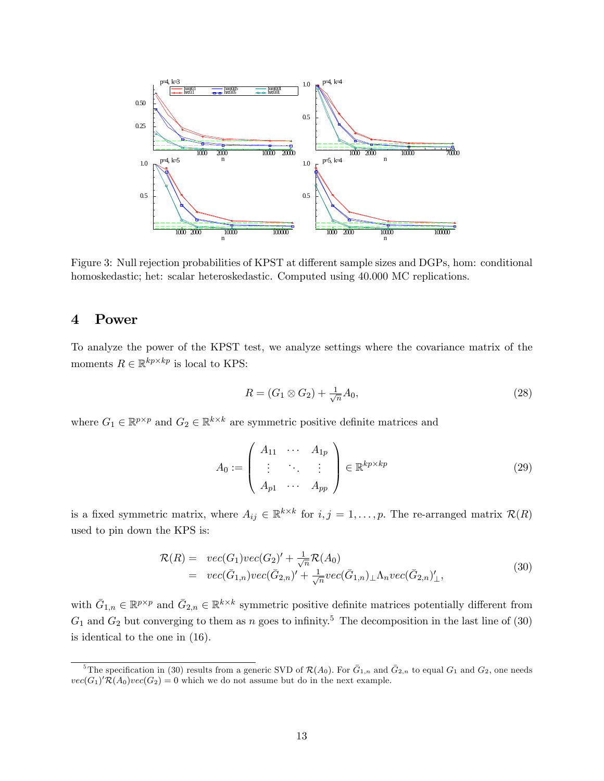

Figure 3: Null rejection probabilities of KPST at different sample sizes and DGPs, hom: conditional homoskedastic; het: scalar heteroskedastic. Computed using 40.000 MC replications.

### 4 Power

To analyze the power of the KPST test, we analyze settings where the covariance matrix of the moments  $R \in \mathbb{R}^{kp \times kp}$  is local to KPS:

$$
R = (G_1 \otimes G_2) + \frac{1}{\sqrt{n}} A_0,\tag{28}
$$

where  $G_1 \in \mathbb{R}^{p \times p}$  and  $G_2 \in \mathbb{R}^{k \times k}$  are symmetric positive definite matrices and

$$
A_0 := \left( \begin{array}{ccc} A_{11} & \cdots & A_{1p} \\ \vdots & \ddots & \vdots \\ A_{p1} & \cdots & A_{pp} \end{array} \right) \in \mathbb{R}^{kp \times kp} \tag{29}
$$

is a fixed symmetric matrix, where  $A_{ij} \in \mathbb{R}^{k \times k}$  for  $i, j = 1, ..., p$ . The re-arranged matrix  $\mathcal{R}(R)$ used to pin down the KPS is:

$$
\mathcal{R}(R) = vec(G_1)vec(G_2)' + \frac{1}{\sqrt{n}} \mathcal{R}(A_0)
$$
  
= vec(\bar{G}\_{1,n})vec(\bar{G}\_{2,n})' + \frac{1}{\sqrt{n}}vec(\bar{G}\_{1,n}) \perp \Lambda\_n vec(\bar{G}\_{2,n})'\_{\perp}, (30)

with  $\bar{G}_{1,n} \in \mathbb{R}^{p \times p}$  and  $\bar{G}_{2,n} \in \mathbb{R}^{k \times k}$  symmetric positive definite matrices potentially different from  $G_1$  and  $G_2$  but converging to them as n goes to infinity.<sup>5</sup> The decomposition in the last line of (30) is identical to the one in (16).

<sup>&</sup>lt;sup>5</sup>The specification in (30) results from a generic SVD of  $\mathcal{R}(A_0)$ . For  $\bar{G}_{1,n}$  and  $\bar{G}_{2,n}$  to equal  $G_1$  and  $G_2$ , one needs  $vec(G_1)'R(A_0)vec(G_2) = 0$  which we do not assume but do in the next example.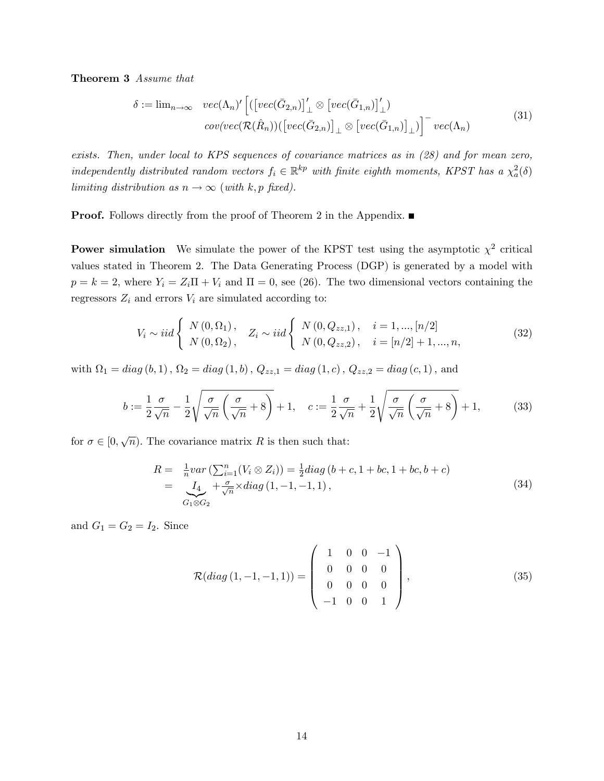Theorem 3 Assume that

$$
\delta := \lim_{n \to \infty} \operatorname{vec}(\Lambda_n)' \left[ \left( \left[ \operatorname{vec}(\bar{G}_{2,n}) \right]_{\perp}' \otimes \left[ \operatorname{vec}(\bar{G}_{1,n}) \right]_{\perp}' \right) \right] \operatorname{cov}(\operatorname{vec}(\mathcal{R}(\hat{R}_n)) \left( \left[ \operatorname{vec}(\bar{G}_{2,n}) \right]_{\perp} \otimes \left[ \operatorname{vec}(\bar{G}_{1,n}) \right]_{\perp} \right) \right]^{-} \operatorname{vec}(\Lambda_n)
$$
\n(31)

exists. Then, under local to KPS sequences of covariance matrices as in (28) and for mean zero, independently distributed random vectors  $f_i \in \mathbb{R}^{kp}$  with finite eighth moments, KPST has a  $\chi^2_a(\delta)$ limiting distribution as  $n \to \infty$  (with k, p fixed).

**Proof.** Follows directly from the proof of Theorem 2 in the Appendix. ■

**Power simulation** We simulate the power of the KPST test using the asymptotic  $\chi^2$  critical values stated in Theorem 2. The Data Generating Process (DGP) is generated by a model with  $p = k = 2$ , where  $Y_i = Z_i \Pi + V_i$  and  $\Pi = 0$ , see (26). The two dimensional vectors containing the regressors  $Z_i$  and errors  $V_i$  are simulated according to:

$$
V_i \sim iid \left\{ \begin{array}{ll} N(0, \Omega_1), & Z_i \sim iid \left\{ \begin{array}{ll} N(0, Q_{zz,1}), & i = 1, ..., [n/2] \\ N(0, \Omega_2), & N(0, Q_{zz,2}), & i = [n/2] + 1, ..., n, \end{array} \right. \end{array} \right. \tag{32}
$$

with  $\Omega_1 = diag(b,1)$  ,  $\Omega_2 = diag(1,b)$  ,  $Q_{zz,1} = diag(1,c)$  ,  $Q_{zz,2} = diag(c,1)$  , and

$$
b := \frac{1}{2} \frac{\sigma}{\sqrt{n}} - \frac{1}{2} \sqrt{\frac{\sigma}{\sqrt{n}} \left( \frac{\sigma}{\sqrt{n}} + 8 \right)} + 1, \quad c := \frac{1}{2} \frac{\sigma}{\sqrt{n}} + \frac{1}{2} \sqrt{\frac{\sigma}{\sqrt{n}} \left( \frac{\sigma}{\sqrt{n}} + 8 \right)} + 1, \tag{33}
$$

for  $\sigma \in [0, \sqrt{n})$ . The covariance matrix R is then such that:

$$
R = \frac{1}{n}var\left(\sum_{i=1}^{n} (V_i \otimes Z_i)\right) = \frac{1}{2}diag(b+c, 1+bc, 1+bc, b+c)
$$
  
= 
$$
\underbrace{I_4}_{G_1 \otimes G_2} + \frac{\sigma}{\sqrt{n}} \times diag(1, -1, -1, 1),
$$
 (34)

and  $G_1 = G_2 = I_2$ . Since

$$
\mathcal{R}(diag(1,-1,-1,1)) = \begin{pmatrix} 1 & 0 & 0 & -1 \\ 0 & 0 & 0 & 0 \\ 0 & 0 & 0 & 0 \\ -1 & 0 & 0 & 1 \end{pmatrix},
$$
\n(35)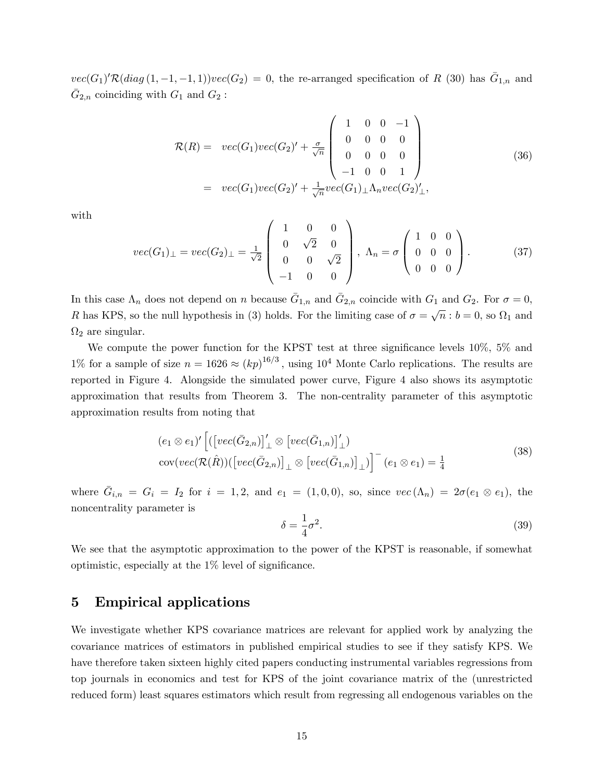$vec(G_1)R(diag(1,-1,-1,1))vec(G_2) = 0$ , the re-arranged specification of R (30) has  $\bar{G}_{1,n}$  and  $\bar{G}_{2,n}$  coinciding with  $G_1$  and  $G_2$ :

$$
\mathcal{R}(R) = vec(G_1)vec(G_2)' + \frac{\sigma}{\sqrt{n}} \begin{pmatrix} 1 & 0 & 0 & -1 \\ 0 & 0 & 0 & 0 \\ 0 & 0 & 0 & 0 \\ -1 & 0 & 0 & 1 \end{pmatrix}
$$
(36)  
= vec(G\_1)vec(G\_2)' +  $\frac{1}{\sqrt{n}}vec(G_1) \perp \Lambda_n vec(G_2)'$ ,

with

$$
vec(G_1)_{\perp} = vec(G_2)_{\perp} = \frac{1}{\sqrt{2}} \begin{pmatrix} 1 & 0 & 0 \\ 0 & \sqrt{2} & 0 \\ 0 & 0 & \sqrt{2} \\ -1 & 0 & 0 \end{pmatrix}, \ \Lambda_n = \sigma \begin{pmatrix} 1 & 0 & 0 \\ 0 & 0 & 0 \\ 0 & 0 & 0 \end{pmatrix}.
$$
 (37)

In this case  $\Lambda_n$  does not depend on n because  $\bar{G}_{1,n}$  and  $\bar{G}_{2,n}$  coincide with  $G_1$  and  $G_2$ . For  $\sigma = 0$ , R has KPS, so the null hypothesis in (3) holds. For the limiting case of  $\sigma = \sqrt{n}$ :  $b = 0$ , so  $\Omega_1$  and  $\Omega_2$  are singular.

We compute the power function for the KPST test at three significance levels  $10\%$ ,  $5\%$  and 1% for a sample of size  $n = 1626 \approx (kp)^{16/3}$ , using 10<sup>4</sup> Monte Carlo replications. The results are reported in Figure 4. Alongside the simulated power curve, Figure 4 also shows its asymptotic approximation that results from Theorem 3. The non-centrality parameter of this asymptotic approximation results from noting that

$$
(e_1 \otimes e_1)' \left[ \left( \left[ vec(\bar{G}_{2,n}) \right]_{\perp}' \otimes \left[ vec(\bar{G}_{1,n}) \right]_{\perp}' \right) \right]
$$
  
 
$$
cov( vec(\mathcal{R}(\hat{R})) \left( \left[ vec(\bar{G}_{2,n}) \right]_{\perp} \otimes \left[ vec(\bar{G}_{1,n}) \right]_{\perp} \right) \right]^{-} (e_1 \otimes e_1) = \frac{1}{4}
$$
 (38)

where  $\bar{G}_{i,n} = G_i = I_2$  for  $i = 1, 2$ , and  $e_1 = (1, 0, 0)$ , so, since  $vec(\Lambda_n) = 2\sigma(e_1 \otimes e_1)$ , the noncentrality parameter is

$$
\delta = \frac{1}{4}\sigma^2. \tag{39}
$$

We see that the asymptotic approximation to the power of the KPST is reasonable, if somewhat optimistic, especially at the  $1\%$  level of significance.

#### 5 Empirical applications

We investigate whether KPS covariance matrices are relevant for applied work by analyzing the covariance matrices of estimators in published empirical studies to see if they satisfy KPS. We have therefore taken sixteen highly cited papers conducting instrumental variables regressions from top journals in economics and test for KPS of the joint covariance matrix of the (unrestricted reduced form) least squares estimators which result from regressing all endogenous variables on the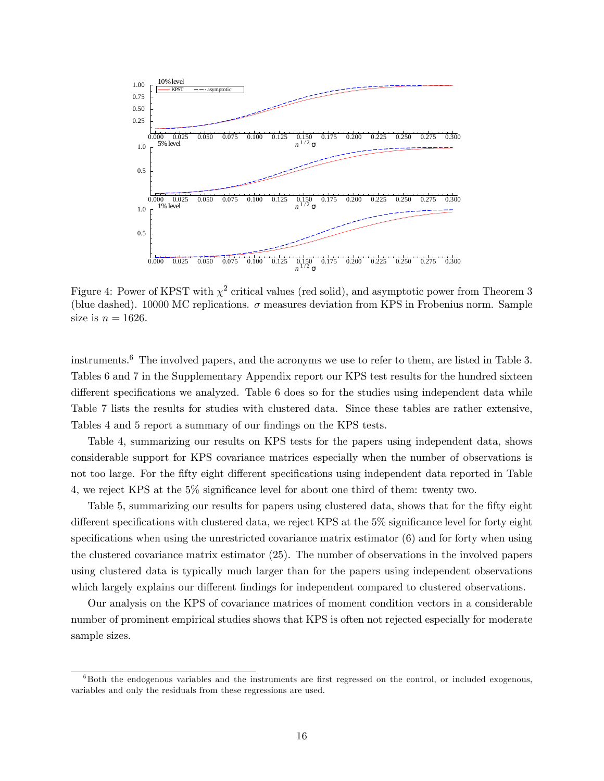

Figure 4: Power of KPST with  $\chi^2$  critical values (red solid), and asymptotic power from Theorem 3 (blue dashed). 10000 MC replications.  $\sigma$  measures deviation from KPS in Frobenius norm. Sample size is  $n = 1626$ .

instruments.<sup>6</sup> The involved papers, and the acronyms we use to refer to them, are listed in Table 3. Tables 6 and 7 in the Supplementary Appendix report our KPS test results for the hundred sixteen different specifications we analyzed. Table  $6$  does so for the studies using independent data while Table 7 lists the results for studies with clustered data. Since these tables are rather extensive, Tables 4 and 5 report a summary of our findings on the KPS tests.

Table 4, summarizing our results on KPS tests for the papers using independent data, shows considerable support for KPS covariance matrices especially when the number of observations is not too large. For the fifty eight different specifications using independent data reported in Table 4, we reject KPS at the 5% significance level for about one third of them: twenty two.

Table 5, summarizing our results for papers using clustered data, shows that for the fifty eight different specifications with clustered data, we reject KPS at the  $5\%$  significance level for forty eight specifications when using the unrestricted covariance matrix estimator  $(6)$  and for forty when using the clustered covariance matrix estimator (25). The number of observations in the involved papers using clustered data is typically much larger than for the papers using independent observations which largely explains our different findings for independent compared to clustered observations.

Our analysis on the KPS of covariance matrices of moment condition vectors in a considerable number of prominent empirical studies shows that KPS is often not rejected especially for moderate sample sizes.

 $6B$ oth the endogenous variables and the instruments are first regressed on the control, or included exogenous, variables and only the residuals from these regressions are used.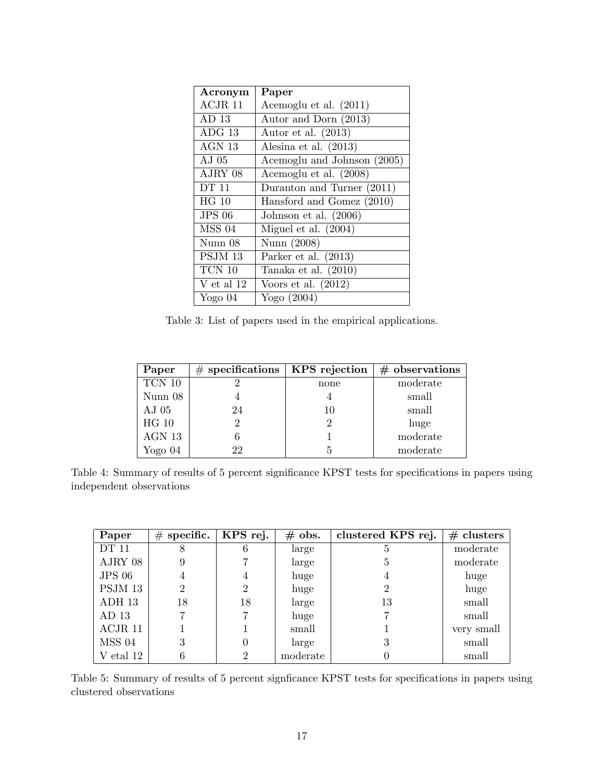| Acronym          | Paper                       |
|------------------|-----------------------------|
| ACJR 11          | Acemoglu et al. (2011)      |
| AD <sub>13</sub> | Autor and Dorn (2013)       |
| ADG 13           | Autor et al. $(2013)$       |
| AGN 13           | Alesina et al. $(2013)$     |
| A.J 05           | Acemoglu and Johnson (2005) |
| AJRY 08          | Acemoglu et al. (2008)      |
| DT 11            | Duranton and Turner (2011)  |
| HG 10            | Hansford and Gomez (2010)   |
| <b>JPS 06</b>    | Johnson et al. $(2006)$     |
| <b>MSS 04</b>    | Miguel et al. (2004)        |
| Nunn 08          | Nunn (2008)                 |
| PSJM 13          | Parker et al. $(2013)$      |
| TCN 10           | Tanaka et al. $(2010)$      |
| V et al $12$     | Voors et al. $(2012)$       |
| Yogo $04$        | Yogo (2004)                 |

Table 3: List of papers used in the empirical applications.

| Paper      | $#$ specifications | KPS rejection | $#$ observations |
|------------|--------------------|---------------|------------------|
| $TCN$ $10$ |                    | none          | moderate         |
| Nunn 08    |                    |               | small            |
| $AJ$ 05    | 24                 | 10            | small            |
| HG 10      | 2                  |               | huge             |
| AGN 13     |                    |               | moderate         |
| Yogo $04$  | 22                 | 5             | moderate         |

Table 4: Summary of results of 5 percent significance KPST tests for specifications in papers using independent observations

| Paper            | $\#$ specific. | KPS rej. | $#$ obs. | clustered KPS rej. | $#$ clusters |
|------------------|----------------|----------|----------|--------------------|--------------|
| <b>DT 11</b>     |                | n        | large    | 5                  | moderate     |
| AJRY 08          |                |          | large    | 5                  | moderate     |
| <b>JPS 06</b>    | 4              | 4        | huge     | 4                  | huge         |
| PSJM 13          | 2              |          | huge     | $\overline{2}$     | huge         |
| ADH 13           | 18             | 18       | large    | 13                 | small        |
| AD <sub>13</sub> |                |          | huge     |                    | small        |
| ACJR 11          |                |          | small    |                    | very small   |
| <b>MSS 04</b>    | 3              |          | large    | 3                  | small        |
| V etal 12        | 6              |          | moderate |                    | small        |

Table 5: Summary of results of 5 percent signficance KPST tests for specifications in papers using clustered observations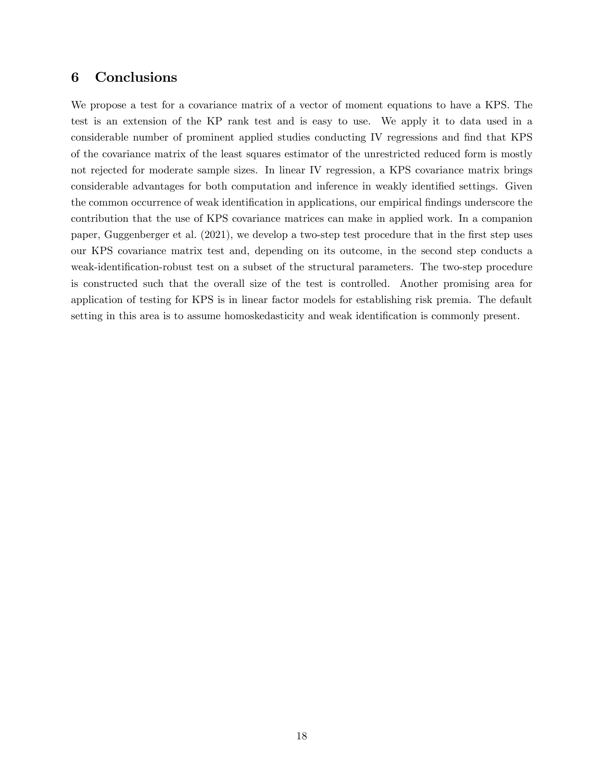## 6 Conclusions

We propose a test for a covariance matrix of a vector of moment equations to have a KPS. The test is an extension of the KP rank test and is easy to use. We apply it to data used in a considerable number of prominent applied studies conducting IV regressions and find that KPS of the covariance matrix of the least squares estimator of the unrestricted reduced form is mostly not rejected for moderate sample sizes. In linear IV regression, a KPS covariance matrix brings considerable advantages for both computation and inference in weakly identified settings. Given the common occurrence of weak identification in applications, our empirical findings underscore the contribution that the use of KPS covariance matrices can make in applied work. In a companion paper, Guggenberger et al. (2021), we develop a two-step test procedure that in the first step uses our KPS covariance matrix test and, depending on its outcome, in the second step conducts a weak-identification-robust test on a subset of the structural parameters. The two-step procedure is constructed such that the overall size of the test is controlled. Another promising area for application of testing for KPS is in linear factor models for establishing risk premia. The default setting in this area is to assume homoskedasticity and weak identification is commonly present.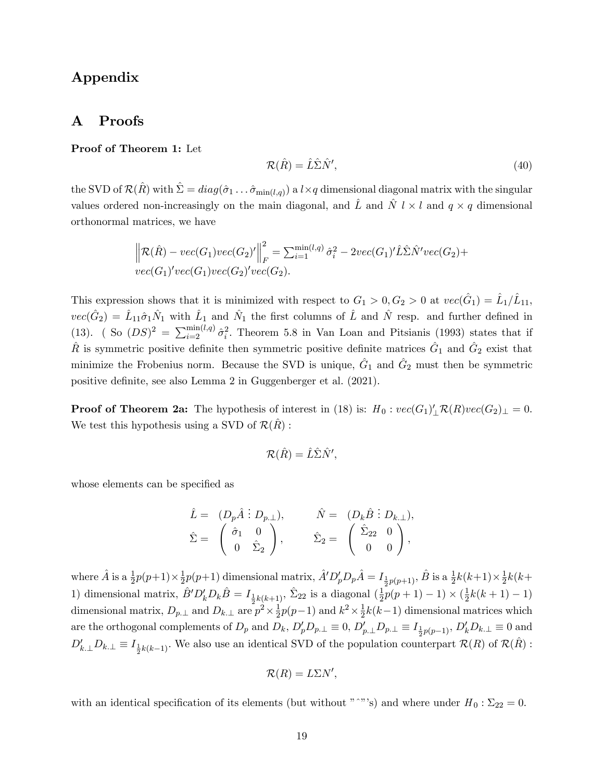### Appendix

### A Proofs

#### Proof of Theorem 1: Let

$$
\mathcal{R}(\hat{R}) = \hat{L}\hat{\Sigma}\hat{N}',\tag{40}
$$

the SVD of  $\mathcal{R}(\hat{R})$  with  $\hat{\Sigma} = diag(\hat{\sigma}_1 \dots \hat{\sigma}_{\min(l,q)})$  a  $l \times q$  dimensional diagonal matrix with the singular values ordered non-increasingly on the main diagonal, and  $\hat{L}$  and  $\hat{N}$  l  $\times$  l and  $q \times q$  dimensional orthonormal matrices, we have

$$
\left\| \mathcal{R}(\hat{R}) - vec(G_1)vec(G_2)' \right\|_F^2 = \sum_{i=1}^{\min(l,q)} \hat{\sigma}_i^2 - 2vec(G_1)'\hat{L}\hat{\Sigma}\hat{N}'vec(G_2) + vec(G_1)'vec(G_1)vec(G_2)'\text{vec}(G_2).
$$

This expression shows that it is minimized with respect to  $G_1 > 0, G_2 > 0$  at  $vec(\hat{G}_1) = \hat{L}_1/\hat{L}_{11}$ ,  $vec(\hat{G}_2) = \hat{L}_{11}\hat{\sigma}_1\hat{N}_1$  with  $\hat{L}_1$  and  $\hat{N}_1$  the first columns of  $\hat{L}$  and  $\hat{N}$  resp. and further defined in (13). (So  $(DS)^2 = \sum_{i=2}^{\min(l,q)} \hat{\sigma}_i^2$ . Theorem 5.8 in Van Loan and Pitsianis (1993) states that if  $\hat{R}$  is symmetric positive definite then symmetric positive definite matrices  $\hat{G}_1$  and  $\hat{G}_2$  exist that minimize the Frobenius norm. Because the SVD is unique,  $\hat{G}_1$  and  $\hat{G}_2$  must then be symmetric positive definite, see also Lemma 2 in Guggenberger et al.  $(2021)$ .

**Proof of Theorem 2a:** The hypothesis of interest in (18) is:  $H_0: vec(G_1)'_L \mathcal{R}(R) vec(G_2)_\perp = 0.$ We test this hypothesis using a SVD of  $\mathcal{R}(R)$  :

$$
\mathcal{R}(\hat{R}) = \hat{L}\hat{\Sigma}\hat{N}',
$$

whose elements can be specified as

$$
\begin{array}{rcl} \hat{L}=&(D_p\hat{A}\ \vdots\ D_{p\perp}),\qquad &&\hat{N}=&(D_k\hat{B}\ \vdots\ D_{k\perp}),\\ \hat{\Sigma}=&\left(\begin{array}{cc}\hat{\sigma}_1&0\\0&\hat{\Sigma}_2\end{array}\right),\qquad &&\hat{\Sigma}_2=&\left(\begin{array}{cc}\hat{\Sigma}_{22}&0\\0&0\end{array}\right), \end{array}
$$

where  $\hat{A}$  is a  $\frac{1}{2}p(p+1)\times\frac{1}{2}$  $\frac{1}{2}p(p+1)$  dimensional matrix,  $\hat{A}^{\prime}D_{p}^{\prime}D_{p}\hat{A} = I_{\frac{1}{2}p(p+1)},$   $\hat{B}$  is a  $\frac{1}{2}k(k+1)\times\frac{1}{2}$  $\frac{1}{2}k(k+$ 1) dimensional matrix,  $\hat{B}^{\prime}D_{k}^{\prime}D_{k}\hat{B} = I_{\frac{1}{2}k(k+1)}, \hat{\Sigma}_{22}$  is a diagonal  $(\frac{1}{2})$ dimensional matrix,  $D_{p,\perp}$  and  $D_{k,\perp}$  are  $p^2 \times \frac{1}{2}$  $\frac{1}{2}p(p+1)-1)\times(\frac{1}{2})$  $\frac{1}{2}k(k+1)-1)$  $\frac{1}{2}p(p-1)$  and  $k^2 \times \frac{1}{2}$  $\frac{1}{2}k(k-1)$  dimensional matrices which are the orthogonal complements of  $D_p$  and  $D_k$ ,  $D'_p D_{p,\perp} \equiv 0$ ,  $D'_{p,\perp} D_{p,\perp} \equiv I_{\frac{1}{2}p(p-1)}$ ,  $D'_k D_{k,\perp} \equiv 0$  and  $D'_{k,\perp}D_{k,\perp} \equiv I_{\frac{1}{2}k(k-1)}$ . We also use an identical SVD of the population counterpart  $\mathcal{R}(R)$  of  $\mathcal{R}(\hat{R})$ :

$$
\mathcal{R}(R)=L\Sigma N',
$$

with an identical specification of its elements (but without " $\degree$ "'s) and where under  $H_0 : \Sigma_{22} = 0$ .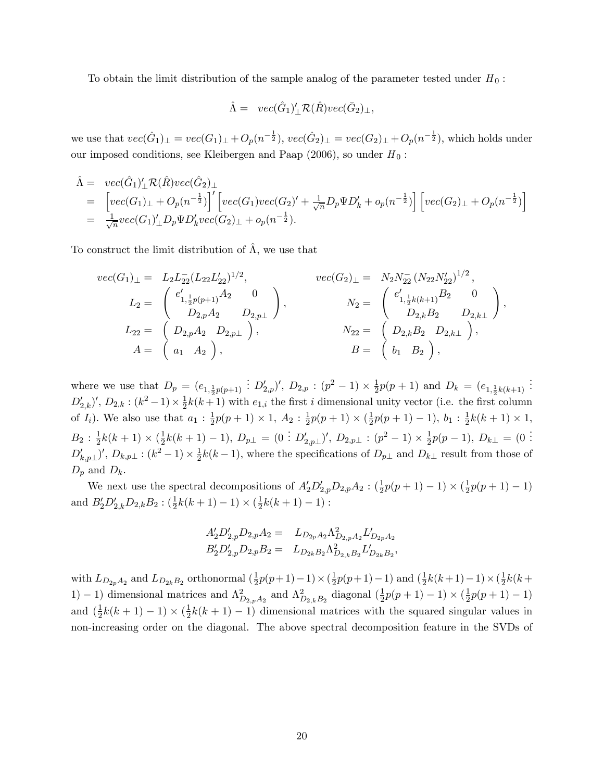To obtain the limit distribution of the sample analog of the parameter tested under  $H_0$ :

$$
\hat{\Lambda} = vec(\hat{G}_1)'_{\perp} \mathcal{R}(\hat{R}) vec(\bar{G}_2)_{\perp},
$$

we use that  $vec(\hat{G}_1)_\perp = vec(G_1)_\perp + O_p(n^{-\frac{1}{2}}), vec(\hat{G}_2)_\perp = vec(G_2)_\perp + O_p(n^{-\frac{1}{2}})$ , which holds under our imposed conditions, see Kleibergen and Paap (2006), so under  $H_0$ :

$$
\hat{\Lambda} = vec(\hat{G}_1)'_{\perp} \mathcal{R}(\hat{R}) vec(\hat{G}_2)_{\perp} \n= \left[ vec(G_1)_{\perp} + O_p(n^{-\frac{1}{2}}) \right]' \left[ vec(G_1) vec(G_2)' + \frac{1}{\sqrt{n}} D_p \Psi D'_k + o_p(n^{-\frac{1}{2}}) \right] \left[ vec(G_2)_{\perp} + O_p(n^{-\frac{1}{2}}) \right] \n= \frac{1}{\sqrt{n}} vec(G_1)'_{\perp} D_p \Psi D'_k vec(G_2)_{\perp} + o_p(n^{-\frac{1}{2}}).
$$

To construct the limit distribution of  $\hat{\Lambda}$ , we use that

$$
vec(G_1)_{\perp} = L_2 L_{22}^{-}(L_{22} L_{22}')^{1/2}, \qquad vec(G_2)_{\perp} = N_2 N_{22}^{-}(N_{22} N_{22}')^{1/2},
$$
  
\n
$$
L_2 = \begin{pmatrix} e'_{1, \frac{1}{2}p(p+1)}A_2 & 0 \\ D_{2,p}A_2 & D_{2,p\perp} \end{pmatrix}, \qquad N_2 = \begin{pmatrix} e'_{1, \frac{1}{2}k(k+1)}B_2 & 0 \\ D_{2,k}B_2 & D_{2,k\perp} \end{pmatrix},
$$
  
\n
$$
L_{22} = \begin{pmatrix} D_{2,p}A_2 & D_{2,p\perp} \end{pmatrix}, \qquad N_{22} = \begin{pmatrix} D_{2,k}B_2 & D_{2,k\perp} \end{pmatrix},
$$
  
\n
$$
A = \begin{pmatrix} a_1 & A_2 \end{pmatrix}, \qquad B = \begin{pmatrix} b_1 & B_2 \end{pmatrix},
$$

where we use that  $D_p = (e_{1,\frac{1}{2}p(p+1)})$  $\therefore$   $D'_{2,p}$ ,  $D_{2,p}$  :  $(p^2-1) \times \frac{1}{2}$  $\frac{1}{2}p(p+1)$  and  $D_k = (e_{1,\frac{1}{2}k(k+1)})$ . . .  $D'_{2,k}$ ',  $D_{2,k}$ :  $(k^2-1) \times \frac{1}{2}$  $\frac{1}{2}k(k+1)$  with  $e_{1,i}$  the first *i* dimensional unity vector (i.e. the first column of  $I_i$ ). We also use that  $a_1 : \frac{1}{2}$  $\frac{1}{2}p(p+1)\times 1, A_2: \frac{1}{2}$  $\frac{1}{2}p(p+1)\times(\frac{1}{2})$  $\frac{1}{2}p(p+1)-1), b_1: \frac{1}{2}$  $\frac{1}{2}k(k+1) \times 1,$  $B_2$  :  $\frac{1}{2}$  $\frac{1}{2}k(k+1) \times (\frac{1}{2})$  $\frac{1}{2}k(k+1)-1), D_{p\perp} = (0 \stackrel{\cdot}{.} D'_{2,p\perp})', D_{2,p\perp} : (p^2-1) \times \frac{1}{2}$  $\frac{1}{2}p(p-1), D_{k\perp} = (0$  $D'_{k,p\perp}$ )',  $D_{k,p\perp}$ :  $(k^2-1) \times \frac{1}{2}$  $\frac{1}{2}k(k-1)$ , where the specifications of  $D_{p\perp}$  and  $D_{k\perp}$  result from those of  $D_p$  and  $D_k$ .

We next use the spectral decompositions of  $A'_2D'_{2,p}D_{2,p}A_2$ :  $(\frac{1}{2}p(p+1)-1) \times (\frac{1}{2}p(p+1)-1)$  $\frac{1}{2}p(p+1)-1)$ and  $B'_2D'_{2,k}D_{2,k}B_2$ :  $(\frac{1}{2}k(k+1)-1) \times (\frac{1}{2}$  $\frac{1}{2}k(k+1)-1)$ :

$$
A_2'D_{2,p}'D_{2,p}A_2 = L_{D_{2p}A_2}\Lambda_{D_{2,p}A_2}^2L'_{D_{2p}A_2}
$$
  

$$
B_2'D_{2,p}'D_{2,p}B_2 = L_{D_{2k}B_2}\Lambda_{D_{2,k}B_2}^2L'_{D_{2k}B_2},
$$

with  $L_{D_{2p}A_2}$  and  $L_{D_{2k}B_2}$  orthonormal  $(\frac{1}{2})$  $\frac{1}{2}p(p+1)-1)\times(\frac{1}{2})$  $\frac{1}{2}p(p+1)-1)$  and  $(\frac{1}{2})$  $\frac{1}{2}k(k+1)-1)\times(\frac{1}{2})$  $\frac{1}{2}k(k + )$ 1) – 1) dimensional matrices and  $\Lambda_{D_{2,p}A_2}^2$  and  $\Lambda_{D_{2,k}B_2}^2$  diagonal  $(\frac{1}{2})$  $\frac{1}{2}p(p+1)-1)\times(\frac{1}{2})$  $rac{1}{2}p(p+1)-1)$ and  $\left(\frac{1}{2}\right)$  $\frac{1}{2}k(k+1)-1 \times (\frac{1}{2})$  $\frac{1}{2}k(k+1)-1$  dimensional matrices with the squared singular values in non-increasing order on the diagonal. The above spectral decomposition feature in the SVDs of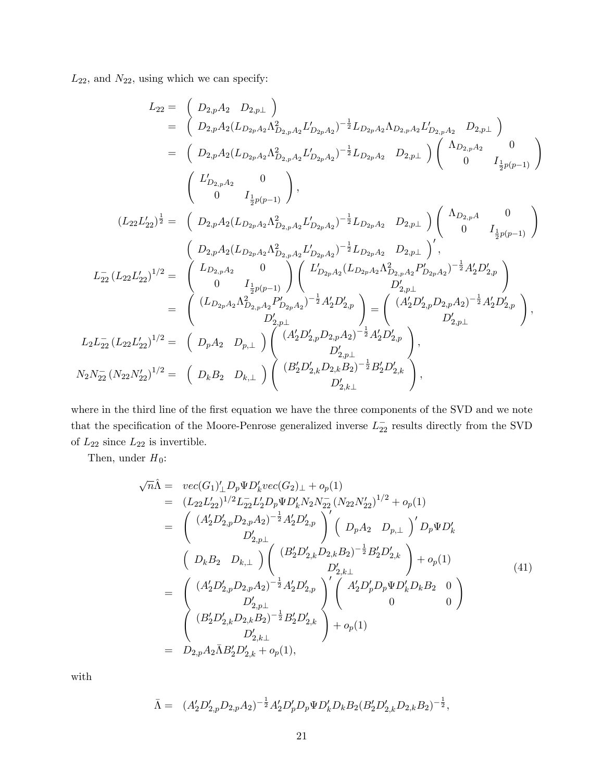$L_{22}$ , and  $N_{22}$ , using which we can specify:

$$
L_{22} = \begin{pmatrix} D_{2,p}A_2 & D_{2,p} \end{pmatrix}
$$
  
\n
$$
= \begin{pmatrix} D_{2,p}A_2 (L_{D_{2p}A_2} \Lambda_{D_{2,p}A_2}^2 L_{D_{2p}A_2}^{\prime})^{-\frac{1}{2}} L_{D_{2p}A_2} \Lambda_{D_{2,p}A_2} L_{D_{2,p}A_2}^{\prime} L_{D_{2,p}A_2}^{\prime} L_{D_{2,p}A_2}^{\prime} L_{D_{2,p}A_2}^{\prime} L_{D_{2,p}A_2}^{\prime} L_{D_{2,p}A_2}^{\prime} L_{D_{2,p}A_2}^{\prime} L_{D_{2,p}A_2}^{\prime} L_{D_{2,p}A_2}^{\prime} L_{D_{2,p}A_2}^{\prime} L_{D_{2,p}A_2}^{\prime} L_{D_{2,p}A_2}^{\prime} L_{D_{2,p}A_2}^{\prime} L_{D_{2,p}A_2}^{\prime} L_{D_{2,p}A_2}^{\prime} L_{D_{2,p}A_2}^{\prime} L_{D_{2,p}A_2}^{\prime} L_{D_{2,p}A_2}^{\prime} L_{D_{2,p}A_2}^{\prime} L_{D_{2,p}A_2}^{\prime} L_{D_{2,p}A_2}^{\prime} L_{D_{2,p}A_2}^{\prime} L_{D_{2,p}A_2}^{\prime} L_{D_{2,p}A_2}^{\prime} L_{D_{2,p}A_2}^{\prime} L_{D_{2,p}A_2}^{\prime} L_{D_{2,p}A_2}^{\prime} L_{D_{2,p}A_2}^{\prime} L_{D_{2,p}A_2}^{\prime} L_{D_{2,p}A_2}^{\prime} L_{D_{2,p}A_2}^{\prime} L_{D_{2,p}A_2}^{\prime} L_{D_{2,p}A_2}^{\prime} L_{D_{2,p}A_2}^{\prime} L_{D_{2,p}A_2}^{\prime} L_{D_{2,p}A_2}^{\prime} L_{D_{2,p}A_2}^{\prime} L_{D_{2,p}A}^{\prime} L_{D_{2,p}A}^{\prime} L_{D_{2,p}A}^{\prime} L_{D_{2,p}A}^{\prime} L_{D_{2,p}A}^{\prime} L_{D_{2,p}A}
$$

where in the third line of the first equation we have the three components of the SVD and we note that the specification of the Moore-Penrose generalized inverse  $L_{22}^-$  results directly from the SVD of  $L_{22}$  since  $L_{22}$  is invertible.

Then, under  $H_0$ :

$$
\sqrt{n}\hat{\Lambda} = vec(G_1)'_{\perp} D_p \Psi D'_k vec(G_2)_{\perp} + o_p(1)
$$
  
\n
$$
= (L_{22}L'_{22})^{1/2} L_{22}L'_{2}D_p \Psi D'_k N_2 N_{22}^{-}(N_{22}N'_{22})^{1/2} + o_p(1)
$$
  
\n
$$
= \begin{pmatrix} (A'_2D'_{2,p}D_{2,p}A_2)^{-\frac{1}{2}}A'_2D'_{2,p} \\ D'_{2,p\perp} \end{pmatrix}^{\prime} \begin{pmatrix} (D_pA_2 & D_{p,\perp})^{\prime} D_p \Psi D'_k \\ D_RA_2 & D_{p,\perp} \end{pmatrix} \begin{pmatrix} D_pA_2 & D_{p,\perp} \end{pmatrix}^{\prime} D_p \Psi D'_k
$$
  
\n
$$
= \begin{pmatrix} (A'_2D'_{2,p}D_{2,p}A_2)^{-\frac{1}{2}}A'_2D'_{2,p} \\ D'_{2,k\perp} \end{pmatrix}^{\prime} \begin{pmatrix} (A'_2D'_pD_p\Psi D'_kD_kB_2 & 0 \\ 0 & 0 \end{pmatrix}
$$
  
\n
$$
= \begin{pmatrix} (B'_2D'_{2,k}D_{2,k}B_2)^{-\frac{1}{2}}B'_2D'_{2,k} \\ (B'_2D'_{2,k}D_{2,k}B_2)^{-\frac{1}{2}}B'_2D'_{2,k} \\ D'_{2,k\perp} \end{pmatrix} + o_p(1)
$$
  
\n
$$
= D_{2,p}A_2\bar{\Lambda}B'_2D'_{2,k} + o_p(1), \qquad (41)
$$

with

$$
\bar{\Lambda} = (A_2' D_{2,p}' D_{2,p} A_2)^{-\frac{1}{2}} A_2' D_p' D_p \Psi D_k' D_k B_2 (B_2' D_{2,k}' D_{2,k} B_2)^{-\frac{1}{2}},
$$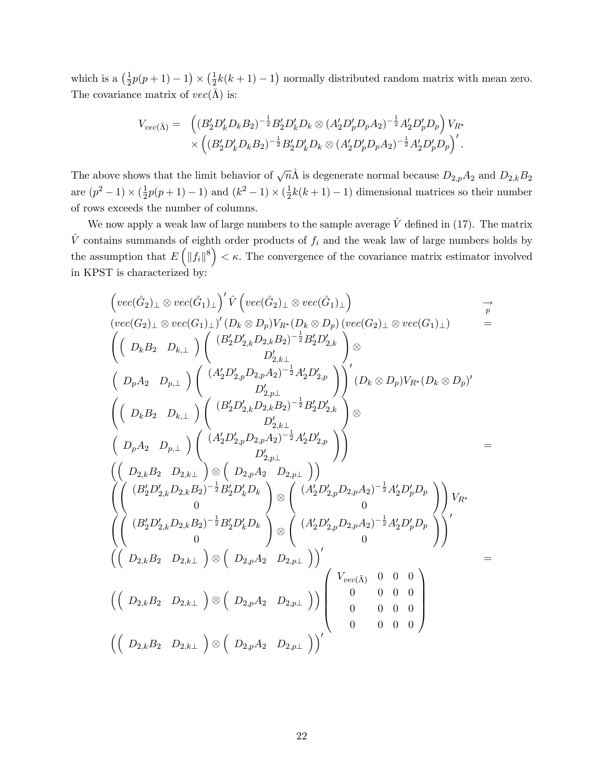which is a  $\left(\frac{1}{2}\right)$  $\frac{1}{2}p(p+1)-1 \times (\frac{1}{2})$  $\frac{1}{2}k(k+1)-1$ ) normally distributed random matrix with mean zero. The covariance matrix of  $vec(\bar{\Lambda})$  is:

$$
V_{vec}(\bar{\Lambda}) = \left( (B_2'D_k'D_k B_2)^{-\frac{1}{2}} B_2'D_k'D_k \otimes (A_2'D_p'D_p A_2)^{-\frac{1}{2}} A_2'D_p'D_p \right) V_{R^*} \times \left( (B_2'D_k'D_k B_2)^{-\frac{1}{2}} B_2'D_k'D_k \otimes (A_2'D_p'D_p A_2)^{-\frac{1}{2}} A_2'D_p'D_p \right)'.
$$

The above shows that the limit behavior of  $\sqrt{n}\hat{\Lambda}$  is degenerate normal because  $D_{2,p}A_2$  and  $D_{2,k}B_2$ are  $(p^2 - 1) \times (\frac{1}{2})$  $\frac{1}{2}p(p+1)-1)$  and  $(k^2-1) \times (\frac{1}{2})$  $\frac{1}{2}k(k+1)-1$  dimensional matrices so their number of rows exceeds the number of columns.

We now apply a weak law of large numbers to the sample average  $\hat{V}$  defined in (17). The matrix  $\hat{V}$  contains summands of eighth order products of  $f_i$  and the weak law of large numbers holds by the assumption that  $E([f_i\|^8) < \kappa$ . The convergence of the covariance matrix estimator involved in KPST is characterized by:

$$
\begin{array}{ll}\n\left(\begin{matrix}vec(G_2)_{\perp}\otimes vec(\hat{G}_1)_{\perp}\end{matrix}\right)^{'}\hat{V}\left(\begin{matrix}vec(G_2)_{\perp}\otimes vec(\hat{G}_1)_{\perp}\end{matrix}\right) & \frac{\rightarrow}{p} \\
\left(\begin{matrix}vec(G_2)_{\perp}\otimes vec(G_1)_{\perp}\end{matrix}\right)^{'}(D_k\otimes D_p)V_{R^*}(D_k\otimes D_p)\left(\begin{matrix}vec(G_2)_{\perp}\otimes vec(G_1)_{\perp}\end{matrix}\right) & \frac{\rightarrow}{p} \\
\left(\begin{matrix}D_kB_2 & D_{k,\perp}\end{matrix}\right)^{'}\left(\begin{matrix}B_2'D_{2,k}'D_{2,k}B_2\end{matrix}\right)^{-\frac{1}{2}}A_2'D_{2,k}'\right) & \frac{D_{2,k,\perp}}{2}\n\end{array}
$$
\n
$$
\begin{array}{ll}\n\left(D_pA_2 & D_{p,\perp}\end{array}\right)^{'}\left(\begin{matrix}A_2'D_{2,p}D_{2,p}A_2\end{matrix}\right)^{-\frac{1}{2}}A_2'D_{2,p}'\right) & \frac{D_{2,k,\perp}}{2}\n\end{array}
$$
\n
$$
\begin{array}{ll}\n\left(D_pA_2 & D_{p,\perp}\end{array}\right)^{'}\left(\begin{matrix}B_2'D_{2,k}'D_{2,k}B_2\end{matrix}\right)^{-\frac{1}{2}}A_2'D_{2,p}'\right) & \otimes \\
\left(D_pA_2 & D_{p,\perp}\end{array}\right)^{'}\left(\begin{matrix}B_2'D_{2,k}'D_{2,k}D_{2,k}B_2\end{matrix}\right)^{-\frac{1}{2}}A_2'D_{2,p}'\right) & \frac{D_{2,k,\perp}}{2}\n\end{array}
$$
\n
$$
\begin{array}{ll}\n\left(\begin{matrix}D_{2,k}B_2 & D_{2,k,\perp}\end{matrix}\right)^{'}\otimes\left(\begin{matrix}D_{2,k}A_2 & D_{2,k,\perp}\end{matrix}\right)^{'}\otimes\left(\begin{matrix}A_2'D_{2,p}'D_{2,p}A_2\end{matrix}\right)^{-\frac{1}{2}}A_2'D_p'D_p\right) \\
\left(\begin{matrix}B_2'D_{2,k}'D_{2,k}B_2\end{
$$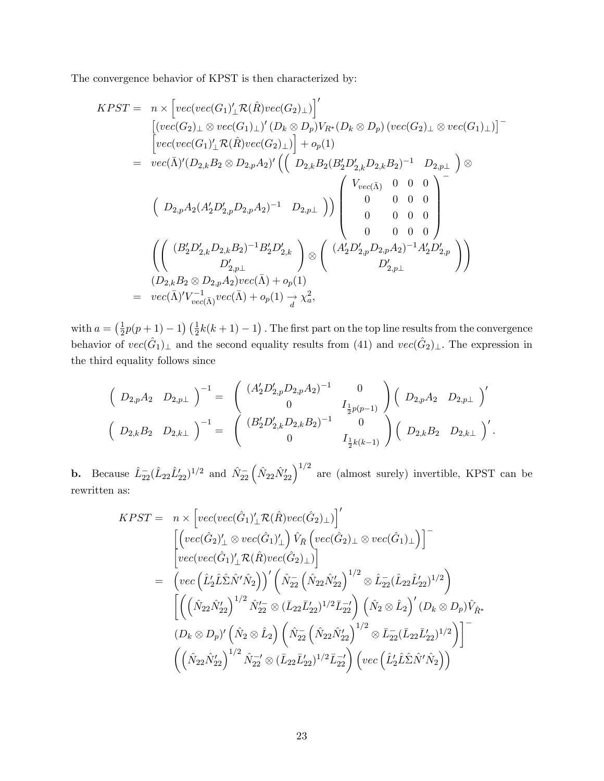The convergence behavior of KPST is then characterized by:

$$
KPST = n \times \left[ vec(vec(G_1)'_1 \mathcal{R}(\hat{R}) vec(G_2)_{\perp} ) \right]' \n= \left[ vec(vec(G_2)_{\perp} \otimes vec(G_1)_{\perp})' (D_k \otimes D_p) V_{R^*}(D_k \otimes D_p) (vec(G_2)_{\perp} \otimes vec(G_1)_{\perp}) \right]^{-} \n= vec(\bar{\Lambda})' (D_{2,k}B_2 \otimes D_{2,p}A_2)' \left( \begin{pmatrix} D_{2,k}B_2(B'_2D'_{2,k}D_{2,k}B_2)^{-1} & D_{2,p \perp} \\ D_{2,p}A_2(A'_2D'_{2,p}D_{2,p}A_2)^{-1} & D_{2,p \perp} \end{pmatrix} \right) \otimes \n= \left( \begin{array}{ccc} D_{2,p}A_2(A'_2D'_{2,p}D_{2,p}A_2)^{-1} & D_{2,p \perp} \\ D_{2,p}A_2(D'_2(B'_2D'_{2,p}A_2)^{-1} & D_{2,p \perp} \end{array}) \right) \left( \begin{array}{ccc} V_{vec(\bar{\Lambda})} & 0 & 0 & 0 \\ 0 & 0 & 0 & 0 \\ 0 & 0 & 0 & 0 \\ 0 & 0 & 0 & 0 \end{array} \right) \n= \left( \begin{array}{cc} (B'_2D'_{2,k}D_{2,k}B_2)^{-1}B'_2D'_{2,k} \\ D'_{2,p \perp} \end{array} \right) \otimes \left( \begin{array}{cc} (A'_2D'_{2,p}D_{2,p}A_2)^{-1}A'_2D'_{2,p} \\ D'_{2,p \perp} \end{array} \right) \right) \n= vec(\bar{\Lambda})' V_{vec(\bar{\Lambda})}^{-1} vec(\bar{\Lambda}) + o_p(1) \rightarrow \chi^2_{a},
$$

with  $a = \left(\frac{1}{2}\right)$  $\frac{1}{2}p(p+1)-1$   $(\frac{1}{2}k(k+1)-1)$ . The first part on the top line results from the convergence behavior of  $vec(\hat{G}_1)_\perp$  and the second equality results from (41) and  $vec(\hat{G}_2)_\perp$ . The expression in the third equality follows since

$$
\begin{pmatrix}\nD_{2,p}A_2 & D_{2,p\perp}\n\end{pmatrix}^{-1} = \begin{pmatrix}\n(A'_2D'_{2,p}D_{2,p}A_2)^{-1} & 0 \\
0 & I_{\frac{1}{2}p(p-1)}\n\end{pmatrix} \begin{pmatrix}\nD_{2,p}A_2 & D_{2,p\perp}\n\end{pmatrix}'.
$$
\n
$$
\begin{pmatrix}\nD_{2,k}B_2 & D_{2,k\perp}\n\end{pmatrix}^{-1} = \begin{pmatrix}\n(B'_2D'_{2,k}D_{2,k}B_2)^{-1} & 0 \\
0 & I_{\frac{1}{2}k(k-1)}\n\end{pmatrix} \begin{pmatrix}\nD_{2,k}B_2 & D_{2,k\perp}\n\end{pmatrix}'.
$$

**b.** Because  $\hat{L}_{22}^-(\hat{L}_{22}\hat{L}_{22}')^{1/2}$  and  $\hat{N}_{22}^-(\hat{N}_{22}\hat{N}_{22}')^{1/2}$  are (almost surely) invertible, KPST can be rewritten as:

$$
KPST = n \times \left[ vec(vec(\hat{G}_1)_{\perp}^{\prime} \mathcal{R}(\hat{R}) vec(\hat{G}_2)_{\perp} ) \right]^{'} \newline \left[ \left( vec(\hat{G}_2)_{\perp}^{\prime} \otimes vec(\hat{G}_1)_{\perp}^{\prime} \right) \hat{V}_{\bar{R}} \left( vec(\hat{G}_2)_{\perp} \otimes vec(\hat{G}_1)_{\perp} \right) \right]^{-} \newline \left[ vec(vec(\hat{G}_1)_{\perp}^{\prime} \mathcal{R}(\hat{R}) vec(\hat{G}_2)_{\perp} ) \right]^{'} \newline \left[ vec\left( \hat{L}_2^{\prime} \hat{L} \hat{\Sigma} \hat{N}^{\prime} \hat{N}_2 \right) \right]^{'} \left( \hat{N}_{22}^{-} \left( \hat{N}_{22} \hat{N}_{22}^{\prime} \right)^{1/2} \otimes \hat{L}_{22}^{-} (\hat{L}_{22} \hat{L}_{22}^{\prime})^{1/2} \right) \newline \left[ \left( \left( \hat{N}_{22} \hat{N}_{22}^{\prime} \right)^{1/2} \hat{N}_{22}^{\prime} \otimes (\bar{L}_{22} \bar{L}_{22}^{\prime})^{1/2} \bar{L}_{22}^{-} \right) \left( \hat{N}_2 \otimes \hat{L}_2 \right)^{\prime} (D_k \otimes D_p) \hat{V}_{\hat{R}^*} \newline \left( D_k \otimes D_p \right)^{\prime} \left( \hat{N}_2 \otimes \hat{L}_2 \right) \left( \hat{N}_{22}^{-} \left( \hat{N}_{22} \hat{N}_{22}^{\prime} \right)^{1/2} \otimes \bar{L}_{22}^{-} (\bar{L}_{22} \bar{L}_{22}^{\prime})^{1/2} \right) \right]^{-} \newline \left( \left( \hat{N}_{22} \hat{N}_{22}^{\prime} \right)^{1/2} \hat{N}_{22}^{-} \otimes (\bar{L}_{22} \bar{L}_{22}^{\prime})^{1/2} \bar{L}_{22}^{-} \right) \left( vec\left( \hat{L}_2^{\prime} \hat{L} \hat{\Sigma} \hat{N}^{\prime} \hat{N}_2 \right) \right)
$$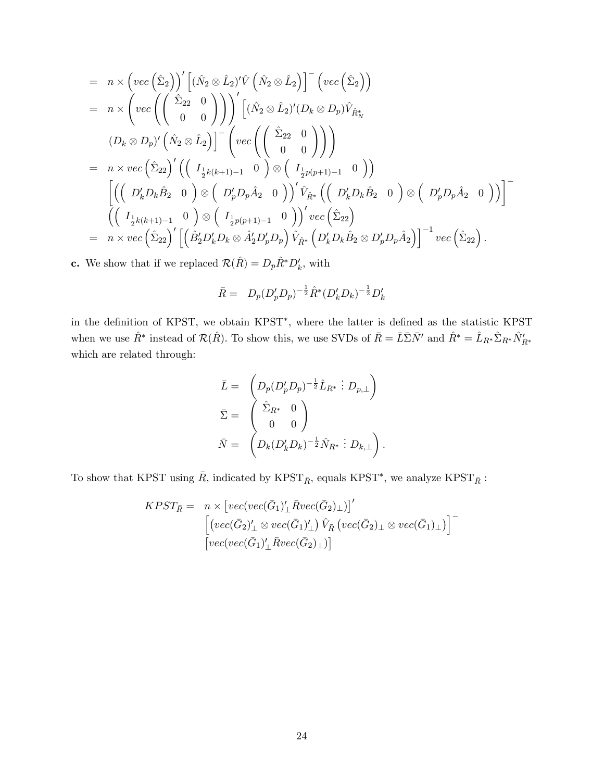$$
= n \times \left( vec \left( \hat{\Sigma}_2 \right) \right)' \left[ (\hat{N}_2 \otimes \hat{L}_2)' \hat{V} \left( \hat{N}_2 \otimes \hat{L}_2 \right) \right]^{-} \left( vec \left( \hat{\Sigma}_2 \right) \right)
$$
  
\n
$$
= n \times \left( vec \left( \left( \begin{array}{cc} \hat{\Sigma}_{22} & 0 \\ 0 & 0 \end{array} \right) \right) \right)' \left[ (\hat{N}_2 \otimes \hat{L}_2)' (D_k \otimes D_p) \hat{V}_{\hat{R}_N^*} \right]
$$
  
\n
$$
(D_k \otimes D_p)' \left( \hat{N}_2 \otimes \hat{L}_2 \right) \right]^{-} \left( vec \left( \left( \begin{array}{cc} \hat{\Sigma}_{22} & 0 \\ 0 & 0 \end{array} \right) \right) \right)
$$
  
\n
$$
= n \times vec \left( \hat{\Sigma}_{22} \right)' \left( \left( I_{\frac{1}{2}k(k+1)-1} & 0 \right) \otimes \left( I_{\frac{1}{2}p(p+1)-1} & 0 \right) \right)
$$
  
\n
$$
\left[ \left( \left( D'_k D_k \hat{B}_2 & 0 \right) \otimes \left( D'_p D_p \hat{A}_2 & 0 \right) \right)' \hat{V}_{\hat{R}^*} \left( \left( D'_k D_k \hat{B}_2 & 0 \right) \otimes \left( D'_p D_p \hat{A}_2 & 0 \right) \right) \right]^{-} \left( \left( I_{\frac{1}{2}k(k+1)-1} & 0 \right) \otimes \left( I_{\frac{1}{2}p(p+1)-1} & 0 \right) \right)' vec \left( \hat{\Sigma}_{22} \right)
$$
  
\n
$$
= n \times vec \left( \hat{\Sigma}_{22} \right)' \left[ \left( \hat{B}'_2 D'_k D_k \otimes \hat{A}'_2 D'_p D_p \right) \hat{V}_{\hat{R}^*} \left( D'_k D_k \hat{B}_2 \otimes D'_p D_p \hat{A}_2 \right) \right]^{-1} vec \left( \hat{\Sigma}_{22} \right).
$$

**c.** We show that if we replaced  $\mathcal{R}(\hat{R}) = D_p\hat{R}^*D_k^{\prime}$ , with

$$
\bar{R} = D_p (D'_p D_p)^{-\frac{1}{2}} \hat{R}^* (D'_k D_k)^{-\frac{1}{2}} D'_k
$$

in the definition of KPST, we obtain KPST<sup>\*</sup>, where the latter is defined as the statistic KPST when we use  $\hat{R}^*$  instead of  $\mathcal{R}(\hat{R})$ . To show this, we use SVDs of  $\bar{R} = \bar{L}\bar{\Sigma}\bar{N}'$  and  $\hat{R}^* = \hat{L}_{R^*}\hat{\Sigma}_{R^*}\hat{N}'_{R^*}$ which are related through:

$$
\bar{L} = \begin{pmatrix} D_p(D'_p D_p)^{-\frac{1}{2}} \hat{L}_{R^*} : D_{p,\perp} \end{pmatrix}
$$
  

$$
\bar{\Sigma} = \begin{pmatrix} \hat{\Sigma}_{R^*} & 0 \\ 0 & 0 \end{pmatrix}
$$
  

$$
\bar{N} = \begin{pmatrix} D_k(D'_k D_k)^{-\frac{1}{2}} \hat{N}_{R^*} : D_{k,\perp} \end{pmatrix}.
$$

To show that KPST using  $\bar{R}$ , indicated by KPST<sub> $\bar{R}$ </sub>, equals KPST<sup>\*</sup>, we analyze KPST<sub> $\bar{R}$ </sub>:

$$
KPST_{\bar{R}} = n \times [vec(vec(\bar{G}_1)'_{\perp} \bar{R}vec(\bar{G}_2)_{\perp})]'
$$
  

$$
[(vec(\bar{G}_2)'_{\perp} \otimes vec(\bar{G}_1)'_{\perp}) \hat{V}_{\bar{R}} (vec(\bar{G}_2)_{\perp} \otimes vec(\bar{G}_1)_{\perp})]^{-}
$$
  

$$
[vec(vec(\bar{G}_1)'_{\perp} \bar{R}vec(\bar{G}_2)_{\perp})]
$$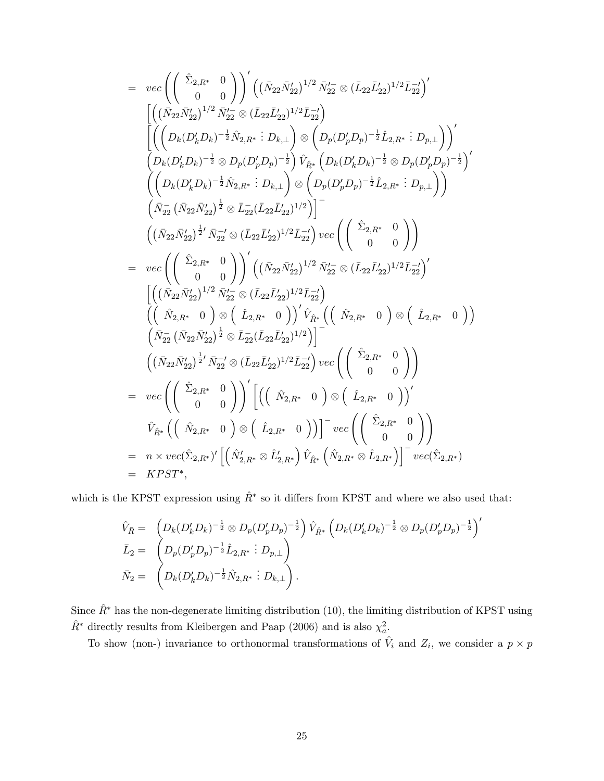$$
= \ \ \begin{array}{l} \displaystyle v e c \left(\left(\begin{array}{cc} \hat{\Sigma}_{2,R^*} & 0 \\ 0 & 0 \end{array}\right)\right)' \left((\bar{N}_{22}\bar{N}_{22}')^{1/2}\,\bar{N}_{22}'\otimes(\bar{L}_{22}\bar{L}_{22}')^{1/2}\bar{L}_{22}'\right)' \\ \displaystyle \left[\left((\bar{N}_{22}\bar{N}_{22}')^{1/2}\,\bar{N}_{22}'\otimes(\bar{L}_{22}\bar{L}_{22}')^{1/2}\bar{L}_{22}'\right) \\ \displaystyle \left((\bar{N}_{k}D_{k})^{-\frac{1}{2}}\,\bar{N}_{2,R^*}:D_{k,\perp}\right)\otimes\left(D_{p}(D'_{p}D_{p})^{-\frac{1}{2}}\,\hat{L}_{2,R^*}:D_{p,\perp}\right)\right)' \\ \displaystyle \left(D_{k}(D'_{k}D_{k})^{-\frac{1}{2}}\otimes D_{p}(D'_{p}D_{p})^{-\frac{1}{2}}\right) \hat{V}_{\hat{R}^{*}}\left(D_{k}(D'_{k}D_{k})^{-\frac{1}{2}}\otimes D_{p}(D'_{p}D_{p})^{-\frac{1}{2}}\right)' \\ \displaystyle \left((\bar{N}_{22}\,\bar{N}_{22}')^{\frac{1}{2}}\otimes\bar{L}_{22}(\bar{L}_{22}\bar{L}_{22}')^{1/2}\right) \right] \\ \displaystyle \left(\bar{N}_{22}^{-}\left(\bar{N}_{22}\bar{N}_{22}'\right)^{\frac{1}{2}}\otimes\bar{L}_{22}^{-}\left(\bar{L}_{22}\bar{L}_{22}')^{1/2}\right) \right) \\ \displaystyle \left((\bar{N}_{22}\bar{N}_{22}')^{\frac{1}{2}}\wedge\bar{N}_{22}'\otimes(\bar{L}_{22}\bar{L}_{22}')^{1/2}\bar{L}_{22}'\right) \ \ \begin{array}{l} \displaystyle v e c \left(\left(\begin{array}{cc} \hat{\Sigma}_{2,R^*}:D_{k,\perp} \\ 0&0 \end{array}\right)\right)' \left((\bar{N}_{22}\bar{N}_{22}')^{1/2}\,\bar{L}_{22}'\right)' \\ \displaystyle \left((\bar{N}_{22}\bar{N}_{22}')^{1/2}\,\bar{N}_{22}'\otimes(\bar{L}_{22}\bar
$$

which is the KPST expression using  $\hat{R}^*$  so it differs from KPST and where we also used that:

$$
\hat{V}_{\bar{R}} = \left( D_k (D'_k D_k)^{-\frac{1}{2}} \otimes D_p (D'_p D_p)^{-\frac{1}{2}} \right) \hat{V}_{\hat{R}^*} \left( D_k (D'_k D_k)^{-\frac{1}{2}} \otimes D_p (D'_p D_p)^{-\frac{1}{2}} \right)^{\prime}
$$
\n
$$
\bar{L}_2 = \left( D_p (D'_p D_p)^{-\frac{1}{2}} \hat{L}_{2,R^*} : D_{p,\perp} \right)
$$
\n
$$
\bar{N}_2 = \left( D_k (D'_k D_k)^{-\frac{1}{2}} \hat{N}_{2,R^*} : D_{k,\perp} \right).
$$

Since  $\hat{R}^*$  has the non-degenerate limiting distribution (10), the limiting distribution of KPST using  $\hat{R}^*$  directly results from Kleibergen and Paap (2006) and is also  $\chi^2_a$ .

To show (non-) invariance to orthonormal transformations of  $\hat{V}_i$  and  $Z_i$ , we consider a  $p \times p$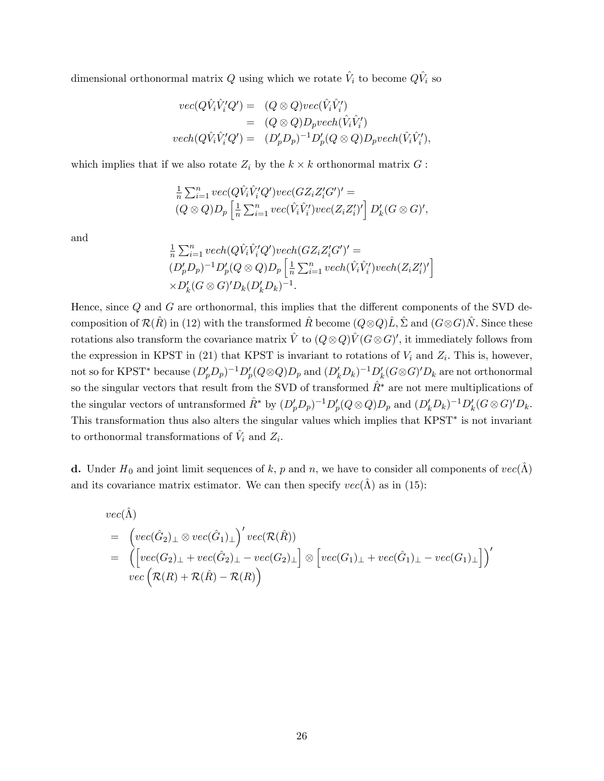dimensional orthonormal matrix  $Q$  using which we rotate  $\hat{V}_i$  to become  $Q\hat{V}_i$  so

$$
vec(Q\hat{V}_i\hat{V}'_iQ') = (Q \otimes Q)vec(\hat{V}_i\hat{V}'_i)
$$
  
= 
$$
(Q \otimes Q)D_pvech(\hat{V}_i\hat{V}'_i)
$$
  

$$
vech(Q\hat{V}_i\hat{V}'_iQ') = (D'_pD_p)^{-1}D'_p(Q \otimes Q)D_pvech(\hat{V}_i\hat{V}'_i),
$$

which implies that if we also rotate  $Z_i$  by the  $k \times k$  orthonormal matrix  $G$ :

$$
\frac{1}{n}\sum_{i=1}^{n} vec(Q\hat{V}_{i}\hat{V}'_{i}Q')vec(GZ_{i}Z'_{i}G')' =
$$
  

$$
(Q \otimes Q)D_{p} \left[ \frac{1}{n}\sum_{i=1}^{n} vec(\hat{V}_{i}\hat{V}'_{i'})vec(Z_{i}Z'_{i})' \right] D'_{k}(G \otimes G)',
$$

and

$$
\frac{1}{n}\sum_{i=1}^{n} vech(Q\hat{V}_{i}\hat{V}'_{i}Q')vech(GZ_{i}Z'_{i}G')' =
$$
\n
$$
(D'_{p}D_{p})^{-1}D'_{p}(Q \otimes Q)D_{p}\left[\frac{1}{n}\sum_{i=1}^{n} vech(\hat{V}_{i}\hat{V}'_{i})vech(Z_{i}Z'_{i})'\right]
$$
\n
$$
\times D'_{k}(G \otimes G)'D_{k}(D'_{k}D_{k})^{-1}.
$$

Hence, since  $Q$  and  $G$  are orthonormal, this implies that the different components of the SVD decomposition of  $\mathcal{R}(\hat{R})$  in (12) with the transformed  $\hat{R}$  become  $(Q \otimes Q)\hat{L}$ ,  $\hat{\Sigma}$  and  $(G \otimes G)\hat{N}$ . Since these rotations also transform the covariance matrix  $\hat{V}$  to  $(Q \otimes Q)\hat{V}$  ( $G \otimes G$ )', it immediately follows from the expression in KPST in (21) that KPST is invariant to rotations of  $V_i$  and  $Z_i$ . This is, however, not so for KPST\* because  $(D'_p D_p)^{-1} D'_p (Q \otimes Q) D_p$  and  $(D'_k D_k)^{-1} D'_k (G \otimes G)' D_k$  are not orthonormal so the singular vectors that result from the SVD of transformed  $\hat{R}^*$  are not mere multiplications of the singular vectors of untransformed  $\hat{R}^*$  by  $(D'_p D_p)^{-1} D'_p (Q \otimes Q) D_p$  and  $(D'_k D_k)^{-1} D'_k (G \otimes G)' D_k$ . This transformation thus also alters the singular values which implies that KPST is not invariant to orthonormal transformations of  $\hat{V}_i$  and  $Z_i$ .

**d.** Under  $H_0$  and joint limit sequences of k, p and n, we have to consider all components of  $vec(\Lambda)$ and its covariance matrix estimator. We can then specify  $vec(\Lambda)$  as in (15):

$$
vec(\hat{\Lambda})
$$
  
=  $(vec(\hat{G}_2) \perp \otimes vec(\hat{G}_1) \perp)' vec(\mathcal{R}(\hat{R}))$   
=  $(\left[vec(G_2) \perp + vec(\hat{G}_2) \perp - vec(G_2) \perp \right] \otimes \left[vec(G_1) \perp + vec(\hat{G}_1) \perp - vec(G_1) \perp \right])'$   
 $vec(\mathcal{R}(R) + \mathcal{R}(\hat{R}) - \mathcal{R}(R))$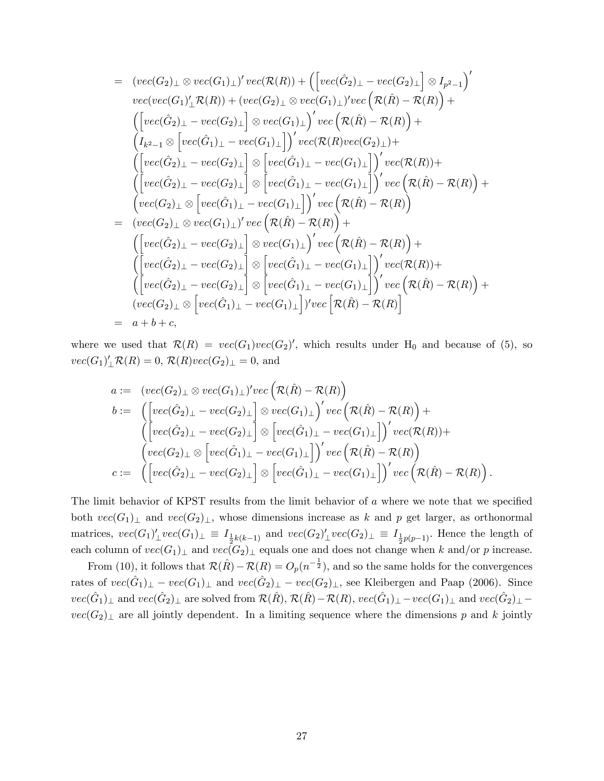$$
= (vec(G_2)_{\perp} \otimes vec(G_1)_{\perp})' vec(\mathcal{R}(R)) + ([vec(\hat{G}_2)_{\perp} - vec(G_2)_{\perp}] \otimes I_{p^2-1})'
$$
  
\n
$$
vec(vec(G_1)_{\perp} \mathcal{R}(R)) + (vec(G_2)_{\perp} \otimes vec(G_1)_{\perp})' vec(\mathcal{R}(\hat{R}) - \mathcal{R}(R)) + ([vec(\hat{G}_2)_{\perp} - vec(G_2)_{\perp}] \otimes vec(G_1)_{\perp})' vec(\mathcal{R}(\hat{R}) - \mathcal{R}(R)) + (I_{k^2-1} \otimes [vec(\hat{G}_1)_{\perp} - vec(G_1)_{\perp})' vec(\mathcal{R}(R) vec(G_2)_{\perp}) + ([vec(\hat{G}_2)_{\perp} - vec(G_2)_{\perp}] \otimes [vec(\hat{G}_1)_{\perp} - vec(G_1)_{\perp}]')' vec(\mathcal{R}(R)) + ([vec(\hat{G}_2)_{\perp} - vec(G_2)_{\perp}] \otimes [vec(\hat{G}_1)_{\perp} - vec(G_1)_{\perp}]')' vec(\mathcal{R}(\hat{R}) - \mathcal{R}(R)) + (vec(G_2)_{\perp} \otimes [vec(\hat{G}_1)_{\perp} - vec(G_1)_{\perp}]')' vec(\mathcal{R}(\hat{R}) - \mathcal{R}(R))
$$
  
\n
$$
= (vec(G_2)_{\perp} \otimes [vec(\hat{G}_1)_{\perp} - vec(G_1)_{\perp}]')' vec(\mathcal{R}(\hat{R}) - \mathcal{R}(R)) + ([vec(\hat{G}_2)_{\perp} - vec(G_2)_{\perp}] \otimes vec(G_1)_{\perp})' vec(\mathcal{R}(\hat{R}) - \mathcal{R}(R)) + ([vec(\hat{G}_2)_{\perp} - vec(G_2)_{\perp}] \otimes [vec(\hat{G}_1)_{\perp} - vec(G_1)_{\perp}]')' vec(\mathcal{R}(R)) + ([vec(\hat{G}_2)_{\perp} - vec(G_2)_{\perp}] \otimes [vec(\hat{G}_1)_{\perp} - vec(G_1)_{\perp}])' vec(\mathcal{R}(R)) + ([vec(\hat{G}_2)
$$

where we used that  $\mathcal{R}(R) = vec(G_1)vec(G_2)'$ , which results under  $H_0$  and because of (5), so  $vec(G_1)'_{\perp} \mathcal{R}(R) = 0, \, \mathcal{R}(R)vec(G_2)_{\perp} = 0, \, \text{and}$ 

$$
a := (vec(G_2) \perp \otimes vec(G_1) \perp)'vec(\mathcal{R}(\hat{R}) - \mathcal{R}(R))
$$
  
\n
$$
b := ( [vec(\hat{G}_2) \perp - vec(G_2) \perp] \otimes vec(G_1) \perp)'vec(\mathcal{R}(\hat{R}) - \mathcal{R}(R)) +
$$
  
\n
$$
( [vec(\hat{G}_2) \perp - vec(G_2) \perp] \otimes [vec(\hat{G}_1) \perp - vec(G_1) \perp] )'vec(\mathcal{R}(R)) +
$$
  
\n
$$
(vec(G_2) \perp \otimes [vec(\hat{G}_1) \perp - vec(G_1) \perp] )'vec(\mathcal{R}(\hat{R}) - \mathcal{R}(R))
$$
  
\n
$$
c := ( [vec(\hat{G}_2) \perp - vec(G_2) \perp] \otimes [vec(\hat{G}_1) \perp - vec(G_1) \perp] )'vec(\mathcal{R}(\hat{R}) - \mathcal{R}(R)) .
$$

The limit behavior of KPST results from the limit behavior of  $\alpha$  where we note that we specified both  $vec(G_1)_\perp$  and  $vec(G_2)_\perp$ , whose dimensions increase as k and p get larger, as orthonormal matrices,  $vec(G_1)'_\perp vec(G_1)_\perp \equiv I_{\frac{1}{2}k(k-1)}$  and  $vec(G_2)'_\perp vec(G_2)_\perp \equiv I_{\frac{1}{2}p(p-1)}$ . Hence the length of each column of  $vec(G_1)_\perp$  and  $vec(G_2)_\perp$  equals one and does not change when k and/or p increase.

From (10), it follows that  $\mathcal{R}(\hat{R}) - \mathcal{R}(R) = O_p(n^{-\frac{1}{2}})$ , and so the same holds for the convergences rates of  $vec(\hat{G}_1)_\perp - vec(G_1)_\perp$  and  $vec(\hat{G}_2)_\perp - vec(G_2)_\perp$ , see Kleibergen and Paap (2006). Since  $vec(\hat{G}_1)_\perp$  and  $vec(\hat{G}_2)_\perp$  are solved from  $\mathcal{R}(\hat{R}),$   $\mathcal{R}(\hat{R})-\mathcal{R}(R),$   $vec(\hat{G}_1)_\perp-vec(G_1)_\perp$  and  $vec(\hat{G}_2)_\perp$  $vec(G_2)_\perp$  are all jointly dependent. In a limiting sequence where the dimensions p and k jointly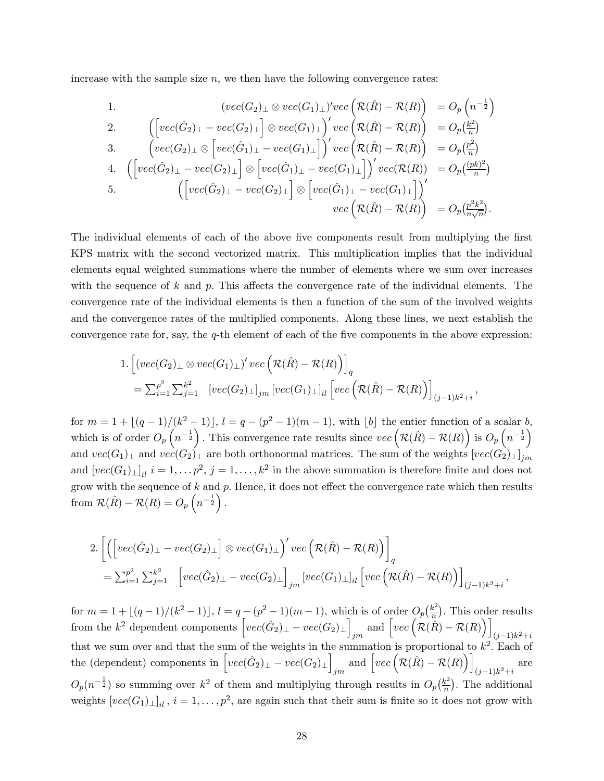increase with the sample size  $n$ , we then have the following convergence rates:

1. 
$$
(vec(G_2)_{\perp} \otimes vec(G_1)_{\perp})' vec\left(\mathcal{R}(\hat{R}) - \mathcal{R}(R)\right) = O_p\left(n^{-\frac{1}{2}}\right)
$$
  
\n2. 
$$
\left(\left[vec(\hat{G}_2)_{\perp} - vec(G_2)_{\perp}\right] \otimes vec(G_1)_{\perp}\right)' vec\left(\mathcal{R}(\hat{R}) - \mathcal{R}(R)\right) = O_p\left(\frac{k^2}{n}\right)
$$
  
\n3. 
$$
\left(vec(G_2)_{\perp} \otimes \left[vec(\hat{G}_1)_{\perp} - vec(G_1)_{\perp}\right]\right)' vec\left(\mathcal{R}(\hat{R}) - \mathcal{R}(R)\right) = O_p\left(\frac{p^2}{n}\right)
$$
  
\n4. 
$$
\left(\left[vec(\hat{G}_2)_{\perp} - vec(G_2)_{\perp}\right] \otimes \left[vec(\hat{G}_1)_{\perp} - vec(G_1)_{\perp}\right]\right)' vec\left(\mathcal{R}(R)) = O_p\left(\frac{(pk)^2}{n}\right)
$$
  
\n5. 
$$
\left(\left[vec(\hat{G}_2)_{\perp} - vec(G_2)_{\perp}\right] \otimes \left[vec(\hat{G}_1)_{\perp} - vec(G_1)_{\perp}\right]\right)'
$$
  
\n
$$
vec\left(\mathcal{R}(\hat{R}) - \mathcal{R}(R)\right) = O_p\left(\frac{p^2k^2}{n}\right).
$$

The individual elements of each of the above five components result from multiplying the first KPS matrix with the second vectorized matrix. This multiplication implies that the individual elements equal weighted summations where the number of elements where we sum over increases with the sequence of k and p. This affects the convergence rate of the individual elements. The convergence rate of the individual elements is then a function of the sum of the involved weights and the convergence rates of the multiplied components. Along these lines, we next establish the convergence rate for, say, the  $q$ -th element of each of the five components in the above expression:

1. 
$$
\begin{aligned} &1. \left[ (vec(G_2)_{\perp} \otimes vec(G_1)_{\perp})' vec\left(\mathcal{R}(\hat{R}) - \mathcal{R}(R)\right) \right]_q \\ &= \sum_{i=1}^{p^2} \sum_{j=1}^{k^2} \left[ vec(G_2)_{\perp} \right]_{jm} \left[ vec(G_1)_{\perp} \right]_{il} \left[ vec\left(\mathcal{R}(\hat{R}) - \mathcal{R}(R)\right) \right]_{(j-1)k^2 + i} \end{aligned}
$$

;

for  $m = 1 + \lfloor (q-1)/(k^2 - 1) \rfloor$ ,  $l = q - (p^2 - 1)(m - 1)$ , with  $\lfloor b \rfloor$  the entier function of a scalar b, which is of order  $O_p\left(n^{-\frac{1}{2}}\right)$ . This convergence rate results since  $vec\left(\mathcal{R}(\hat{R}) - \mathcal{R}(R)\right)$  is  $O_p\left(n^{-\frac{1}{2}}\right)$ and  $vec(G_1)_\perp$  and  $vec(G_2)_\perp$  are both orthonormal matrices. The sum of the weights  $[vec(G_2)_\perp]_{jm}$ and  $[vec(G_1)_\perp]_{il}$   $i = 1, ..., p^2, j = 1, ..., k^2$  in the above summation is therefore finite and does not grow with the sequence of  $k$  and  $p$ . Hence, it does not effect the convergence rate which then results from  $\mathcal{R}(\hat{R}) - \mathcal{R}(R) = O_p\left(n^{-\frac{1}{2}}\right)$ .

$$
2. \left[ \left( \left[ vec(\hat{G}_2)_{\perp} - vec(G_2)_{\perp} \right] \otimes vec(G_1)_{\perp} \right)' vec \left( \mathcal{R}(\hat{R}) - \mathcal{R}(R) \right) \right]_q
$$
  
=  $\sum_{i=1}^{p^2} \sum_{j=1}^{k^2} \left[ vec(\hat{G}_2)_{\perp} - vec(G_2)_{\perp} \right]_{jm} \left[ vec(G_1)_{\perp} \right]_{il} \left[ vec \left( \mathcal{R}(\hat{R}) - \mathcal{R}(R) \right) \right]_{(j-1)k^2 + i},$ 

for  $m = 1 + \lfloor (q-1)/(k^2 - 1) \rfloor$ ,  $l = q - (p^2 - 1)(m - 1)$ , which is of order  $O_p\left(\frac{k^2}{n}\right)$  $\frac{k^2}{n}$ ). This order results from the  $k^2$  dependent components  $\left[ vec(\hat{G}_2)_{\perp} - vec(G_2)_{\perp} \right]$  $\lim_{jm}$  and  $\left[ vec\left( \mathcal{R}(\hat{R}) - \mathcal{R}(R) \right) \right]$  $(j-1)k^2 + i$ that we sum over and that the sum of the weights in the summation is proportional to  $k^2$ . Each of the (dependent) components in  $\left[ vec(\hat{G}_2)_{\perp} - vec(G_2)_{\perp} \right]$  $\lim_{jm}$  and  $\left[ vec\left( \mathcal{R}(\hat{R}) - \mathcal{R}(R) \right) \right]$  $(j-1)k^2+i$ are  $O_p(n^{-\frac{1}{2}})$  so summing over  $k^2$  of them and multiplying through results in  $O_p(\frac{k^2}{n})$  $\frac{k^2}{n}$ ). The additional weights  $[vec(G_1)_\perp]_{il}$ ,  $i = 1, \ldots, p^2$ , are again such that their sum is finite so it does not grow with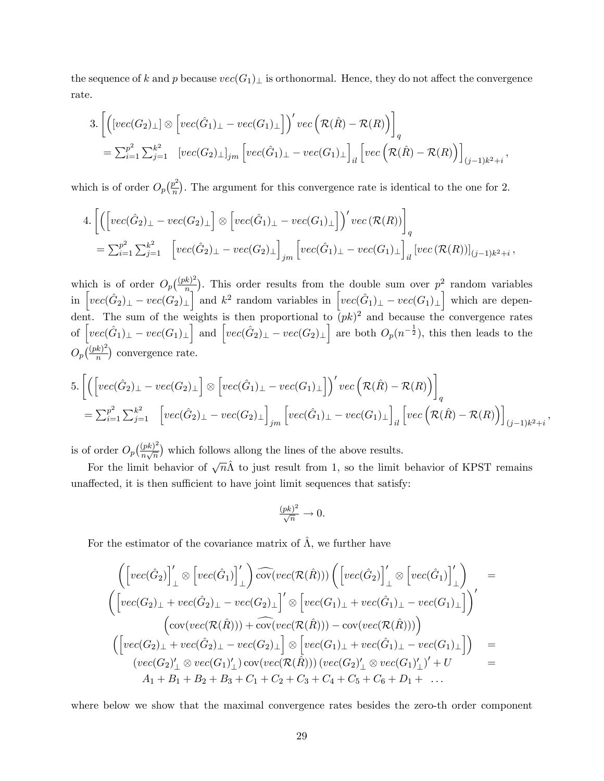the sequence of k and p because  $vec(G_1)_\perp$  is orthonormal. Hence, they do not affect the convergence rate.

$$
3. \left[ \left( \left[ vec(G_2)_{\perp} \right] \otimes \left[ vec(\hat{G}_1)_{\perp} - vec(G_1)_{\perp} \right] \right)' vec \left( \mathcal{R}(\hat{R}) - \mathcal{R}(R) \right) \right]_q
$$
  
=  $\sum_{i=1}^{p^2} \sum_{j=1}^{k^2} \left[ vec(G_2)_{\perp} \right]_{jm} \left[ vec(\hat{G}_1)_{\perp} - vec(G_1)_{\perp} \right]_{il} \left[ vec \left( \mathcal{R}(\hat{R}) - \mathcal{R}(R) \right) \right]_{(j-1)k^2 + i},$ 

which is of order  $O_p\left(\frac{p^2}{n}\right)$  $\frac{p^2}{n}$ . The argument for this convergence rate is identical to the one for 2.

$$
4. \left[ \left( \left[ vec(\hat{G}_2)_{\perp} - vec(G_2)_{\perp} \right] \otimes \left[ vec(\hat{G}_1)_{\perp} - vec(G_1)_{\perp} \right] \right)' vec(\mathcal{R}(R)) \right]_q
$$
  
=  $\sum_{i=1}^{p^2} \sum_{j=1}^{k^2} \left[ vec(\hat{G}_2)_{\perp} - vec(G_2)_{\perp} \right]_{jm} \left[ vec(\hat{G}_1)_{\perp} - vec(G_1)_{\perp} \right]_{il} \left[ vec(\mathcal{R}(R)) \right]_{(j-1)k^2 + i},$ 

which is of order  $O_p\left(\frac{(pk)^2}{n}\right)$  $\frac{k}{n_1}$ ). This order results from the double sum over  $p_1^2$  random variables in  $\left[ vec(\hat{G}_2)_{\perp} - vec(G_2)_{\perp} \right]$  and  $k^2$  random variables in  $\left[ vec(\hat{G}_1)_{\perp} - vec(G_1)_{\perp} \right]$  which are dependent. The sum of the weights is then proportional to  $(pk)^2$  and because the convergence rates of  $\left[vec(\hat{G}_1)_\perp - vec(G_1)_\perp\right]$  and  $\left[vec(\hat{G}_2)_\perp - vec(G_2)_\perp\right]$  are both  $O_p(n^{-\frac{1}{2}})$ , this then leads to the  $O_p(\frac{(pk)^2}{n})$  $\frac{(k)^2}{n}$  convergence rate.

$$
5. \left[ \left( \left[ vec(\hat{G}_2)_{\perp} - vec(G_2)_{\perp} \right] \otimes \left[ vec(\hat{G}_1)_{\perp} - vec(G_1)_{\perp} \right] \right)' vec \left( \mathcal{R}(\hat{R}) - \mathcal{R}(R) \right) \right]_q
$$
  
=  $\sum_{i=1}^{p^2} \sum_{j=1}^{k^2} \left[ vec(\hat{G}_2)_{\perp} - vec(G_2)_{\perp} \right]_{jm} \left[ vec(\hat{G}_1)_{\perp} - vec(G_1)_{\perp} \right]_{il} \left[ vec \left( \mathcal{R}(\hat{R}) - \mathcal{R}(R) \right) \right]_{(j-1)k^2 + i},$ 

is of order  $O_p\left(\frac{(pk)^2}{n\sqrt{n}}\right)$  $\frac{(pk)^2}{n\sqrt{n}}$  which follows allong the lines of the above results.

For the limit behavior of  $\sqrt{n}\hat{\Lambda}$  to just result from 1, so the limit behavior of KPST remains unaffected, it is then sufficient to have joint limit sequences that satisfy:

$$
\frac{(pk)^2}{\sqrt{n}} \to 0.
$$

For the estimator of the covariance matrix of  $\hat{\Lambda}$ , we further have

$$
\begin{array}{lcl} & \left(\left[vec(\hat{G}_2)\right]_{\perp}' \otimes \left[vec(\hat{G}_1)\right]_{\perp}'\right) \widehat{cov}(vec(\mathcal{R}(\hat{R}))) \left(\left[vec(\hat{G}_2)\right]_{\perp}' \otimes \left[vec(\hat{G}_1)\right]_{\perp}'\right) & = \\ & \left(\left[vec(G_2)_{\perp} + vec(\hat{G}_2)_{\perp} - vec(G_2)_{\perp}\right]' \otimes \left[vec(G_1)_{\perp} + vec(\hat{G}_1)_{\perp} - vec(G_1)_{\perp}\right]\right)' \\ & & \left(\mathrm{cov}(vec(\mathcal{R}(\hat{R}))) + \widehat{\mathrm{cov}}(vec(\mathcal{R}(\hat{R}))) - \mathrm{cov}(vec(\mathcal{R}(\hat{R})))\right) \\ & & \left(\left[vec(G_2)_{\perp} + vec(\hat{G}_2)_{\perp} - vec(G_2)_{\perp}\right] \otimes \left[vec(G_1)_{\perp} + vec(\hat{G}_1)_{\perp} - vec(G_1)_{\perp}\right]\right) & = \\ & & (vec(G_2)'_{\perp} \otimes vec(G_1)'_{\perp}) \, cov(vec(\mathcal{R}(\hat{R}))) \, (vec(G_2)'_{\perp} \otimes vec(G_1)'_{\perp})' + U & = \\ & & A_1 + B_1 + B_2 + B_3 + C_1 + C_2 + C_3 + C_4 + C_5 + C_6 + D_1 + \dots \end{array}
$$

where below we show that the maximal convergence rates besides the zero-th order component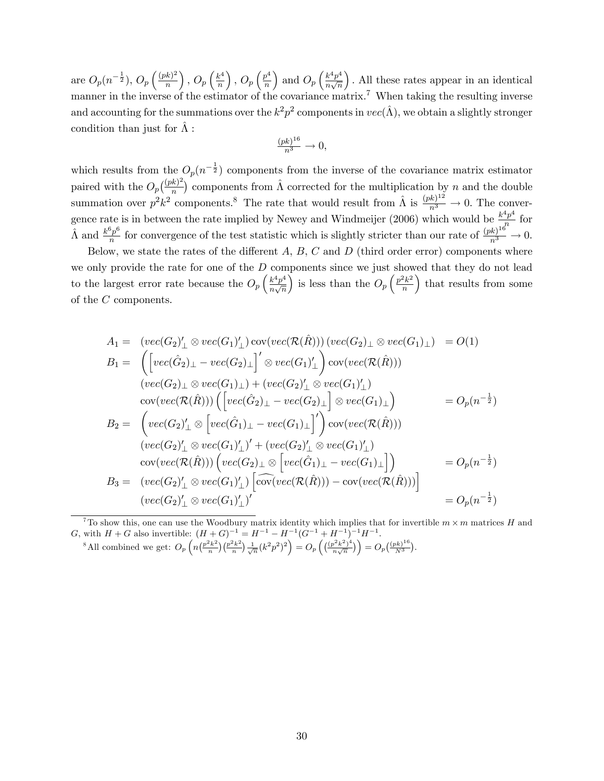are  $O_p(n^{-\frac{1}{2}}), O_p\left(\frac{(pk)^2}{n}\right)$ n ),  $O_p\left(\frac{k^4}{n}\right)$ n ),  $O_p\left(\frac{p^4}{n}\right)$ n ) and  $O_p\left(\frac{k^4p^4}{n\sqrt{n}}\right)$  $\frac{1}{n\sqrt{n}}$  : All these rates appear in an identical manner in the inverse of the estimator of the covariance matrix.<sup>7</sup> When taking the resulting inverse and accounting for the summations over the  $k^2p^2$  components in  $vec(\hat{\Lambda})$ , we obtain a slightly stronger condition than just for  $\hat{\Lambda}$ :

$$
\frac{(pk)^{16}}{n^3} \to 0,
$$

which results from the  $O_p(n^{-\frac{1}{2}})$  components from the inverse of the covariance matrix estimator paired with the  $O_p\left(\frac{(pk)^2}{n}\right)$  $\frac{k}{n}$  components from  $\hat{\Lambda}$  corrected for the multiplication by n and the double summation over  $p^2k^2$  components.<sup>8</sup> The rate that would result from  $\hat{\Lambda}$  is  $\frac{(pk)^{12}}{n^3} \to 0$ . The convergence rate is in between the rate implied by Newey and Windmeijer (2006) which would be  $\frac{k^4p^4}{n}$  $\frac{r}{n}$  for  $\hat{\Lambda}$  and  $\frac{k^6p^6}{n}$  $\frac{3p^6}{n}$  for convergence of the test statistic which is slightly stricter than our rate of  $\frac{(pk)^{16}}{n^3} \to 0$ .

Below, we state the rates of the different  $A, B, C$  and  $D$  (third order error) components where we only provide the rate for one of the  $D$  components since we just showed that they do not lead to the largest error rate because the  $O_p\left(\frac{k^4p^4}{n\sqrt{n}}\right)$  $\frac{1}{n\sqrt{n}}$ is less than the  $O_p\left(\frac{p^2k^2}{n}\right)$ n ) that results from some of the C components.

$$
A_1 = (vec(G_2)'_{\perp} \otimes vec(G_1)'_{\perp}) cov(vec(\mathcal{R}(\hat{R}))) (vec(G_2)_{\perp} \otimes vec(G_1)_{\perp}) = O(1)
$$
  
\n
$$
B_1 = \left( [vec(\hat{G}_2)_{\perp} - vec(G_2)_{\perp}]' \otimes vec(G_1)'_{\perp} \right) cov(vec(\mathcal{R}(\hat{R})))
$$
  
\n
$$
(vec(G_2)_{\perp} \otimes vec(G_1)_{\perp}) + (vec(G_2)'_{\perp} \otimes vec(G_1)'_{\perp})
$$
  
\n
$$
cov(vec(\mathcal{R}(\hat{R}))) \left( [vec(\hat{G}_2)_{\perp} - vec(G_2)_{\perp}] \otimes vec(G_1)_{\perp} \right) = O_p(n^{-\frac{1}{2}})
$$
  
\n
$$
B_2 = \left( vec(G_2)'_{\perp} \otimes [vec(\hat{G}_1)_{\perp} - vec(G_1)_{\perp}]' \right) cov(vec(\mathcal{R}(\hat{R})))
$$
  
\n
$$
(vec(G_2)'_{\perp} \otimes vec(G_1)'_{\perp})' + (vec(G_2)'_{\perp} \otimes vec(G_1)'_{\perp})
$$
  
\n
$$
cov(vec(\mathcal{R}(\hat{R}))) \left( vec(G_2)_{\perp} \otimes [vec(\hat{G}_1)_{\perp} - vec(G_1)_{\perp}]\right) = O_p(n^{-\frac{1}{2}})
$$
  
\n
$$
B_3 = (vec(G_2)'_{\perp} \otimes vec(G_1)'_{\perp}) \left[ cov(vec(\mathcal{R}(\hat{R}))) - cov(vec(\mathcal{R}(\hat{R}))) \right]
$$
  
\n
$$
(vec(G_2)'_{\perp} \otimes vec(G_1)'_{\perp})' \right)' = O_p(n^{-\frac{1}{2}})
$$

<sup>7</sup>To show this, one can use the Woodbury matrix identity which implies that for invertible  $m \times m$  matrices H and G, with  $H + G$  also invertible:  $(H + G)^{-1} = H^{-1} - H^{-1} (G^{-1} + H^{-1})^{-1} H^{-1}$ . <sup>8</sup>All combined we get:  $O_p\left(n\left(\frac{p^2k^2}{n}\right)\right)$  $\binom{p^2k^2}{n}\binom{p^2k^2}{n}$  $\left(\frac{(p^2k^2)}{n}\right)\frac{1}{\sqrt{n}}(k^2p^2)^2\right) = O_p\left(\frac{(p^2k^2)^4}{n\sqrt{n}}\right)$  $\left( \frac{p^2 k^2 \right)^4}{n \sqrt{n}} \right) = O_p \left( \frac{(p k)^{16}}{N^3} \right)$  $\frac{(nk)^{16}}{N^3}$ .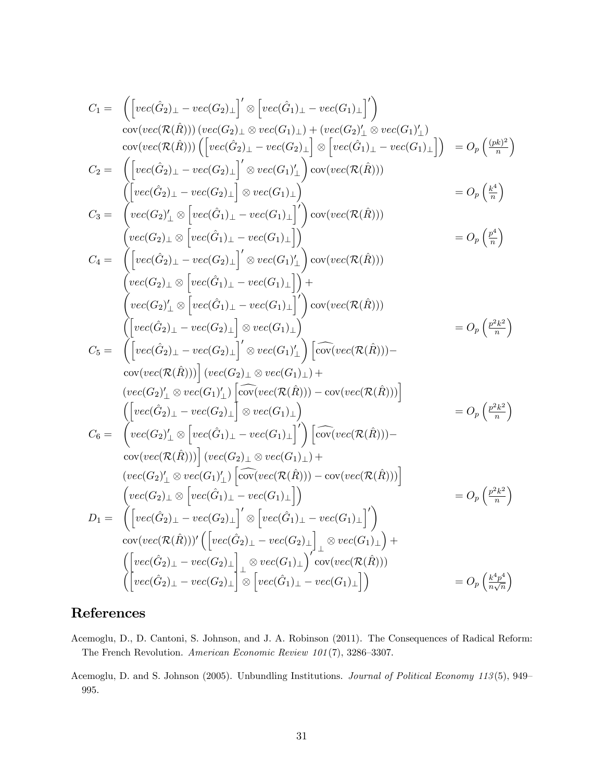$$
C_1 = \begin{pmatrix} \left[ vec(G_2)_\perp - vec(G_2)_\perp \right]' \otimes \left[ vec(G_1)_\perp - vec(G_1)_\perp \right]' \right) \\ \frac{cov(vec(R(\hat{R}))) (vec(G_2)_\perp \otimes vec(G_1)_\perp) + (vec(G_2)'_\perp \otimes vec(G_1)'_\perp)}{cov(vec(R(\hat{R})))} \right] \\ \frac{cov(vec(R(\hat{R}))) (vec(G_2)_\perp - vec(G_2)_\perp)}{cov(vec(R(\hat{R})))} \otimes vec(G_1)_\perp \otimes vec(G_1)_\perp} \otimes vec(G_1)_\perp \right) \\ C_2 = \begin{pmatrix} \left[ vec(\hat{G}_2)_\perp - vec(G_2)_\perp \right]' \otimes vec(G_1)_\perp} \right] cov(vec(R(\hat{R}))) \\ \frac{vec(G_2)_\perp - vec(G_2)_\perp}{cov(vec(G_1)_\perp - vec(G_1)_\perp} \right)' cov(vec(R(\hat{R}))) \\ \frac{vec(G_2)_\perp \otimes \left[ vec(\hat{G}_1)_\perp - vec(G_1)_\perp \right]'}{cov(vec(R(\hat{R})))} \\ \frac{vec(G_2)_\perp \otimes \left[ vec(G_2)_\perp \otimes vec(G_1)_\perp \right]}{cov(vec(R(\hat{R})))} \\ \frac{vec(G_2)_\perp \otimes \left[ vec(G_1)_\perp - vec(G_1)_\perp \right]}{cov(vec(R(\hat{R})))} \right) \\ \frac{vec(G_2)_\perp \otimes \left[ vec(G_2)_\perp - vec(G_2)_\perp \right]' \otimes vec(G_1)_\perp}{cov(vec(R(\hat{R})))} \\ \frac{vec(G_2)_\perp - vec(G_2)_\perp}{cov(vec(R(\hat{R})))} \otimes vec(G_1)_\perp} \right) cov(vec(R(\hat{R}))) \\ \frac{vec(G_2)_\perp - vec(G_2)_\perp}{cov(vec(R(\hat{R})))} \otimes vec(G_1)_\perp} \otimes vec(G_1)_\perp \right) \left[ cov(vec(R(\hat{R}))) - cov(vec(R(\hat{R}))) \right] \\ \frac{vec(G_2)_\perp - vec(G_2)_\perp}{cov(vec(R(\hat{R})))} \otimes vec(G_1)_\perp} \otimes vec(G_1)_\perp \right) \left[
$$

# References

- Acemoglu, D., D. Cantoni, S. Johnson, and J. A. Robinson (2011). The Consequences of Radical Reform: The French Revolution. American Economic Review  $101(7)$ , 3286-3307.
- Acemoglu, D. and S. Johnson (2005). Unbundling Institutions. Journal of Political Economy 113(5), 949-995.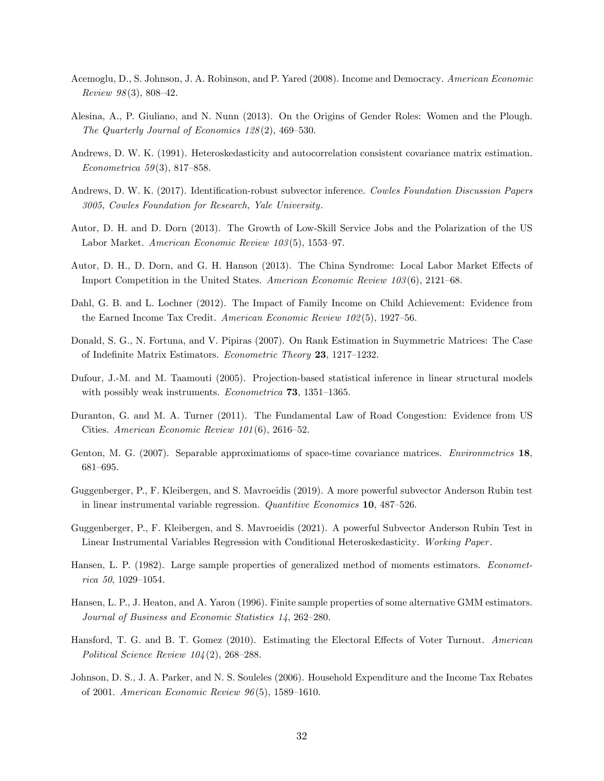- Acemoglu, D., S. Johnson, J. A. Robinson, and P. Yared (2008). Income and Democracy. American Economic Review  $98(3)$ , 808–42.
- Alesina, A., P. Giuliano, and N. Nunn (2013). On the Origins of Gender Roles: Women and the Plough. The Quarterly Journal of Economics  $128(2)$ , 469–530.
- Andrews, D. W. K. (1991). Heteroskedasticity and autocorrelation consistent covariance matrix estimation. Econometrica 59(3), 817-858.
- Andrews, D. W. K. (2017). Identification-robust subvector inference. Cowles Foundation Discussion Papers 3005, Cowles Foundation for Research, Yale University.
- Autor, D. H. and D. Dorn (2013). The Growth of Low-Skill Service Jobs and the Polarization of the US Labor Market. American Economic Review  $103(5)$ , 1553-97.
- Autor, D. H., D. Dorn, and G. H. Hanson (2013). The China Syndrome: Local Labor Market Effects of Import Competition in the United States. American Economic Review  $103(6)$ , 2121–68.
- Dahl, G. B. and L. Lochner (2012). The Impact of Family Income on Child Achievement: Evidence from the Earned Income Tax Credit. American Economic Review  $102(5)$ , 1927–56.
- Donald, S. G., N. Fortuna, and V. Pipiras (2007). On Rank Estimation in Suymmetric Matrices: The Case of Indefinite Matrix Estimators. Econometric Theory 23, 1217-1232.
- Dufour, J.-M. and M. Taamouti (2005). Projection-based statistical inference in linear structural models with possibly weak instruments. *Econometrica* **73**, 1351–1365.
- Duranton, G. and M. A. Turner (2011). The Fundamental Law of Road Congestion: Evidence from US Cities. American Economic Review  $101(6)$ , 2616–52.
- Genton, M. G. (2007). Separable approximatioms of space-time covariance matrices. *Environmetrics* 18, 681-695.
- Guggenberger, P., F. Kleibergen, and S. Mavroeidis (2019). A more powerful subvector Anderson Rubin test in linear instrumental variable regression.  $Quantitive\ Economics$  10, 487-526.
- Guggenberger, P., F. Kleibergen, and S. Mavroeidis (2021). A powerful Subvector Anderson Rubin Test in Linear Instrumental Variables Regression with Conditional Heteroskedasticity. Working Paper .
- Hansen, L. P. (1982). Large sample properties of generalized method of moments estimators. *Economet* $rica 50, 1029-1054.$
- Hansen, L. P., J. Heaton, and A. Yaron (1996). Finite sample properties of some alternative GMM estimators. Journal of Business and Economic Statistics 14, 262-280.
- Hansford, T. G. and B. T. Gomez (2010). Estimating the Electoral Effects of Voter Turnout. American Political Science Review  $104(2)$ , 268–288.
- Johnson, D. S., J. A. Parker, and N. S. Souleles (2006). Household Expenditure and the Income Tax Rebates of 2001. American Economic Review  $96(5)$ , 1589–1610.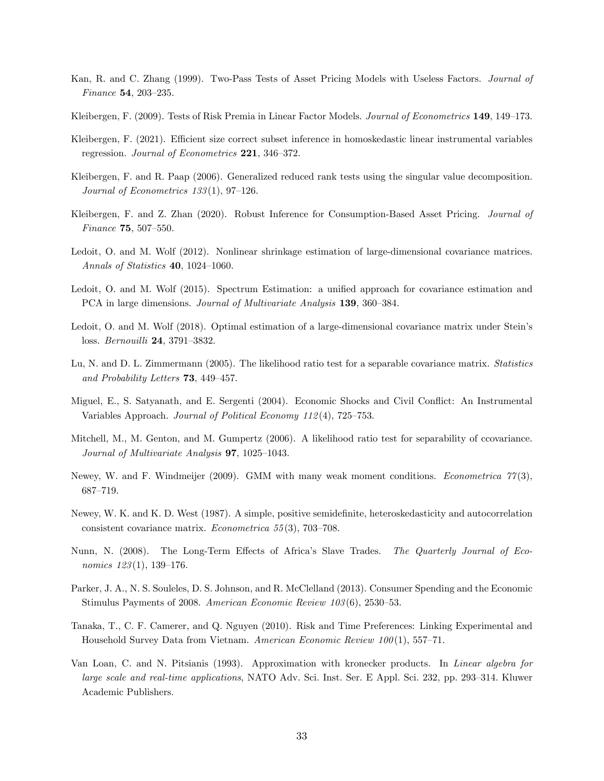- Kan, R. and C. Zhang (1999). Two-Pass Tests of Asset Pricing Models with Useless Factors. *Journal of* Finance  $54, 203 - 235$ .
- Kleibergen, F. (2009). Tests of Risk Premia in Linear Factor Models. Journal of Econometrics 149, 149–173.
- Kleibergen, F. (2021). Efficient size correct subset inference in homoskedastic linear instrumental variables regression. Journal of Econometrics  $221$ ,  $346-372$ .
- Kleibergen, F. and R. Paap (2006). Generalized reduced rank tests using the singular value decomposition. Journal of Econometrics  $133(1)$ , 97-126.
- Kleibergen, F. and Z. Zhan (2020). Robust Inference for Consumption-Based Asset Pricing. Journal of Finance  $75, 507 - 550$ .
- Ledoit, O. and M. Wolf (2012). Nonlinear shrinkage estimation of large-dimensional covariance matrices. Annals of Statistics  $40, 1024-1060$ .
- Ledoit, O. and M. Wolf (2015). Spectrum Estimation: a unified approach for covariance estimation and PCA in large dimensions. Journal of Multivariate Analysis 139, 360–384.
- Ledoit, O. and M. Wolf (2018). Optimal estimation of a large-dimensional covariance matrix under Stein's loss. Bernouilli 24, 3791-3832.
- Lu, N. and D. L. Zimmermann (2005). The likelihood ratio test for a separable covariance matrix. Statistics and Probability Letters  $73, 449-457$ .
- Miguel, E., S. Satyanath, and E. Sergenti (2004). Economic Shocks and Civil Conáict: An Instrumental Variables Approach. Journal of Political Economy  $112(4)$ , 725–753.
- Mitchell, M., M. Genton, and M. Gumpertz (2006). A likelihood ratio test for separability of ccovariance. Journal of Multivariate Analysis  $97, 1025-1043$ .
- Newey, W. and F. Windmeijer (2009). GMM with many weak moment conditions. *Econometrica 77*(3), 687-719.
- Newey, W. K. and K. D. West (1987). A simple, positive semidefinite, heteroskedasticity and autocorrelation consistent covariance matrix. *Econometrica* 55(3), 703–708.
- Nunn, N. (2008). The Long-Term Effects of Africa's Slave Trades. The Quarterly Journal of Economics  $123(1)$ ,  $139-176$ .
- Parker, J. A., N. S. Souleles, D. S. Johnson, and R. McClelland (2013). Consumer Spending and the Economic Stimulus Payments of 2008. American Economic Review  $103(6)$ , 2530-53.
- Tanaka, T., C. F. Camerer, and Q. Nguyen (2010). Risk and Time Preferences: Linking Experimental and Household Survey Data from Vietnam. American Economic Review  $100(1)$ , 557-71.
- Van Loan, C. and N. Pitsianis (1993). Approximation with kronecker products. In Linear algebra for large scale and real-time applications, NATO Adv. Sci. Inst. Ser. E Appl. Sci. 232, pp. 293–314. Kluwer Academic Publishers.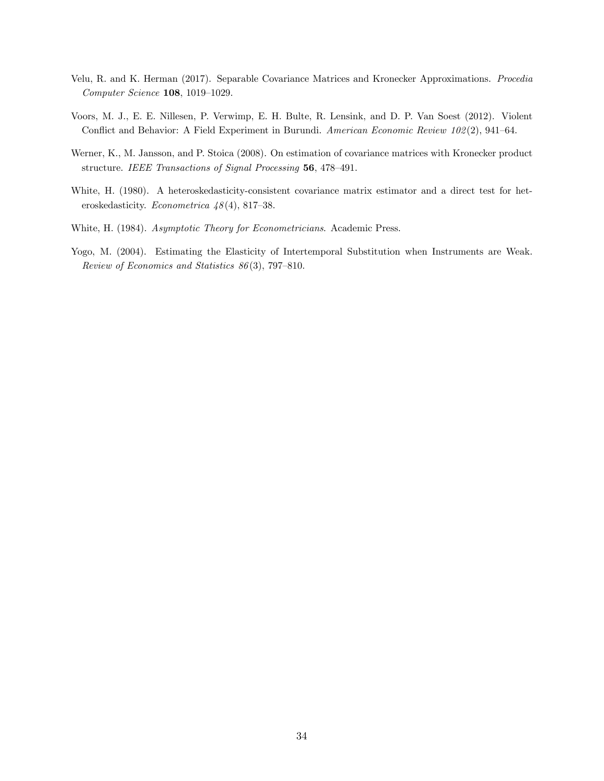- Velu, R. and K. Herman (2017). Separable Covariance Matrices and Kronecker Approximations. Procedia  $Computer\, Science$  108, 1019-1029.
- Voors, M. J., E. E. Nillesen, P. Verwimp, E. H. Bulte, R. Lensink, and D. P. Van Soest (2012). Violent Conflict and Behavior: A Field Experiment in Burundi. American Economic Review 102(2), 941-64.
- Werner, K., M. Jansson, and P. Stoica (2008). On estimation of covariance matrices with Kronecker product structure. IEEE Transactions of Signal Processing 56, 478-491.
- White, H. (1980). A heteroskedasticity-consistent covariance matrix estimator and a direct test for heteroskedasticity. Econometrica  $48(4)$ , 817–38.
- White, H. (1984). Asymptotic Theory for Econometricians. Academic Press.
- Yogo, M. (2004). Estimating the Elasticity of Intertemporal Substitution when Instruments are Weak. Review of Economics and Statistics  $86(3)$ , 797-810.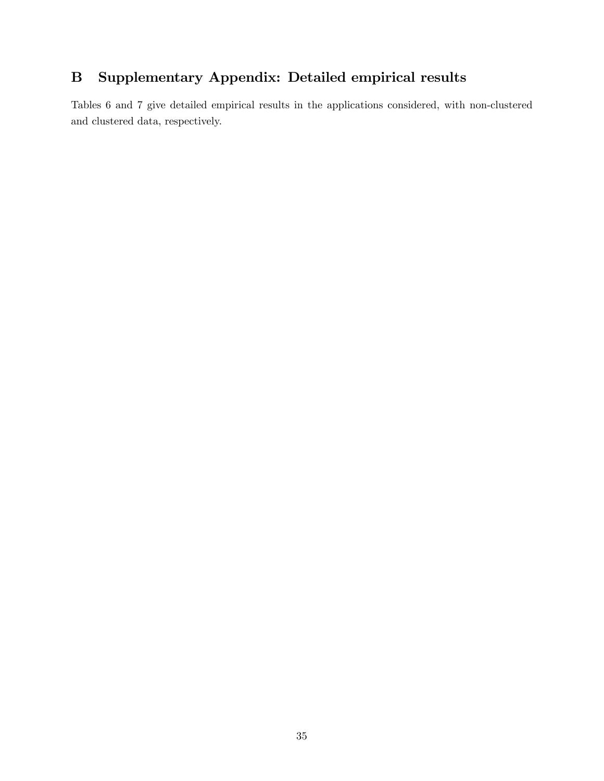# B Supplementary Appendix: Detailed empirical results

Tables 6 and 7 give detailed empirical results in the applications considered, with non-clustered and clustered data, respectively.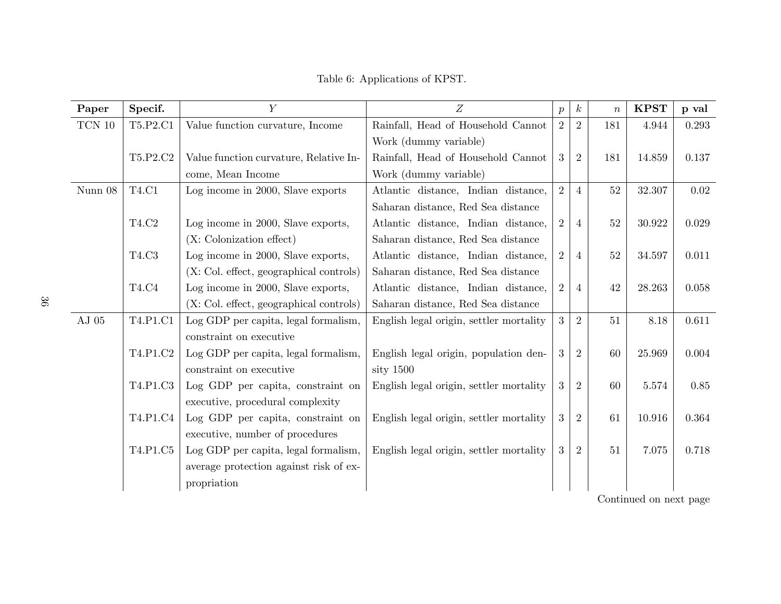| Paper                   | Specif.      | $\overline{Y}$                            | $\boldsymbol{Z}$                        | $\boldsymbol{p}$ | $\boldsymbol{k}$ | $\boldsymbol{n}$ | <b>KPST</b> | p val |
|-------------------------|--------------|-------------------------------------------|-----------------------------------------|------------------|------------------|------------------|-------------|-------|
| $\operatorname{TCN}$ 10 | T5.P2.C1     | Value function curvature, Income          | Rainfall, Head of Household Cannot      | 2                | 2                | 181              | 4.944       | 0.293 |
|                         |              |                                           | Work (dummy variable)                   |                  |                  |                  |             |       |
|                         | T5.P2.C2     | Value function curvature, Relative In-    | Rainfall, Head of Household Cannot      | 3                | $\overline{2}$   | 181              | 14.859      | 0.137 |
|                         |              | come, Mean Income                         | Work (dummy variable)                   |                  |                  |                  |             |       |
| Nunn 08                 | <b>T4.C1</b> | Log income in 2000, Slave exports         | Atlantic distance, Indian distance,     | 2                | $\overline{4}$   | $52\,$           | 32.307      | 0.02  |
|                         |              |                                           | Saharan distance, Red Sea distance      |                  |                  |                  |             |       |
|                         | T4.C2        | Log income in 2000, Slave exports,        | Atlantic distance, Indian distance,     | 2                | $\overline{4}$   | $52\,$           | 30.922      | 0.029 |
|                         |              | (X: Colonization effect)                  | Saharan distance, Red Sea distance      |                  |                  |                  |             |       |
|                         | T4.C3        | Log income in 2000, Slave exports,        | Atlantic distance, Indian distance,     | 2                | $\overline{4}$   | 52               | 34.597      | 0.011 |
|                         |              | $(X: Col. effect, geographical controls)$ | Saharan distance, Red Sea distance      |                  |                  |                  |             |       |
|                         | T4.C4        | Log income in 2000, Slave exports,        | Atlantic distance, Indian distance,     | $\overline{2}$   | $\overline{4}$   | 42               | 28.263      | 0.058 |
|                         |              | (X: Col. effect, geographical controls)   | Saharan distance, Red Sea distance      |                  |                  |                  |             |       |
| ${\rm AJ}$ 05           | T4.P1.C1     | Log GDP per capita, legal formalism,      | English legal origin, settler mortality | 3                | 2                | 51               | 8.18        | 0.611 |
|                         |              | constraint on executive                   |                                         |                  |                  |                  |             |       |
|                         | T4.P1.C2     | Log GDP per capita, legal formalism,      | English legal origin, population den-   | 3                | $\overline{2}$   | 60               | 25.969      | 0.004 |
|                         |              | constraint on executive                   | sity 1500                               |                  |                  |                  |             |       |
|                         | T4.P1.C3     | Log GDP per capita, constraint on         | English legal origin, settler mortality | 3                | $\overline{2}$   | 60               | 5.574       | 0.85  |
|                         |              | executive, procedural complexity          |                                         |                  |                  |                  |             |       |
|                         | T4.P1.C4     | Log GDP per capita, constraint on         | English legal origin, settler mortality | 3                | $\overline{2}$   | 61               | 10.916      | 0.364 |
|                         |              | executive, number of procedures           |                                         |                  |                  |                  |             |       |
|                         | T4.P1.C5     | Log GDP per capita, legal formalism,      | English legal origin, settler mortality | 3                | $\overline{2}$   | 51               | 7.075       | 0.718 |
|                         |              | average protection against risk of ex-    |                                         |                  |                  |                  |             |       |
|                         |              | propriation                               |                                         |                  |                  |                  |             |       |

Table 6: Applications of KPST.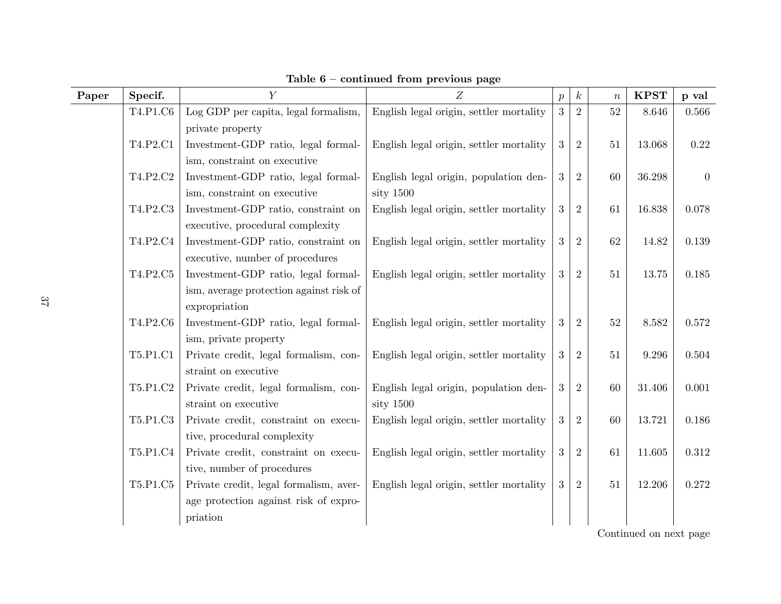| Paper | Specif.  | $\overline{Y}$                          | Z                                       | $\boldsymbol{p}$ | $\boldsymbol{k}$ | $\boldsymbol{n}$ | <b>KPST</b> | p val          |
|-------|----------|-----------------------------------------|-----------------------------------------|------------------|------------------|------------------|-------------|----------------|
|       | T4.P1.C6 | Log GDP per capita, legal formalism,    | English legal origin, settler mortality | 3                | $\overline{2}$   | 52               | 8.646       | 0.566          |
|       |          | private property                        |                                         |                  |                  |                  |             |                |
|       | T4.P2.C1 | Investment-GDP ratio, legal formal-     | English legal origin, settler mortality | 3                | $\overline{2}$   | 51               | 13.068      | 0.22           |
|       |          | ism, constraint on executive            |                                         |                  |                  |                  |             |                |
|       | T4.P2.C2 | Investment-GDP ratio, legal formal-     | English legal origin, population den-   | 3                | $\overline{2}$   | 60               | 36.298      | $\overline{0}$ |
|       |          | ism, constraint on executive            | sity 1500                               |                  |                  |                  |             |                |
|       | T4.P2.C3 | Investment-GDP ratio, constraint on     | English legal origin, settler mortality | 3                | $\overline{2}$   | 61               | 16.838      | 0.078          |
|       |          | executive, procedural complexity        |                                         |                  |                  |                  |             |                |
|       | T4.P2.C4 | Investment-GDP ratio, constraint on     | English legal origin, settler mortality | 3                | $\overline{2}$   | 62               | 14.82       | 0.139          |
|       |          | executive, number of procedures         |                                         |                  |                  |                  |             |                |
|       | T4.P2.C5 | Investment-GDP ratio, legal formal-     | English legal origin, settler mortality | 3                | $\overline{2}$   | 51               | 13.75       | 0.185          |
|       |          | ism, average protection against risk of |                                         |                  |                  |                  |             |                |
|       |          | expropriation                           |                                         |                  |                  |                  |             |                |
|       | T4.P2.C6 | Investment-GDP ratio, legal formal-     | English legal origin, settler mortality | 3                | $\overline{2}$   | 52               | 8.582       | 0.572          |
|       |          | ism, private property                   |                                         |                  |                  |                  |             |                |
|       | T5.P1.C1 | Private credit, legal formalism, con-   | English legal origin, settler mortality | 3                | $\overline{2}$   | 51               | 9.296       | 0.504          |
|       |          | straint on executive                    |                                         |                  |                  |                  |             |                |
|       | T5.P1.C2 | Private credit, legal formalism, con-   | English legal origin, population den-   | 3                | $\overline{2}$   | 60               | 31.406      | 0.001          |
|       |          | straint on executive                    | sity 1500                               |                  |                  |                  |             |                |
|       | T5.P1.C3 | Private credit, constraint on execu-    | English legal origin, settler mortality | 3                | $\overline{2}$   | 60               | 13.721      | 0.186          |
|       |          | tive, procedural complexity             |                                         |                  |                  |                  |             |                |
|       | T5.P1.C4 | Private credit, constraint on execu-    | English legal origin, settler mortality | 3                | $\overline{2}$   | 61               | 11.605      | 0.312          |
|       |          | tive, number of procedures              |                                         |                  |                  |                  |             |                |
|       | T5.P1.C5 | Private credit, legal formalism, aver-  | English legal origin, settler mortality | 3                | $\overline{2}$   | 51               | 12.206      | 0.272          |
|       |          | age protection against risk of expro-   |                                         |                  |                  |                  |             |                |
|       |          | priation                                |                                         |                  |                  |                  |             |                |

Table  $6$  – continued from previous page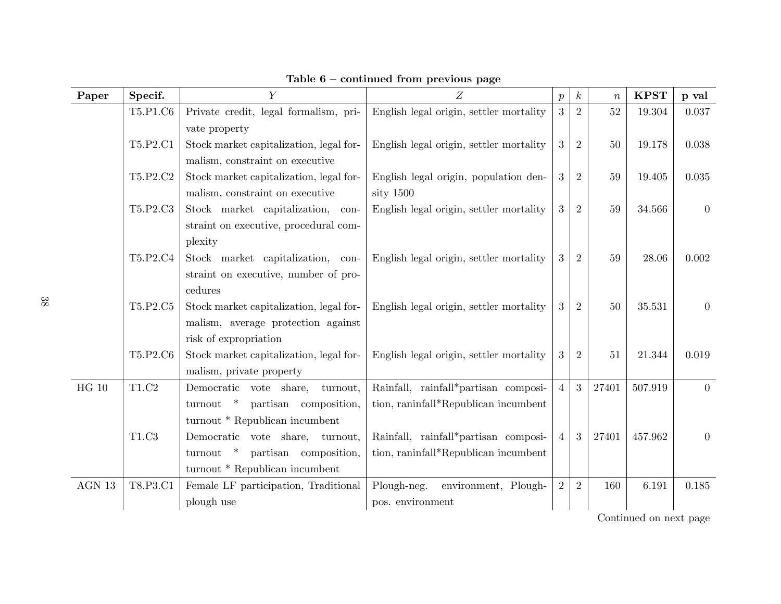| Paper        | Specif.     | $\overline{Y}$                          | Z                                       | $\boldsymbol{p}$ | $\boldsymbol{k}$ | $\boldsymbol{n}$ | <b>KPST</b> | p val            |
|--------------|-------------|-----------------------------------------|-----------------------------------------|------------------|------------------|------------------|-------------|------------------|
|              | T5.P1.C6    | Private credit, legal formalism, pri-   | English legal origin, settler mortality | 3                | $\overline{2}$   | 52               | 19.304      | 0.037            |
|              |             | vate property                           |                                         |                  |                  |                  |             |                  |
|              | T5.P2.C1    | Stock market capitalization, legal for- | English legal origin, settler mortality | 3                | $\overline{2}$   | 50               | 19.178      | 0.038            |
|              |             | malism, constraint on executive         |                                         |                  |                  |                  |             |                  |
|              | T5.P2.C2    | Stock market capitalization, legal for- | English legal origin, population den-   | 3                | $\overline{2}$   | 59               | 19.405      | 0.035            |
|              |             | malism, constraint on executive         | sity $1500$                             |                  |                  |                  |             |                  |
|              | T5.P2.C3    | Stock market capitalization, con-       | English legal origin, settler mortality | 3                | $\overline{2}$   | $59\,$           | 34.566      | $\boldsymbol{0}$ |
|              |             | straint on executive, procedural com-   |                                         |                  |                  |                  |             |                  |
|              |             | plexity                                 |                                         |                  |                  |                  |             |                  |
|              | T5.P2.C4    | Stock market capitalization, con-       | English legal origin, settler mortality | 3                | $\overline{2}$   | 59               | 28.06       | 0.002            |
|              |             | straint on executive, number of pro-    |                                         |                  |                  |                  |             |                  |
|              |             | cedures                                 |                                         |                  |                  |                  |             |                  |
|              | T5.P2.C5    | Stock market capitalization, legal for- | English legal origin, settler mortality | 3                | $\overline{2}$   | $50\,$           | 35.531      | $\overline{0}$   |
|              |             | malism, average protection against      |                                         |                  |                  |                  |             |                  |
|              |             | risk of expropriation                   |                                         |                  |                  |                  |             |                  |
|              | T5.P2.C6    | Stock market capitalization, legal for- | English legal origin, settler mortality | 3                | $\overline{2}$   | 51               | 21.344      | 0.019            |
|              |             | malism, private property                |                                         |                  |                  |                  |             |                  |
| $\rm{HG}$ 10 | $\rm T1.C2$ | Democratic vote share,<br>turnout,      | Rainfall, rainfall*partisan composi-    | $\overline{4}$   | 3                | 27401            | 507.919     | $\overline{0}$   |
|              |             | turnout * partisan composition,         | tion, raninfall*Republican incumbent    |                  |                  |                  |             |                  |
|              |             | turnout * Republican incumbent          |                                         |                  |                  |                  |             |                  |
|              | T1.C3       | Democratic vote share, turnout,         | Rainfall, rainfall*partisan composi-    | $\overline{4}$   | 3                | 27401            | 457.962     | $\overline{0}$   |
|              |             | partisan composition,<br>$turnout$ *    | tion, raninfall*Republican incumbent    |                  |                  |                  |             |                  |
|              |             | turnout * Republican incumbent          |                                         |                  |                  |                  |             |                  |
| AGN 13       | T8.P3.C1    | Female LF participation, Traditional    | environment, Plough-<br>Plough-neg.     | $\overline{2}$   | $\overline{2}$   | 160              | 6.191       | 0.185            |
|              |             | plough use                              | pos. environment                        |                  |                  |                  |             |                  |

Table  $6$  – continued from previous page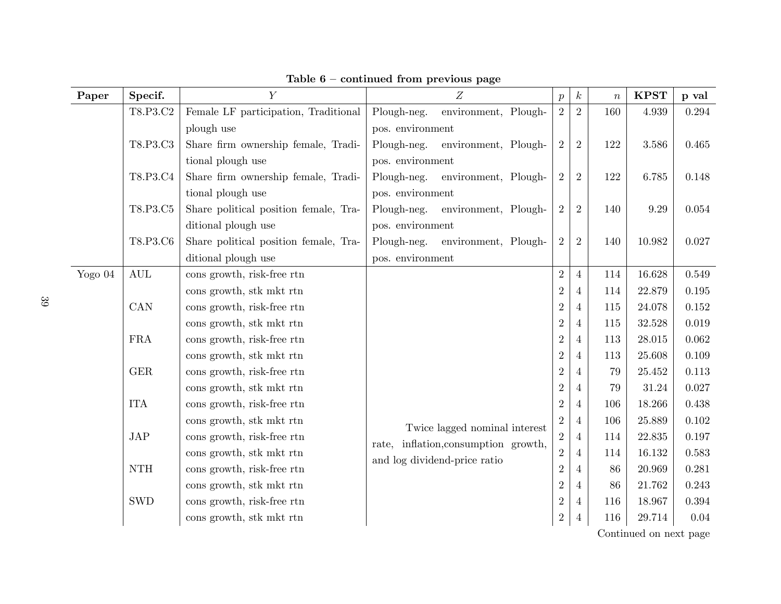| Paper   | Specif.                     | $\overline{Y}$                        | Z                                                                                                        | $\boldsymbol{p}$ | $\boldsymbol{k}$ | $\, n$ | <b>KPST</b> | p val |
|---------|-----------------------------|---------------------------------------|----------------------------------------------------------------------------------------------------------|------------------|------------------|--------|-------------|-------|
|         | T8.P3.C2                    | Female LF participation, Traditional  | Plough-neg.<br>environment, Plough-                                                                      | $\overline{2}$   | $\overline{2}$   | 160    | 4.939       | 0.294 |
|         |                             | plough use                            | pos. environment                                                                                         |                  |                  |        |             |       |
|         | T8.P3.C3                    | Share firm ownership female, Tradi-   | environment, Plough-<br>Plough-neg.                                                                      | $\overline{2}$   | $\overline{2}$   | 122    | $3.586\,$   | 0.465 |
|         |                             | tional plough use                     | pos. environment                                                                                         |                  |                  |        |             |       |
|         | T8.P3.C4                    | Share firm ownership female, Tradi-   | Plough-neg.<br>environment, Plough-                                                                      | $\overline{2}$   | $\overline{2}$   | 122    | 6.785       | 0.148 |
|         |                             | tional plough use                     | pos. environment                                                                                         |                  |                  |        |             |       |
|         | T8.P3.C5                    | Share political position female, Tra- | Plough-neg.<br>environment, Plough-<br>$\overline{2}$                                                    |                  | $\overline{2}$   | 140    | 9.29        | 0.054 |
|         |                             | ditional plough use                   | pos. environment                                                                                         |                  |                  |        |             |       |
|         | T8.P3.C6                    | Share political position female, Tra- | Plough-neg.<br>environment, Plough-                                                                      | $\overline{2}$   | $\overline{2}$   | 140    | 10.982      | 0.027 |
|         |                             | ditional plough use                   | pos. environment                                                                                         |                  |                  |        |             |       |
| Yogo 04 | $\mathop{\rm AUL}$          | cons growth, risk-free rtn            |                                                                                                          | $\sqrt{2}$       | $\overline{4}$   | 114    | 16.628      | 0.549 |
|         |                             | cons growth, stk mkt rtn              | $2\,$<br>$\overline{2}$<br>$\overline{2}$<br>$\overline{2}$                                              |                  |                  | 114    | 22.879      | 0.195 |
|         | CAN                         | cons growth, risk-free rtn            |                                                                                                          |                  |                  | 115    | 24.078      | 0.152 |
|         |                             | cons growth, stk mkt rtn              |                                                                                                          |                  |                  | 115    | 32.528      | 0.019 |
|         | <b>FRA</b>                  | cons growth, risk-free rtn            |                                                                                                          |                  |                  | 113    | 28.015      | 0.062 |
|         |                             | cons growth, stk mkt rtn              |                                                                                                          | $\overline{2}$   | 4                | 113    | 25.608      | 0.109 |
|         | $\operatorname{GER}$        | cons growth, risk-free rtn            |                                                                                                          | $\overline{2}$   | 4                | 79     | 25.452      | 0.113 |
|         |                             | cons growth, stk mkt rtn              |                                                                                                          | $\overline{2}$   | $\overline{4}$   | 79     | 31.24       | 0.027 |
|         | <b>ITA</b>                  | cons growth, risk-free rtn            |                                                                                                          | $\overline{2}$   | 4                | 106    | 18.266      | 0.438 |
|         |                             | cons growth, stk mkt rtn              | Twice lagged nominal interest                                                                            | $\overline{2}$   | 4                | 106    | 25.889      | 0.102 |
|         | JAP                         | cons growth, risk-free rtn            | $\overline{2}$<br>rate, inflation, consumption growth,<br>$\overline{2}$<br>and log dividend-price ratio |                  | $\overline{4}$   | 114    | 22.835      | 0.197 |
|         |                             | cons growth, stk mkt rtn              |                                                                                                          |                  | 4                | 114    | 16.132      | 0.583 |
|         | $\mathop{\rm NTH}\nolimits$ | cons growth, risk-free rtn            | $\overline{2}$<br>$\overline{2}$                                                                         |                  |                  | 86     | $20.969\,$  | 0.281 |
|         |                             | cons growth, stk mkt rtn              |                                                                                                          |                  |                  | 86     | 21.762      | 0.243 |
|         | $\operatorname{SWD}$        | cons growth, risk-free rtn            |                                                                                                          | $\sqrt{2}$       | 4                | 116    | 18.967      | 0.394 |
|         |                             | cons growth, stk mkt rtn              |                                                                                                          | $\sqrt{2}$       | 4                | 116    | 29.714      | 0.04  |

Table  $6$  – continued from previous page

39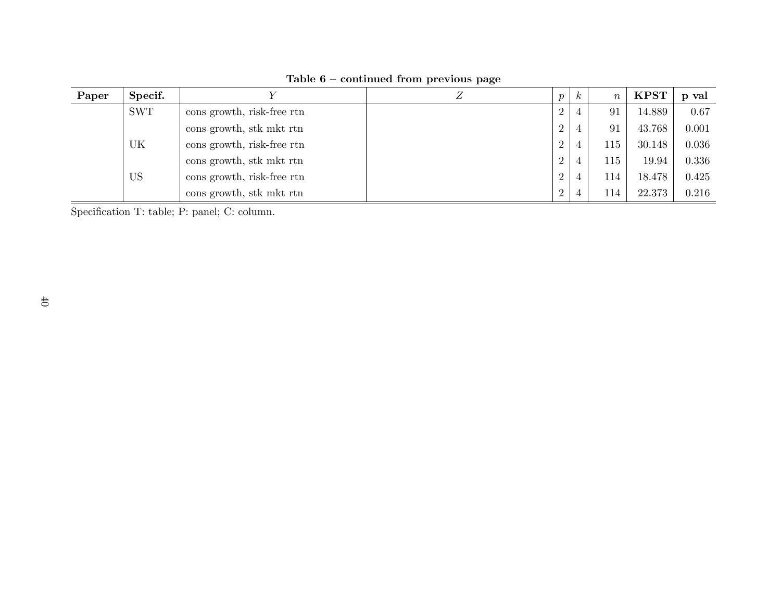| Paper | Specif.    |                            | Ζ | $\boldsymbol{p}$ | $\boldsymbol{k}$ | $\boldsymbol{n}$ | <b>KPST</b> | p val |
|-------|------------|----------------------------|---|------------------|------------------|------------------|-------------|-------|
|       | <b>SWT</b> | cons growth, risk-free rtn |   | $\overline{2}$   | 4                | 91               | 14.889      | 0.67  |
|       |            | cons growth, stk mkt rtn   |   | 2                | $\overline{4}$   | 91               | 43.768      | 0.001 |
|       | UK         | cons growth, risk-free rtn |   | $\overline{2}$   | 4                | 115              | 30.148      | 0.036 |
|       |            | cons growth, stk mkt rtn   |   | $\overline{2}$   | 4                | 115              | 19.94       | 0.336 |
|       | US         | cons growth, risk-free rtn |   | 2                | $\overline{4}$   | 114              | 18.478      | 0.425 |
|       |            | cons growth, stk mkt rtn   |   | $\overline{2}$   | 4                | 114              | 22.373      | 0.216 |

Table  $6$  – continued from previous page

Specification T: table; P: panel; C: column.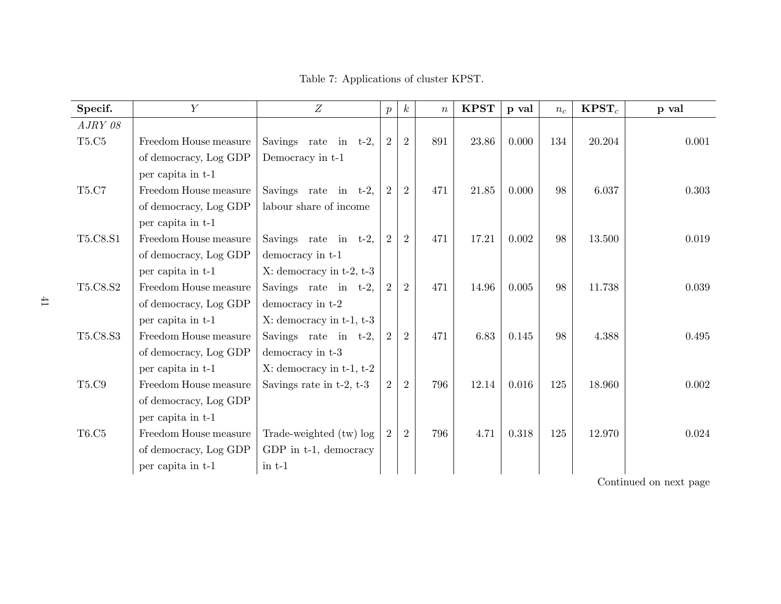| Specif.    | $\overline{Y}$        | Z                               | $p_{\parallel}$ | $k_{\rm}$      | $\boldsymbol{n}$ | <b>KPST</b> | p val | $n_c$ | $KPST_c$ | p val |
|------------|-----------------------|---------------------------------|-----------------|----------------|------------------|-------------|-------|-------|----------|-------|
| A J R Y 08 |                       |                                 |                 |                |                  |             |       |       |          |       |
| T5.C5      | Freedom House measure | Savings rate in $t-2$ ,         | $\overline{2}$  | 2              | 891              | 23.86       | 0.000 | 134   | 20.204   | 0.001 |
|            | of democracy, Log GDP | Democracy in t-1                |                 |                |                  |             |       |       |          |       |
|            | per capita in t-1     |                                 |                 |                |                  |             |       |       |          |       |
| T5.C7      | Freedom House measure | Savings rate in $t-2$ ,         | $\overline{2}$  | $\overline{2}$ | 471              | $21.85\,$   | 0.000 | 98    | 6.037    | 0.303 |
|            | of democracy, Log GDP | labour share of income          |                 |                |                  |             |       |       |          |       |
|            | per capita in t-1     |                                 |                 |                |                  |             |       |       |          |       |
| T5.C8.S1   | Freedom House measure | Savings rate in $t-2$ ,         | 2               | $\overline{2}$ | 471              | 17.21       | 0.002 | 98    | 13.500   | 0.019 |
|            | of democracy, Log GDP | democracy in t-1                |                 |                |                  |             |       |       |          |       |
|            | per capita in t-1     | $X:$ democracy in t-2, t-3      |                 |                |                  |             |       |       |          |       |
| T5.C8.S2   | Freedom House measure | Savings rate in $t-2$ ,         | $\overline{2}$  | $\overline{2}$ | 471              | 14.96       | 0.005 | 98    | 11.738   | 0.039 |
|            | of democracy, Log GDP | democracy in t-2                |                 |                |                  |             |       |       |          |       |
|            | per capita in t-1     | $X:$ democracy in $t-1$ , $t-3$ |                 |                |                  |             |       |       |          |       |
| T5.C8.S3   | Freedom House measure | Savings rate in $t-2$ ,         | $\overline{2}$  | $\overline{2}$ | 471              | 6.83        | 0.145 | 98    | 4.388    | 0.495 |
|            | of democracy, Log GDP | democracy in $t-3$              |                 |                |                  |             |       |       |          |       |
|            | per capita in t-1     | $X:$ democracy in $t-1$ , $t-2$ |                 |                |                  |             |       |       |          |       |
| T5.C9      | Freedom House measure | Savings rate in $t-2$ , $t-3$   | $\overline{2}$  | $\overline{2}$ | 796              | 12.14       | 0.016 | 125   | 18.960   | 0.002 |
|            | of democracy, Log GDP |                                 |                 |                |                  |             |       |       |          |       |
|            | per capita in t-1     |                                 |                 |                |                  |             |       |       |          |       |
| T6.C5      | Freedom House measure | Trade-weighted (tw) log         | $\overline{2}$  | $\overline{2}$ | 796              | 4.71        | 0.318 | 125   | 12.970   | 0.024 |
|            | of democracy, Log GDP | GDP in t-1, democracy           |                 |                |                  |             |       |       |          |       |
|            | per capita in t-1     | $\text{in } t-1$                |                 |                |                  |             |       |       |          |       |

Table 7: Applications of cluster KPST.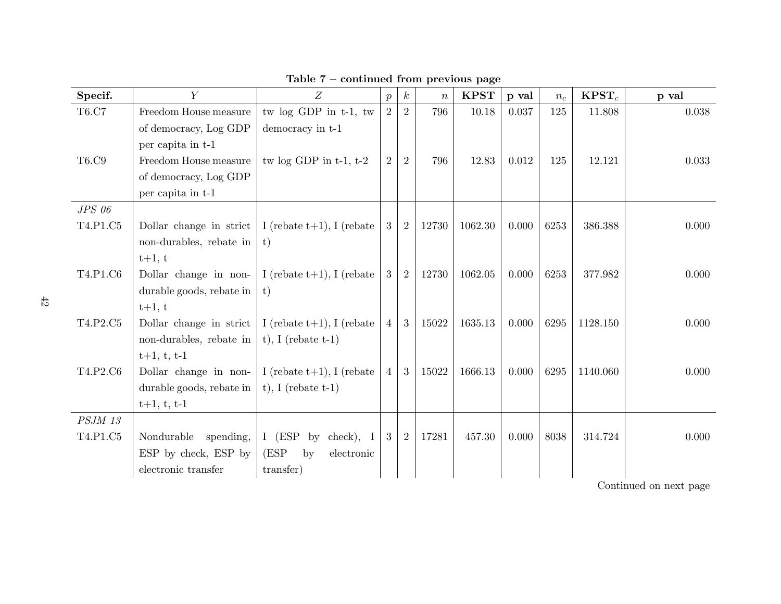| Specif.        | $\overline{Y}$           | Z                              | $\boldsymbol{p}$ | $\boldsymbol{k}$ | $\boldsymbol{n}$ | <b>KPST</b> | p val | $n_c$ | $KPST_c$ | p val |
|----------------|--------------------------|--------------------------------|------------------|------------------|------------------|-------------|-------|-------|----------|-------|
| T6.C7          | Freedom House measure    | tw log GDP in t-1, tw          | 2                | $\overline{2}$   | 796              | 10.18       | 0.037 | 125   | 11.808   | 0.038 |
|                | of democracy, Log GDP    | democracy in t-1               |                  |                  |                  |             |       |       |          |       |
|                | per capita in t-1        |                                |                  |                  |                  |             |       |       |          |       |
| T6.C9          | Freedom House measure    | tw $log$ GDP in $t-1$ , $t-2$  | $\overline{2}$   | $\overline{2}$   | 796              | 12.83       | 0.012 | 125   | 12.121   | 0.033 |
|                | of democracy, Log GDP    |                                |                  |                  |                  |             |       |       |          |       |
|                | per capita in t-1        |                                |                  |                  |                  |             |       |       |          |       |
| $JPS$ 06       |                          |                                |                  |                  |                  |             |       |       |          |       |
| T4.P1.C5       | Dollar change in strict  | I (rebate $t+1$ ), I (rebate   | 3                | 2                | 12730            | 1062.30     | 0.000 | 6253  | 386.388  | 0.000 |
|                | non-durables, rebate in  | $\mathbf{t}$                   |                  |                  |                  |             |       |       |          |       |
|                | $t+1, t$                 |                                |                  |                  |                  |             |       |       |          |       |
| T4.P1.C6       | Dollar change in non-    | I (rebate $t+1$ ), I (rebate   | 3                | 2                | 12730            | 1062.05     | 0.000 | 6253  | 377.982  | 0.000 |
|                | durable goods, rebate in | t)                             |                  |                  |                  |             |       |       |          |       |
|                | $t+1, t$                 |                                |                  |                  |                  |             |       |       |          |       |
| T4.P2.C5       | Dollar change in strict  | I (rebate $t+1$ ), I (rebate   | $\overline{4}$   | 3 <sup>1</sup>   | 15022            | 1635.13     | 0.000 | 6295  | 1128.150 | 0.000 |
|                | non-durables, rebate in  | t), I (rebate $t-1$ )          |                  |                  |                  |             |       |       |          |       |
|                | $t+1, t, t-1$            |                                |                  |                  |                  |             |       |       |          |       |
| T4.P2.C6       | Dollar change in non-    | I (rebate $t+1$ ), I (rebate   | $\overline{4}$   | 3                | 15022            | 1666.13     | 0.000 | 6295  | 1140.060 | 0.000 |
|                | durable goods, rebate in | $t$ , I (rebate $t-1$ )        |                  |                  |                  |             |       |       |          |       |
|                | $t+1, t, t-1$            |                                |                  |                  |                  |             |       |       |          |       |
| <b>PSJM 13</b> |                          |                                |                  |                  |                  |             |       |       |          |       |
| T4.P1.C5       | Nondurable<br>spending,  | I $(ESP \; by$<br>$check)$ , I | 3                | 2                | 17281            | 457.30      | 0.000 | 8038  | 314.724  | 0.000 |
|                | ESP by check, ESP by     | (ESP)<br>electronic<br>by      |                  |                  |                  |             |       |       |          |       |
|                | electronic transfer      | transfer)                      |                  |                  |                  |             |       |       |          |       |

Table  $7$  – continued from previous page

 $\ensuremath{\left\vert }\right\vert$  Continued on next page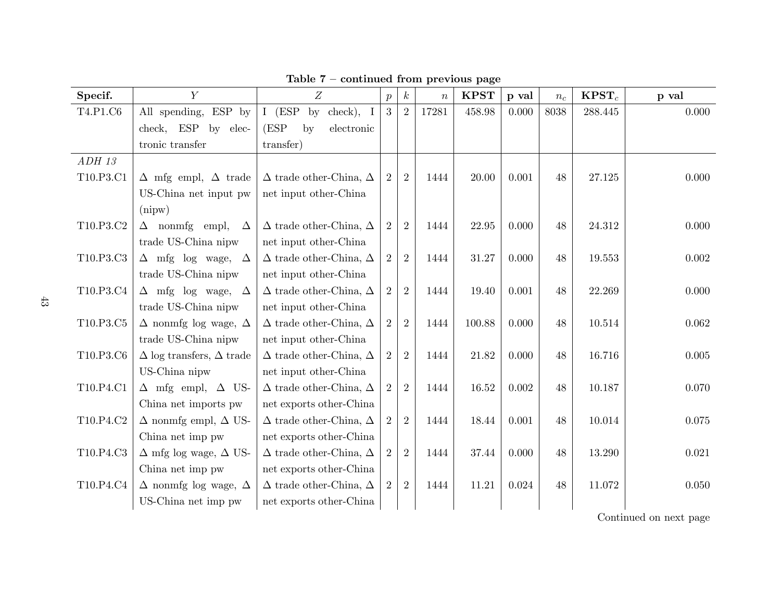| Specif.   | $\overline{Y}$                         | $\boldsymbol{Z}$                        | $\overline{p}$ | $\boldsymbol{k}$ | $\boldsymbol{n}$ | <b>KPST</b> | p val | $n_c$ | $KPST_c$ | p val |
|-----------|----------------------------------------|-----------------------------------------|----------------|------------------|------------------|-------------|-------|-------|----------|-------|
| T4.P1.C6  | All spending, ESP by                   | $I$ (ESP<br>$check)$ , I<br>$_{\rm by}$ | 3              | 2                | 17281            | 458.98      | 0.000 | 8038  | 288.445  | 0.000 |
|           | check, ESP by elec-                    | (ESP<br>electronic<br>by                |                |                  |                  |             |       |       |          |       |
|           | tronic transfer                        | transfer)                               |                |                  |                  |             |       |       |          |       |
| $ADH$ 13  |                                        |                                         |                |                  |                  |             |       |       |          |       |
| T10.P3.C1 | $\Delta$ mfg empl, $\Delta$ trade      | $\Delta$ trade other-China, $\Delta$    | $\overline{2}$ | $\overline{2}$   | 1444             | 20.00       | 0.001 | 48    | 27.125   | 0.000 |
|           | US-China net input pw                  | net input other-China                   |                |                  |                  |             |       |       |          |       |
|           | (nipw)                                 |                                         |                |                  |                  |             |       |       |          |       |
| T10.P3.C2 | $\Delta$ nonmig empl,<br>$\Delta$      | $\Delta$ trade other-China, $\Delta$    | $\overline{2}$ | $\overline{2}$   | 1444             | 22.95       | 0.000 | 48    | 24.312   | 0.000 |
|           | trade US-China nipw                    | net input other-China                   |                |                  |                  |             |       |       |          |       |
| T10.P3.C3 | $\Delta$ mfg log wage, $\Delta$        | $\Delta$ trade other-China, $\Delta$    | $\overline{2}$ | $\overline{2}$   | 1444             | 31.27       | 0.000 | 48    | 19.553   | 0.002 |
|           | trade US-China nipw                    | net input other-China                   |                |                  |                  |             |       |       |          |       |
| T10.P3.C4 | $\Delta$ mfg log wage, $\Delta$        | $\Delta$ trade other-China, $\Delta$    | $\overline{2}$ | $\overline{2}$   | 1444             | 19.40       | 0.001 | 48    | 22.269   | 0.000 |
|           | trade US-China nipw                    | net input other-China                   |                |                  |                  |             |       |       |          |       |
| T10.P3.C5 | $\Delta$ nonmig log wage, $\Delta$     | $\Delta$ trade other-China, $\Delta$    | $\overline{2}$ | $\overline{2}$   | 1444             | 100.88      | 0.000 | 48    | 10.514   | 0.062 |
|           | trade US-China nipw                    | net input other-China                   |                |                  |                  |             |       |       |          |       |
| T10.P3.C6 | $\Delta$ log transfers, $\Delta$ trade | $\Delta$ trade other-China, $\Delta$    | $\overline{2}$ | $\overline{2}$   | 1444             | 21.82       | 0.000 | 48    | 16.716   | 0.005 |
|           | US-China nipw                          | net input other-China                   |                |                  |                  |             |       |       |          |       |
| T10.P4.C1 | $\Delta$ mfg empl, $\Delta$ US-        | $\Delta$ trade other-China, $\Delta$    | $\overline{2}$ | $\overline{2}$   | 1444             | 16.52       | 0.002 | 48    | 10.187   | 0.070 |
|           | China net imports pw                   | net exports other-China                 |                |                  |                  |             |       |       |          |       |
| T10.P4.C2 | $\Delta$ nonmig empl, $\Delta$ US-     | $\Delta$ trade other-China, $\Delta$    | $\overline{2}$ | $\overline{2}$   | 1444             | 18.44       | 0.001 | 48    | 10.014   | 0.075 |
|           | China net imp pw                       | net exports other-China                 |                |                  |                  |             |       |       |          |       |
| T10.P4.C3 | $\Delta$ mfg log wage, $\Delta$ US-    | $\Delta$ trade other-China, $\Delta$    | $\overline{2}$ | $\overline{2}$   | 1444             | 37.44       | 0.000 | 48    | 13.290   | 0.021 |
|           | China net imp pw                       | net exports other-China                 |                |                  |                  |             |       |       |          |       |
| T10.P4.C4 | $\Delta$ nonmig log wage, $\Delta$     | $\Delta$ trade other-China, $\Delta$    | $\overline{2}$ | $\overline{2}$   | 1444             | 11.21       | 0.024 | 48    | 11.072   | 0.050 |
|           | US-China net imp pw                    | net exports other-China                 |                |                  |                  |             |       |       |          |       |

Table  $7$  – continued from previous page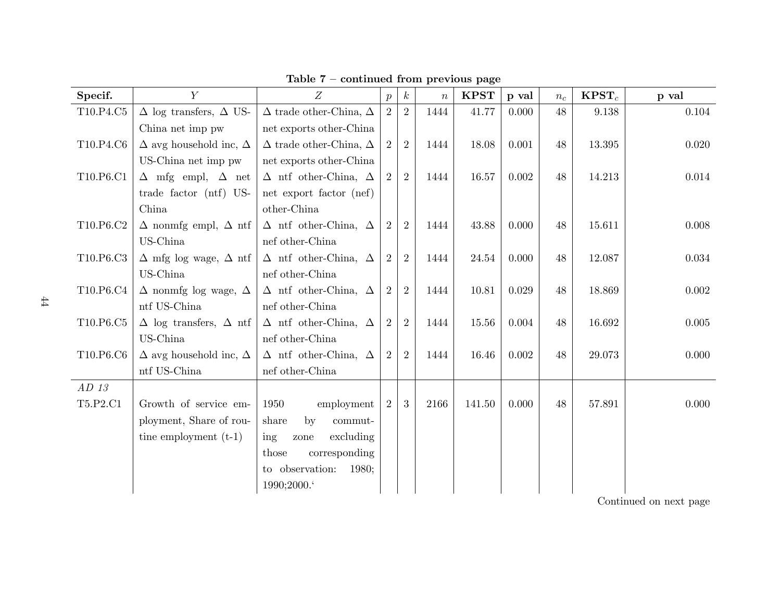| Specif.   | $\overline{Y}$                       | Z                                    | $\boldsymbol{p}$ | $\boldsymbol{k}$ | $\boldsymbol{n}$ | <b>KPST</b> | p val | $n_c$ | $K\mathrm{PST}_c$ | p val |
|-----------|--------------------------------------|--------------------------------------|------------------|------------------|------------------|-------------|-------|-------|-------------------|-------|
| T10.P4.C5 | $\Delta$ log transfers, $\Delta$ US- | $\Delta$ trade other-China, $\Delta$ | 2                | $\overline{2}$   | 1444             | 41.77       | 0.000 | 48    | 9.138             | 0.104 |
|           | China net imp pw                     | net exports other-China              |                  |                  |                  |             |       |       |                   |       |
| T10.P4.C6 | $\Delta$ avg household inc, $\Delta$ | $\Delta$ trade other-China, $\Delta$ | 2                | $\overline{2}$   | 1444             | 18.08       | 0.001 | 48    | 13.395            | 0.020 |
|           | US-China net imp pw                  | net exports other-China              |                  |                  |                  |             |       |       |                   |       |
| T10.P6.C1 | $\Delta$ mfg empl, $\Delta$ net      | $\Delta$ ntf other-China, $\Delta$   | $\overline{2}$   | $\overline{2}$   | 1444             | 16.57       | 0.002 | 48    | 14.213            | 0.014 |
|           | trade factor (ntf) US-               | net export factor (nef)              |                  |                  |                  |             |       |       |                   |       |
|           | China                                | other-China                          |                  |                  |                  |             |       |       |                   |       |
| T10.P6.C2 | $\Delta$ nonmig empl, $\Delta$ ntf   | $\Delta$ ntf other-China, $\Delta$   | 2                | $\overline{2}$   | 1444             | 43.88       | 0.000 | 48    | 15.611            | 0.008 |
|           | US-China                             | nef other-China                      |                  |                  |                  |             |       |       |                   |       |
| T10.P6.C3 | $\Delta$ mfg log wage, $\Delta$ ntf  | $\Delta$ ntf other-China, $\Delta$   | 2                | $\overline{2}$   | 1444             | 24.54       | 0.000 | 48    | 12.087            | 0.034 |
|           | US-China                             | nef other-China                      |                  |                  |                  |             |       |       |                   |       |
| T10.P6.C4 | $\Delta$ nonmig log wage, $\Delta$   | $\Delta$ ntf other-China, $\Delta$   | $\overline{2}$   | $\overline{2}$   | 1444             | 10.81       | 0.029 | 48    | 18.869            | 0.002 |
|           | ntf US-China                         | nef other-China                      |                  |                  |                  |             |       |       |                   |       |
| T10.P6.C5 | $\Delta$ log transfers, $\Delta$ ntf | $\Delta$ ntf other-China, $\Delta$   | $\overline{2}$   | $\overline{2}$   | 1444             | 15.56       | 0.004 | 48    | 16.692            | 0.005 |
|           | US-China                             | nef other-China                      |                  |                  |                  |             |       |       |                   |       |
| T10.P6.C6 | $\Delta$ avg household inc, $\Delta$ | $\Delta$ ntf other-China, $\Delta$   | $\overline{2}$   | $\overline{2}$   | 1444             | 16.46       | 0.002 | 48    | 29.073            | 0.000 |
|           | ntf US-China                         | nef other-China                      |                  |                  |                  |             |       |       |                   |       |
| $AD$ 13   |                                      |                                      |                  |                  |                  |             |       |       |                   |       |
| T5.P2.C1  | Growth of service em-                | 1950<br>employment                   | 2                | 3                | 2166             | 141.50      | 0.000 | 48    | 57.891            | 0.000 |
|           | ployment, Share of rou-              | share<br>$_{\rm by}$<br>$commut-$    |                  |                  |                  |             |       |       |                   |       |
|           | tine employment $(t-1)$              | ing<br>excluding<br>zone             |                  |                  |                  |             |       |       |                   |       |
|           |                                      | corresponding<br>those               |                  |                  |                  |             |       |       |                   |       |
|           |                                      | to observation:<br>1980;             |                  |                  |                  |             |       |       |                   |       |
|           |                                      | 1990;2000.                           |                  |                  |                  |             |       |       |                   |       |

Table  $7$  – continued from previous page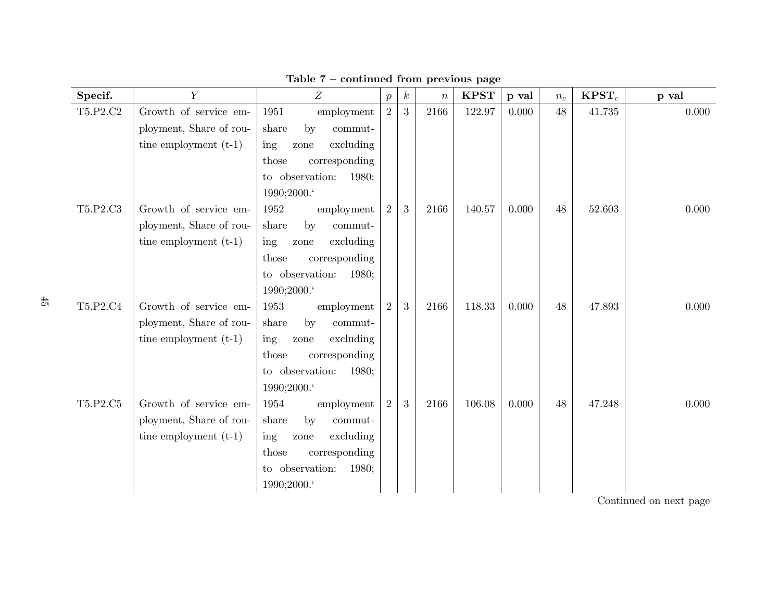| Specif.    | $\overline{Y}$          | $\overline{Z}$                           | $\boldsymbol{p}$ | $\boldsymbol{k}$ | $\boldsymbol{n}$ | <b>KPST</b> | p val | $n_c$ | $K\mathrm{PST}_c$ | p val |
|------------|-------------------------|------------------------------------------|------------------|------------------|------------------|-------------|-------|-------|-------------------|-------|
| $T5.P2.C2$ | Growth of service em-   | 1951<br>employment                       | 2                | $\overline{3}$   | 2166             | 122.97      | 0.000 | 48    | 41.735            | 0.000 |
|            | ployment, Share of rou- | share<br>by<br>$\operatorname{commut}$ - |                  |                  |                  |             |       |       |                   |       |
|            | tine employment $(t-1)$ | excluding<br>ing<br>zone                 |                  |                  |                  |             |       |       |                   |       |
|            |                         | corresponding<br>those                   |                  |                  |                  |             |       |       |                   |       |
|            |                         | to observation:<br>1980;                 |                  |                  |                  |             |       |       |                   |       |
|            |                         | 1990;2000.                               |                  |                  |                  |             |       |       |                   |       |
| T5.P2.C3   | Growth of service em-   | 1952<br>employment                       | 2                | 3                | 2166             | 140.57      | 0.000 | 48    | 52.603            | 0.000 |
|            | ployment, Share of rou- | by<br>$commut-$<br>share                 |                  |                  |                  |             |       |       |                   |       |
|            | tine employment $(t-1)$ | excluding<br>$\frac{1}{2}$<br>zone       |                  |                  |                  |             |       |       |                   |       |
|            |                         | corresponding<br>those                   |                  |                  |                  |             |       |       |                   |       |
|            |                         | to observation:<br>1980;                 |                  |                  |                  |             |       |       |                   |       |
|            |                         | 1990;2000.                               |                  |                  |                  |             |       |       |                   |       |
| T5.P2.C4   | Growth of service em-   | 1953<br>employment                       | 2                | 3                | 2166             | 118.33      | 0.000 | 48    | 47.893            | 0.000 |
|            | ployment, Share of rou- | by<br>share<br>commut-                   |                  |                  |                  |             |       |       |                   |       |
|            | tine employment $(t-1)$ | excluding<br>ing<br>zone                 |                  |                  |                  |             |       |       |                   |       |
|            |                         | corresponding<br>those                   |                  |                  |                  |             |       |       |                   |       |
|            |                         | to observation:<br>1980;                 |                  |                  |                  |             |       |       |                   |       |
|            |                         | 1990;2000.                               |                  |                  |                  |             |       |       |                   |       |
| T5.P2.C5   | Growth of service em-   | 1954<br>employment                       | $\overline{2}$   | 3                | 2166             | 106.08      | 0.000 | 48    | 47.248            | 0.000 |
|            | ployment, Share of rou- | share<br>by<br>commut-                   |                  |                  |                  |             |       |       |                   |       |
|            | tine employment $(t-1)$ | ing<br>excluding<br>zone                 |                  |                  |                  |             |       |       |                   |       |
|            |                         | corresponding<br>those                   |                  |                  |                  |             |       |       |                   |       |
|            |                         | to observation:<br>1980;                 |                  |                  |                  |             |       |       |                   |       |
|            |                         | 1990;2000.                               |                  |                  |                  |             |       |       |                   |       |

Table  $7$  – continued from previous page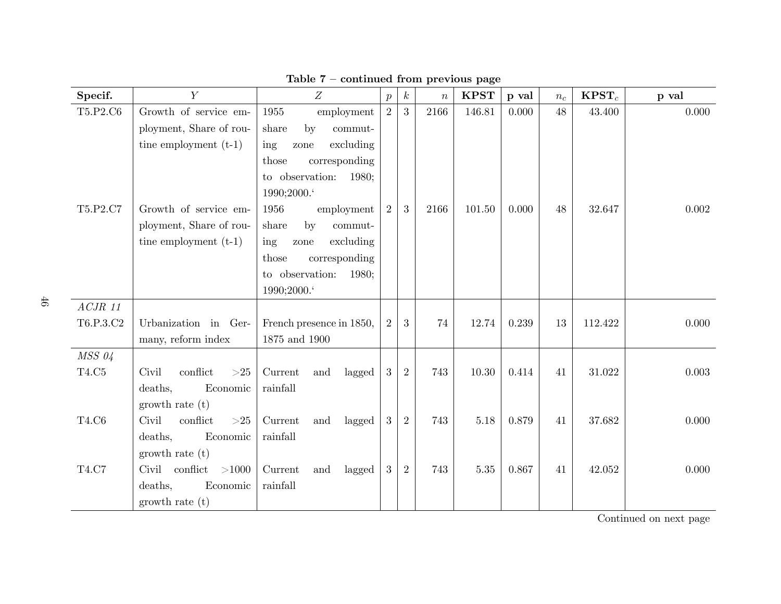| Specif.     | $\overline{Y}$           | Z                        | $\boldsymbol{p}$ | $\boldsymbol{k}$ | $\boldsymbol{n}$ | <b>KPST</b> | p val | $n_c$ | $KPST_c$ | p val |
|-------------|--------------------------|--------------------------|------------------|------------------|------------------|-------------|-------|-------|----------|-------|
| T5.P2.C6    | Growth of service em-    | 1955<br>employment       | 2                | 3                | 2166             | 146.81      | 0.000 | 48    | 43.400   | 0.000 |
|             | ployment, Share of rou-  | by<br>share<br>$commut-$ |                  |                  |                  |             |       |       |          |       |
|             | tine employment $(t-1)$  | excluding<br>ing<br>zone |                  |                  |                  |             |       |       |          |       |
|             |                          | corresponding<br>those   |                  |                  |                  |             |       |       |          |       |
|             |                          | to observation:<br>1980; |                  |                  |                  |             |       |       |          |       |
|             |                          | 1990;2000.               |                  |                  |                  |             |       |       |          |       |
| T5.P2.C7    | Growth of service em-    | 1956<br>employment       | 2                | 3                | 2166             | 101.50      | 0.000 | 48    | 32.647   | 0.002 |
|             | ployment, Share of rou-  | by<br>share<br>commut-   |                  |                  |                  |             |       |       |          |       |
|             | tine employment $(t-1)$  | excluding<br>ing<br>zone |                  |                  |                  |             |       |       |          |       |
|             |                          | corresponding<br>those   |                  |                  |                  |             |       |       |          |       |
|             |                          | to observation:<br>1980; |                  |                  |                  |             |       |       |          |       |
|             |                          | 1990;2000.               |                  |                  |                  |             |       |       |          |       |
| $ACJR$ 11   |                          |                          |                  |                  |                  |             |       |       |          |       |
| T6.P.3.C2   | Urbanization in Ger-     | French presence in 1850, | 2                | 3                | 74               | 12.74       | 0.239 | 13    | 112.422  | 0.000 |
|             | many, reform index       | $1875$ and $1900\,$      |                  |                  |                  |             |       |       |          |       |
| $MSS$ $04$  |                          |                          |                  |                  |                  |             |       |       |          |       |
| $\rm T4.C5$ | conflict<br>Civil<br>>25 | lagged<br>Current<br>and | 3 <sup>1</sup>   | 2                | 743              | 10.30       | 0.414 | 41    | 31.022   | 0.003 |
|             | deaths,<br>Economic      | rainfall                 |                  |                  |                  |             |       |       |          |       |
|             | growth rate $(t)$        |                          |                  |                  |                  |             |       |       |          |       |
| T4.C6       | Civil<br>conflict<br>>25 | Current<br>lagged<br>and | 3                | 2                | 743              | 5.18        | 0.879 | 41    | 37.682   | 0.000 |
|             | deaths,<br>Economic      | rainfall                 |                  |                  |                  |             |       |       |          |       |
|             | growth rate $(t)$        |                          |                  |                  |                  |             |       |       |          |       |
| T4.C7       | Civil conflict<br>>1000  | lagged<br>Current<br>and | 3 <sup>1</sup>   | $\sqrt{2}$       | 743              | $5.35\,$    | 0.867 | 41    | 42.052   | 0.000 |
|             | deaths,<br>Economic      | rainfall                 |                  |                  |                  |             |       |       |          |       |
|             | growth rate $(t)$        |                          |                  |                  |                  |             |       |       |          |       |

Table  $7$  – continued from previous page